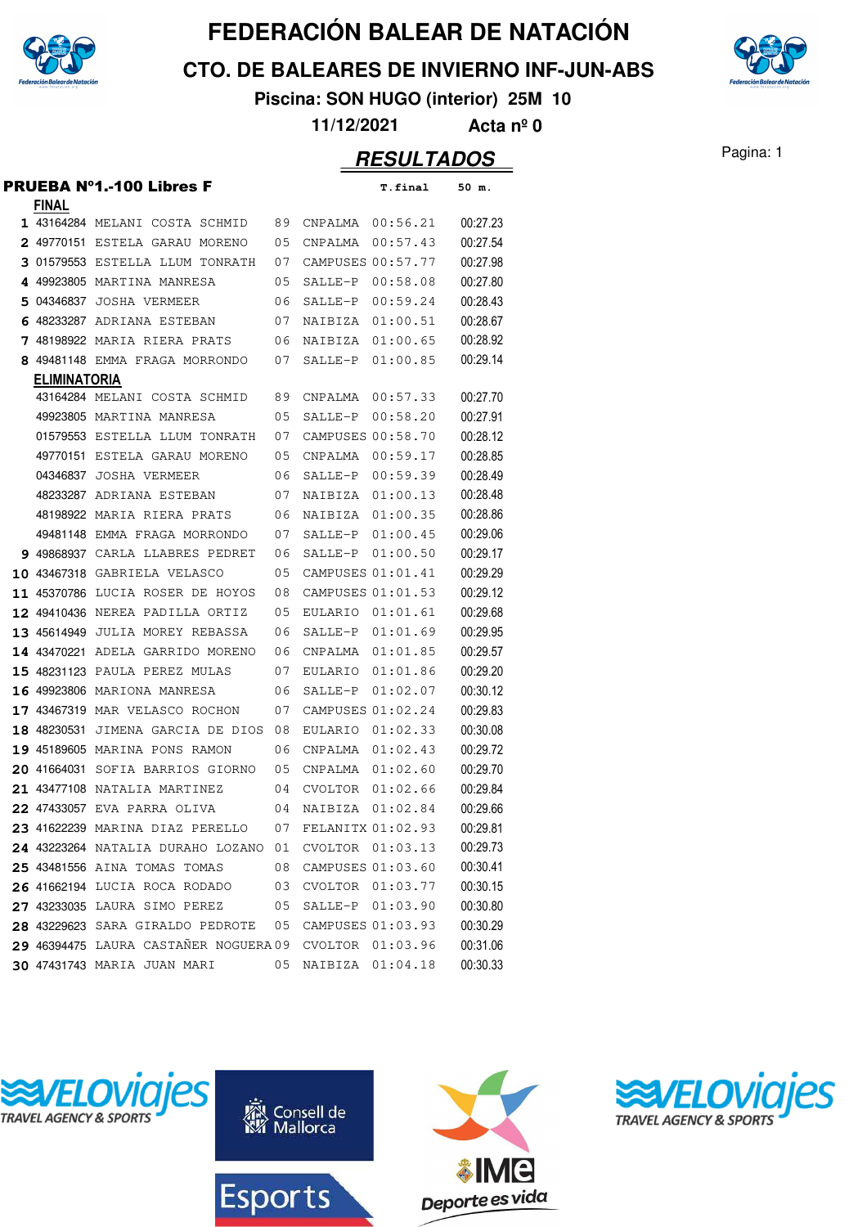

**CTO. DE BALEARES DE INVIERNO INF-JUN-ABS**



**Piscina: SON HUGO (interior) 25M 10**

**11/12/2021 Acta nº 0**

|                     | PRUEBA N°1.-100 Libres F              |    |                   | T.final           | 50 m.    |
|---------------------|---------------------------------------|----|-------------------|-------------------|----------|
| <b>FINAL</b>        |                                       |    |                   |                   |          |
|                     | 1 43164284 MELANI COSTA SCHMID        | 89 | CNPALMA           | 00:56.21          | 00:27.23 |
|                     | <b>2</b> 49770151 ESTELA GARAU MORENO | 05 | CNPALMA           | 00:57.43          | 00:27.54 |
|                     | 3 01579553 ESTELLA LLUM TONRATH       | 07 |                   | CAMPUSES 00:57.77 | 00:27.98 |
|                     | 4 49923805 MARTINA MANRESA            | 05 | SALLE-P           | 00:58.08          | 00:27.80 |
|                     | 5 04346837 JOSHA VERMEER              | 06 | SALLE-P           | 00:59.24          | 00:28.43 |
|                     | 6 48233287 ADRIANA ESTEBAN            | 07 | NAIBIZA           | 01:00.51          | 00:28.67 |
|                     | 7 48198922 MARIA RIERA PRATS          | 06 | NAIBIZA           | 01:00.65          | 00:28.92 |
|                     | 8 49481148 EMMA FRAGA MORRONDO        | 07 | SALLE-P           | 01:00.85          | 00:29.14 |
| <b>ELIMINATORIA</b> |                                       |    |                   |                   |          |
|                     | 43164284 MELANI COSTA SCHMID          | 89 | CNPALMA           | 00:57.33          | 00:27.70 |
|                     | 49923805 MARTINA MANRESA              | 05 | SALLE-P           | 00:58.20          | 00:27.91 |
|                     | 01579553 ESTELLA LLUM TONRATH         | 07 |                   | CAMPUSES 00:58.70 | 00:28.12 |
|                     | 49770151 ESTELA GARAU MORENO          | 05 |                   | CNPALMA 00:59.17  | 00:28.85 |
|                     | 04346837 JOSHA VERMEER                | 06 | SALLE-P           | 00:59.39          | 00:28.49 |
|                     | 48233287 ADRIANA ESTEBAN              | 07 | NAIBIZA           | 01:00.13          | 00:28.48 |
|                     | 48198922 MARIA RIERA PRATS            | 06 | NAIBIZA           | 01:00.35          | 00:28.86 |
|                     | 49481148 EMMA FRAGA MORRONDO          | 07 | SALLE-P           | 01:00.45          | 00:29.06 |
|                     | 9 49868937 CARLA LLABRES PEDRET       | 06 | SALLE-P           | 01:00.50          | 00:29.17 |
|                     | 10 43467318 GABRIELA VELASCO          | 05 |                   | CAMPUSES 01:01.41 | 00:29.29 |
|                     | 11 45370786 LUCIA ROSER DE HOYOS      | 08 |                   | CAMPUSES 01:01.53 | 00:29.12 |
|                     | 12 49410436 NEREA PADILLA ORTIZ       | 05 |                   | EULARIO 01:01.61  | 00:29.68 |
|                     | 13 45614949 JULIA MOREY REBASSA       | 06 | SALLE-P           | 01:01.69          | 00:29.95 |
|                     | 14 43470221 ADELA GARRIDO MORENO      | 06 | CNPALMA           | 01:01.85          | 00:29.57 |
|                     | 15 48231123 PAULA PEREZ MULAS         | 07 | EULARIO           | 01:01.86          | 00:29.20 |
|                     | 16 49923806 MARIONA MANRESA           | 06 | SALLE-P           | 01:02.07          | 00:30.12 |
|                     | 17 43467319 MAR VELASCO ROCHON        | 07 |                   | CAMPUSES 01:02.24 | 00:29.83 |
|                     | 18 48230531 JIMENA GARCIA DE DIOS     | 08 | EULARIO           | 01:02.33          | 00:30.08 |
|                     | 19 45189605 MARINA PONS RAMON         | 06 | CNPALMA           | 01:02.43          | 00:29.72 |
|                     | 20 41664031 SOFIA BARRIOS GIORNO      | 05 | CNPALMA           | 01:02.60          | 00:29.70 |
|                     | 21 43477108 NATALIA MARTINEZ          | 04 | CVOLTOR           | 01:02.66          | 00:29.84 |
|                     | 22 47433057 EVA PARRA OLIVA           | 04 | NAIBIZA           | 01:02.84          | 00:29.66 |
|                     | 23 41622239 MARINA DIAZ PERELLO       | 07 | FELANITX 01:02.93 |                   | 00:29.81 |
|                     | 24 43223264 NATALIA DURAHO LOZANO 01  |    | CVOLTOR 01:03.13  |                   | 00:29.73 |
|                     | 25 43481556 AINA TOMAS TOMAS          | 08 |                   | CAMPUSES 01:03.60 | 00:30.41 |
|                     | 26 41662194 LUCIA ROCA RODADO         | 03 |                   | CVOLTOR 01:03.77  | 00:30.15 |
|                     | 27 43233035 LAURA SIMO PEREZ          | 05 |                   | SALLE-P 01:03.90  | 00:30.80 |
|                     | 28 43229623 SARA GIRALDO PEDROTE      | 05 |                   | CAMPUSES 01:03.93 | 00:30.29 |
|                     | 29 46394475 LAURA CASTAÑER NOGUERA 09 |    |                   | CVOLTOR 01:03.96  | 00:31.06 |
|                     | <b>30 47431743 MARIA JUAN MARI</b>    | 05 |                   | NAIBIZA 01:04.18  | 00:30.33 |







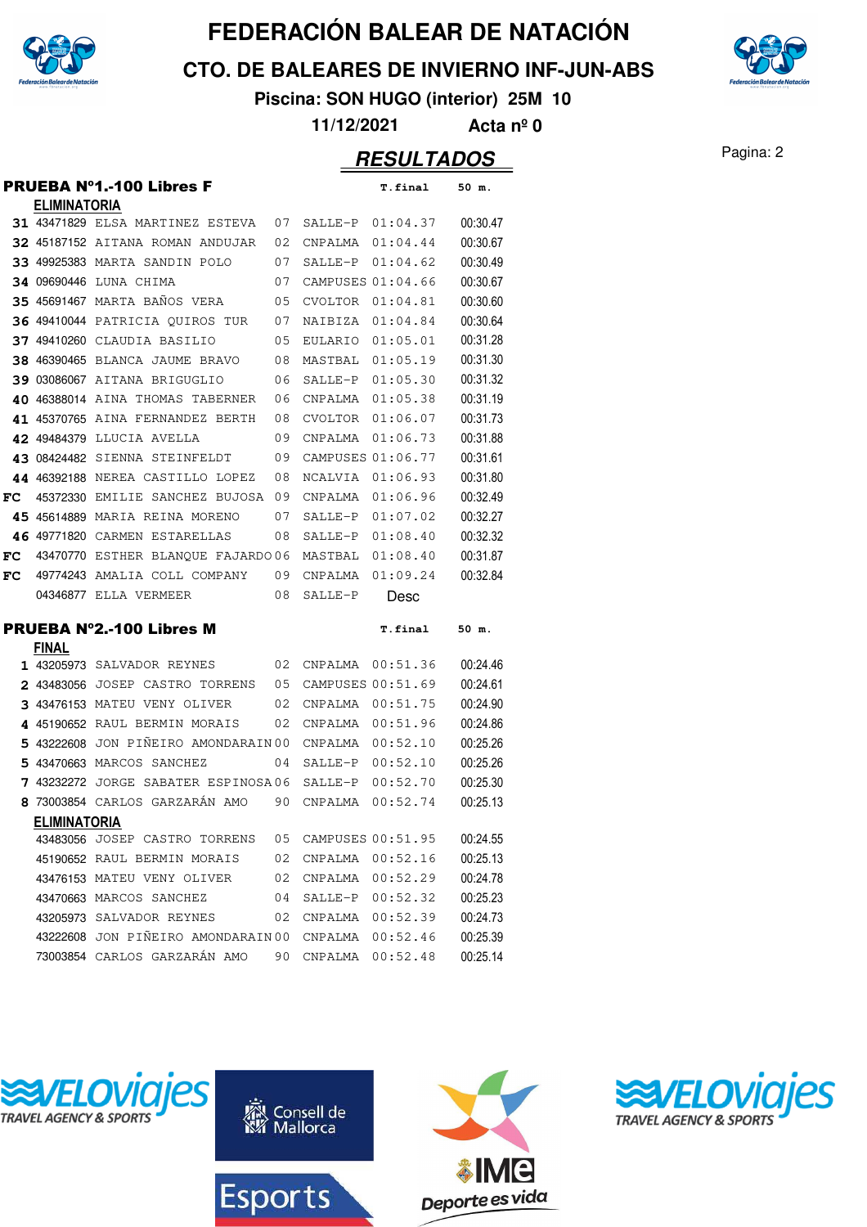

**CTO. DE BALEARES DE INVIERNO INF-JUN-ABS**

**Piscina: SON HUGO (interior) 25M 10**

**11/12/2021 Acta nº 0**

#### Pagina: 2 **RESULTADOS**

|    |                     | <b>PRUEBA Nº1.-100 Libres F</b>    |    |                   | T.final  | 50 m.    |
|----|---------------------|------------------------------------|----|-------------------|----------|----------|
|    | <b>ELIMINATORIA</b> |                                    |    |                   |          |          |
|    |                     | 31 43471829 ELSA MARTINEZ ESTEVA   | 07 | SALLE-P           | 01:04.37 | 00:30.47 |
|    |                     | 32 45187152 AITANA ROMAN ANDUJAR   | 02 | CNPALMA           | 01:04.44 | 00:30.67 |
|    |                     | 33 49925383 MARTA SANDIN POLO      | 07 | SALLE-P           | 01:04.62 | 00:30.49 |
|    |                     | 34 09690446 LUNA CHIMA             | 07 | CAMPUSES 01:04.66 |          | 00:30.67 |
|    |                     | 35 45691467 MARTA BAÑOS VERA       | 05 | <b>CVOLTOR</b>    | 01:04.81 | 00:30.60 |
|    |                     | 36 49410044 PATRICIA OUIROS TUR    | 07 | NAIBIZA           | 01:04.84 | 00:30.64 |
|    |                     | 37 49410260 CLAUDIA BASILIO        | 05 | <b>EULARIO</b>    | 01:05.01 | 00:31.28 |
|    |                     | 38 46390465 BLANCA JAUME BRAVO     | 08 | MASTBAL           | 01:05.19 | 00:31.30 |
|    |                     | 39 03086067 AITANA BRIGUGLIO       | 06 | SALLE-P           | 01:05.30 | 00:31.32 |
|    |                     | 40 46388014 AINA THOMAS TABERNER   | 06 | CNPALMA           | 01:05.38 | 00:31.19 |
|    |                     | 41 45370765 AINA FERNANDEZ BERTH   | 08 | <b>CVOLTOR</b>    | 01:06.07 | 00:31.73 |
|    |                     | 42 49484379 LLUCIA AVELLA          | 09 | CNPALMA           | 01:06.73 | 00:31.88 |
|    | 43 08424482         | SIENNA STEINFELDT                  | 09 | CAMPUSES 01:06.77 |          | 00:31.61 |
|    |                     | 44 46392188 NEREA CASTILLO LOPEZ   | 08 | NCALVIA           | 01:06.93 | 00:31.80 |
| FC |                     | 45372330 EMILIE SANCHEZ BUJOSA     | 09 | CNPALMA           | 01:06.96 | 00:32.49 |
| 45 | 45614889            | MARIA REINA MORENO                 | 07 | SALLE-P           | 01:07.02 | 00:32.27 |
|    | 46 49771820         | CARMEN ESTARELLAS                  | 08 | SALLE-P           | 01:08.40 | 00:32.32 |
| FC |                     | 43470770 ESTHER BLANQUE FAJARDO 06 |    | MASTBAL           | 01:08.40 | 00:31.87 |
| FC |                     | 49774243 AMALIA COLL COMPANY       | 09 | CNPALMA           | 01:09.24 | 00:32.84 |
|    |                     | 04346877 ELLA VERMEER              | 08 | SALLE-P           | Desc     |          |
|    |                     | <b>PRUEBA Nº2.-100 Libres M</b>    |    |                   | T.final  | 50 m.    |
|    | <b>FINAL</b>        |                                    |    |                   |          |          |
|    |                     | 1 43205973 SALVADOR REYNES         | 02 | CNPALMA           | 00:51.36 | 00:24.46 |
|    | 2 43483056          | JOSEP CASTRO TORRENS               | 05 | CAMPUSES 00:51.69 |          | 00:24.61 |
|    |                     | 3 43476153 MATEU VENY OLIVER       | 02 | CNPALMA           | 00:51.75 | 00:24.90 |
|    |                     | 4 45190652 RAUL BERMIN MORAIS      | 02 | CNPALMA           | 00:51.96 | 00:24.86 |
|    | 5 43222608          | JON PIÑEIRO AMONDARAIN 00          |    | CNPALMA           | 00:52.10 | 00:25.26 |
|    |                     | 5 43470663 MARCOS SANCHEZ          | 04 | SALLE-P           | 00:52.10 | 00:25.26 |
|    | 7 43232272          | JORGE SABATER ESPINOSA06           |    | SALLE-P           | 00:52.70 | 00:25.30 |
|    |                     | 8 73003854 CARLOS GARZARÁN AMO     | 90 | CNPALMA           | 00:52.74 | 00:25.13 |
|    | <b>ELIMINATORIA</b> |                                    |    |                   |          |          |
|    |                     | 43483056 JOSEP CASTRO TORRENS      | 05 | CAMPUSES 00:51.95 |          | 00:24.55 |
|    |                     | 45190652 RAUL BERMIN MORAIS        | 02 | CNPALMA  00:52.16 |          | 00:25.13 |
|    |                     | 43476153 MATEU VENY OLIVER         | 02 | CNPALMA           | 00:52.29 | 00:24.78 |
|    |                     | 43470663 MARCOS SANCHEZ            | 04 | SALLE-P           | 00:52.32 | 00:25.23 |
|    |                     | 43205973 SALVADOR REYNES           | 02 | CNPALMA 00:52.39  |          | 00:24.73 |
|    |                     | 43222608 JON PIÑEIRO AMONDARAIN 00 |    | CNPALMA 00:52.46  |          | 00:25.39 |
|    |                     | 73003854 CARLOS GARZARÁN AMO       | 90 | CNPALMA           | 00:52.48 | 00:25.14 |







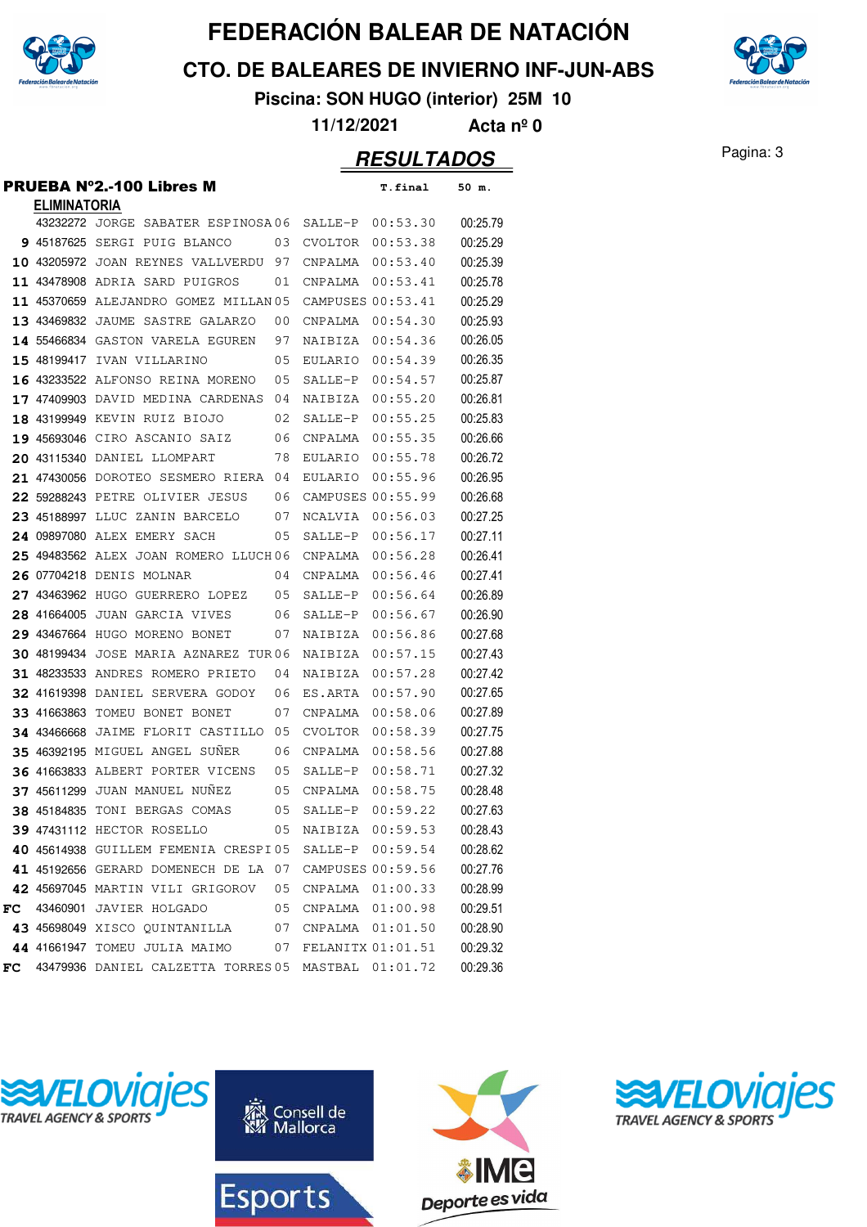

**CTO. DE BALEARES DE INVIERNO INF-JUN-ABS**



**Piscina: SON HUGO (interior) 25M 10**

**11/12/2021 Acta nº 0**

|    |                     | <b>PRUEBA Nº2.-100 Libres M</b>                        |    |                | <b>T.final</b>      | 50 m.    |
|----|---------------------|--------------------------------------------------------|----|----------------|---------------------|----------|
|    | <b>ELIMINATORIA</b> |                                                        |    |                |                     |          |
|    |                     | 43232272 JORGE SABATER ESPINOSA06                      |    | SALLE-P        | 00:53.30            | 00:25.79 |
|    |                     | 9 45187625 SERGI PUIG BLANCO                           | 03 | CVOLTOR        | 00:53.38            | 00:25.29 |
|    |                     | 10 43205972 JOAN REYNES VALLVERDU                      | 97 | CNPALMA        | 00:53.40            | 00:25.39 |
|    |                     | 11 43478908 ADRIA SARD PUIGROS                         | 01 | CNPALMA        | 00:53.41            | 00:25.78 |
|    |                     | 11 45370659 ALEJANDRO GOMEZ MILLAN 05                  |    |                | CAMPUSES 00:53.41   | 00:25.29 |
|    |                     | 13 43469832 JAUME SASTRE GALARZO                       | 00 | CNPALMA        | 00:54.30            | 00:25.93 |
|    |                     | 14 55466834 GASTON VARELA EGUREN                       | 97 | NAIBIZA        | 00:54.36            | 00:26.05 |
|    |                     | 15 48199417 IVAN VILLARINO                             | 05 | <b>EULARIO</b> | 00:54.39            | 00:26.35 |
|    |                     | 16 43233522 ALFONSO REINA MORENO                       | 05 | SALLE-P        | 00:54.57            | 00:25.87 |
|    |                     | 17 47409903 DAVID MEDINA CARDENAS                      | 04 | NAIBIZA        | 00:55.20            | 00:26.81 |
|    |                     | 18 43199949 KEVIN RUIZ BIOJO                           | 02 | SALLE-P        | 00:55.25            | 00:25.83 |
|    |                     | 19 45693046 CIRO ASCANIO SAIZ                          | 06 | CNPALMA        | 00:55.35            | 00:26.66 |
|    |                     | 20 43115340 DANIEL LLOMPART                            | 78 | EULARIO        | 00:55.78            | 00:26.72 |
|    |                     | <b>21 47430056</b> DOROTEO SESMERO RIERA               | 04 | <b>EULARIO</b> | 00:55.96            | 00:26.95 |
|    |                     | 22 59288243 PETRE OLIVIER JESUS                        | 06 |                | CAMPUSES 00:55.99   | 00:26.68 |
|    |                     | 23 45188997 LLUC ZANIN BARCELO                         | 07 | NCALVIA        | 00:56.03            | 00:27.25 |
|    |                     | 24 09897080 ALEX EMERY SACH                            | 05 | SALLE-P        | 00:56.17            | 00:27.11 |
|    |                     | 25 49483562 ALEX JOAN ROMERO LLUCH06                   |    | CNPALMA        | 00:56.28            | 00:26.41 |
|    |                     | 26 07704218 DENIS MOLNAR                               | 04 | CNPALMA        | 00:56.46            | 00:27.41 |
|    |                     | 27 43463962 HUGO GUERRERO LOPEZ                        | 05 | SALLE-P        | 00:56.64            | 00:26.89 |
|    |                     | 28 41664005 JUAN GARCIA VIVES                          | 06 | SALLE-P        | 00:56.67            | 00:26.90 |
|    |                     | 29 43467664 HUGO MORENO BONET                          | 07 | NAIBIZA        | 00:56.86            | 00:27.68 |
|    |                     | <b>30 48199434 JOSE MARIA AZNAREZ TUR06</b>            |    | NAIBIZA        | 00:57.15            | 00:27.43 |
|    |                     | 31 48233533 ANDRES ROMERO PRIETO                       | 04 | NAIBIZA        | 00:57.28            | 00:27.42 |
|    |                     | 32 41619398 DANIEL SERVERA GODOY                       | 06 | ES.ARTA        | 00:57.90            | 00:27.65 |
|    |                     | 33 41663863 TOMEU BONET BONET                          | 07 | CNPALMA        | 00:58.06            | 00:27.89 |
|    |                     | 34 43466668 JAIME FLORIT CASTILLO                      | 05 | <b>CVOLTOR</b> | 00:58.39            | 00:27.75 |
|    |                     | 35 46392195 MIGUEL ANGEL SUNER                         | 06 | CNPALMA        | 00:58.56            | 00:27.88 |
|    |                     | 36 41663833 ALBERT PORTER VICENS                       | 05 | SALLE-P        | 00:58.71            | 00:27.32 |
|    |                     | 37 45611299 JUAN MANUEL NUÑEZ                          | 05 | CNPALMA        | 00:58.75            | 00:28.48 |
|    |                     | 38 45184835 TONI BERGAS COMAS                          | 05 | SALLE-P        | 00:59.22            | 00:27.63 |
|    |                     | 39 47431112 HECTOR ROSELLO                             |    |                | 05 NAIBIZA 00:59.53 | 00:28.43 |
|    |                     | 40 45614938 GUILLEM FEMENIA CRESPI05 SALLE-P 00:59.54  |    |                |                     | 00:28.62 |
|    |                     | 41 45192656 GERARD DOMENECH DE LA 07 CAMPUSES 00:59.56 |    |                |                     | 00:27.76 |
|    |                     | 42 45697045 MARTIN VILI GRIGOROV 05                    |    |                | CNPALMA 01:00.33    | 00:28.99 |
| FC |                     | 43460901 JAVIER HOLGADO 05                             |    |                | CNPALMA 01:00.98    | 00:29.51 |
|    |                     | 43 45698049 XISCO QUINTANILLA 07 CNPALMA 01:01.50      |    |                |                     | 00:28.90 |
|    |                     | 44 41661947 TOMEU JULIA MAIMO 07 FELANITX 01:01.51     |    |                |                     | 00:29.32 |
| FC |                     | 43479936 DANIEL CALZETTA TORRES 05 MASTBAL 01:01.72    |    |                |                     | 00:29.36 |







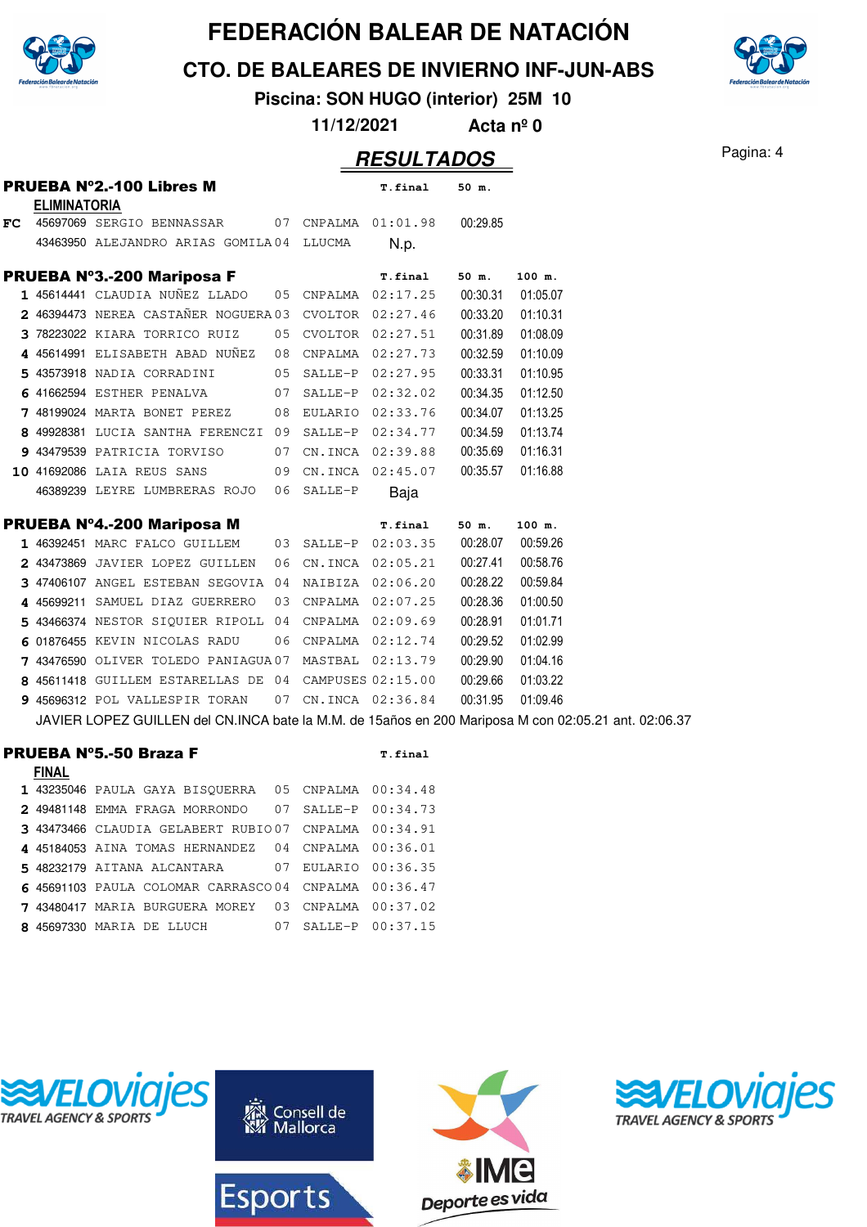

**CTO. DE BALEARES DE INVIERNO INF-JUN-ABS**

**Piscina: SON HUGO (interior) 25M 10**

**11/12/2021 Acta nº 0**

# Pagina: 4 **RESULTADOS**

|    | <b>ELIMINATORIA</b> | <b>PRUEBA Nº2.-100 Libres M</b>                                                                      |    |                     | <b>T.final</b>      | 50 m.    |          |
|----|---------------------|------------------------------------------------------------------------------------------------------|----|---------------------|---------------------|----------|----------|
| FC |                     | 45697069 SERGIO BENNASSAR 07 CNPALMA 01:01.98                                                        |    |                     |                     | 00:29.85 |          |
|    |                     | 43463950 ALEJANDRO ARIAS GOMILA 04 LLUCMA                                                            |    |                     | N.p.                |          |          |
|    |                     | <b>PRUEBA Nº3.-200 Mariposa F</b>                                                                    |    |                     | <b>T.final</b>      | 50 m.    | 100 m.   |
|    |                     | 1 45614441 CLAUDIA NUÑEZ LLADO                                                                       |    |                     | 05 CNPALMA 02:17.25 | 00:30.31 | 01:05.07 |
|    |                     | 2 46394473 NEREA CASTAÑER NOGUERA 03 CVOLTOR                                                         |    |                     | 02:27.46            | 00:33.20 | 01:10.31 |
|    |                     | 3 78223022 KIARA TORRICO RUIZ                                                                        |    |                     | 05 CVOLTOR 02:27.51 | 00:31.89 | 01:08.09 |
|    |                     | 4 45614991 ELISABETH ABAD NUÑEZ                                                                      |    |                     | 08 CNPALMA 02:27.73 | 00:32.59 | 01:10.09 |
|    |                     | 43573918 NADIA CORRADINI                                                                             |    |                     | 05 SALLE-P 02:27.95 | 00:33.31 | 01:10.95 |
| 6  |                     | 41662594 ESTHER PENALVA                                                                              | 07 | SALLE-P             | 02:32.02            | 00:34.35 | 01:12.50 |
|    |                     | 7 48199024 MARTA BONET PEREZ                                                                         |    |                     | 08 EULARIO 02:33.76 | 00:34.07 | 01:13.25 |
| 8  |                     | 49928381 LUCIA SANTHA FERENCZI 09 SALLE-P 02:34.77                                                   |    |                     |                     | 00:34.59 | 01:13.74 |
|    |                     | 9 43479539 PATRICIA TORVISO                                                                          | 07 |                     | CN.INCA 02:39.88    | 00:35.69 | 01:16.31 |
|    |                     | 10 41692086 LAIA REUS SANS                                                                           | 09 |                     | CN.INCA 02:45.07    | 00:35.57 | 01:16.88 |
|    |                     | 46389239 LEYRE LUMBRERAS ROJO                                                                        | 06 | SALLE-P             | Baja                |          |          |
|    |                     | PRUEBA Nº4.-200 Mariposa M                                                                           |    |                     | <b>T.final</b>      | 50 m.    | 100 m.   |
|    |                     | 1 46392451 MARC FALCO GUILLEM                                                                        |    |                     | 03 SALLE-P 02:03.35 | 00:28.07 | 00:59.26 |
|    |                     | 2 43473869 JAVIER LOPEZ GUILLEN                                                                      |    |                     | 06 CN.INCA 02:05.21 | 00:27.41 | 00:58.76 |
|    |                     | 3 47406107 ANGEL ESTEBAN SEGOVIA 04                                                                  |    |                     | NAIBIZA 02:06.20    | 00:28.22 | 00:59.84 |
|    |                     | 4 45699211 SAMUEL DIAZ GUERRERO                                                                      |    |                     | 03 CNPALMA 02:07.25 | 00:28.36 | 01:00.50 |
|    |                     | 5 43466374 NESTOR SIQUIER RIPOLL 04 CNPALMA 02:09.69                                                 |    |                     |                     | 00:28.91 | 01:01.71 |
| 6  |                     | 01876455 KEVIN NICOLAS RADU                                                                          |    |                     | 06 CNPALMA 02:12.74 | 00:29.52 | 01:02.99 |
|    |                     | 7 43476590 OLIVER TOLEDO PANIAGUA 07 MASTBAL 02:13.79                                                |    |                     |                     | 00:29.90 | 01:04.16 |
|    |                     | 8 45611418 GUILLEM ESTARELLAS DE 04 CAMPUSES 02:15.00                                                |    |                     |                     | 00:29.66 | 01:03.22 |
|    |                     | 9 45696312 POL VALLESPIR TORAN                                                                       |    |                     | 07 CN.INCA 02:36.84 | 00:31.95 | 01:09.46 |
|    |                     | JAVIER LOPEZ GUILLEN del CN.INCA bate la M.M. de 15años en 200 Mariposa M con 02:05.21 ant. 02:06.37 |    |                     |                     |          |          |
|    |                     | <b>PRUEBA Nº5.-50 Braza F</b>                                                                        |    |                     | T.final             |          |          |
|    | <b>FINAL</b>        |                                                                                                      |    |                     |                     |          |          |
|    |                     | 1 43235046 PAULA GAYA BISQUERRA 05 CNPALMA 00:34.48                                                  |    |                     |                     |          |          |
|    |                     | 2 49481148 EMMA FRAGA MORRONDO                                                                       |    | 07 SALLE-P 00:34.73 |                     |          |          |
|    |                     | 3 43473466 CLAUDIA GELABERT RUBIO07                                                                  |    | CNPALMA             | 00:34.91            |          |          |
|    |                     | 4 45184053 AINA TOMAS HERNANDEZ                                                                      | 04 | CNPALMA             | 00:36.01            |          |          |
|    |                     | 5 48232179 AITANA ALCANTARA                                                                          |    |                     | 07 EULARIO 00:36.35 |          |          |
|    |                     | 6 45691103 PAULA COLOMAR CARRASCO04 CNPALMA 00:36.47                                                 |    |                     |                     |          |          |
|    |                     | 7 43480417 MARIA BURGUERA MOREY                                                                      |    |                     | 03 CNPALMA 00:37.02 |          |          |
|    |                     | 8 45697330 MARIA DE LLUCH                                                                            | 07 |                     | SALLE-P 00:37.15    |          |          |
|    |                     |                                                                                                      |    |                     |                     |          |          |





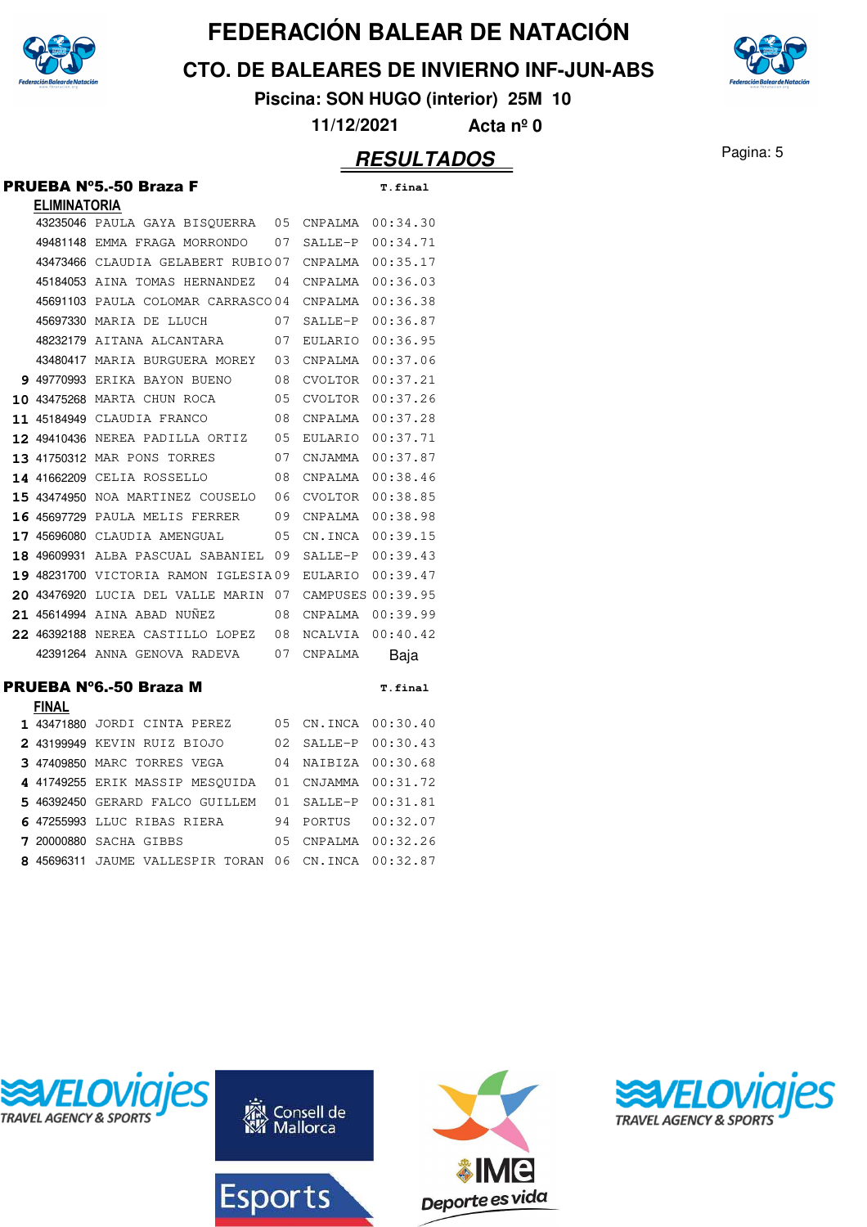

**CTO. DE BALEARES DE INVIERNO INF-JUN-ABS**



**Piscina: SON HUGO (interior) 25M 10**

**11/12/2021 Acta nº 0**

#### **RESULTADOS** Pagina: 5

#### PRUEBA Nº5.-50 Braza F **T.final ELIMINATORIA** 43235046 PAULA GAYA BISQUERRA 05 CNPALMA 00:34.30 49481148 EMMA FRAGA MORRONDO 07 SALLE-P 00:34.71 43473466 CLAUDIA GELABERT RUBIO 07 CNPALMA 00:35.17 45184053 AINA TOMAS HERNANDEZ 04 CNPALMA 00:36.03 45691103 PAULA COLOMAR CARRASCO 04 CNPALMA 00:36.38 45697330 MARIA DE LLUCH 07 SALLE-P 00:36.87 48232179 AITANA ALCANTARA 07 EULARIO 00:36.95 43480417 MARIA BURGUERA MOREY 03 CNPALMA 00:37.06 **9** 49770993 ERIKA BAYON BUENO 08 CVOLTOR 00:37.21 **10** 43475268 MARTA CHUN ROCA 05 CVOLTOR 00:37.26 **11** 45184949 CLAUDIA FRANCO 08 CNPALMA 00:37.28 **12 49410436 NEREA PADILLA ORTIZ 05 EULARIO 00:37.71 13 41750312 MAR PONS TORRES 07 CNJAMMA 00:37.87** 14 41662209 CELIA ROSSELLO 08 CNPALMA 00:38.46 15 43474950 NOA MARTINEZ COUSELO 06 CVOLTOR 00:38.85 **16** 45697729 PAULA MELIS FERRER 09 CNPALMA 00:38.98 **17 45696080 CLAUDIA AMENGUAL 05 CN.INCA 00:39.15** 18 49609931 ALBA PASCUAL SABANIEL 09 SALLE-P 00:39.43 19 48231700 VICTORIA RAMON IGLESIA 09 EULARIO 00:39.47 **20 43476920** LUCIA DEL VALLE MARIN 07 CAMPUSES 00:39.95 **21** 45614994 AINA ABAD NUÑEZ 08 CNPALMA 00:39.99 **22 46392188 NEREA CASTILLO LOPEZ 08 NCALVIA 00:40.42** 42391264 ANNA GENOVA RADEVA 07 CNPALMA Baja PRUEBA Nº6.-50 Braza M **T.final FINAL** 1 43471880 JORDI CINTA PEREZ 05 CN.INCA 00:30.40 **2** 43199949 KEVIN RUIZ BIOJO 02 SALLE-P 00:30.43 **3** 47409850 MARC TORRES VEGA 04 NAIBIZA 00:30.68 4 41749255 ERIK MASSIP MESQUIDA 01 CNJAMMA 00:31.72 5 46392450 GERARD FALCO GUILLEM 01 SALLE-P 00:31.81 6 47255993 LLUC RIBAS RIERA 94 PORTUS 00:32.07 **7** 20000880 SACHA GIBBS 05 CNPALMA 00:32.26 8 45696311 JAUME VALLESPIR TORAN 06 CN.INCA 00:32.87



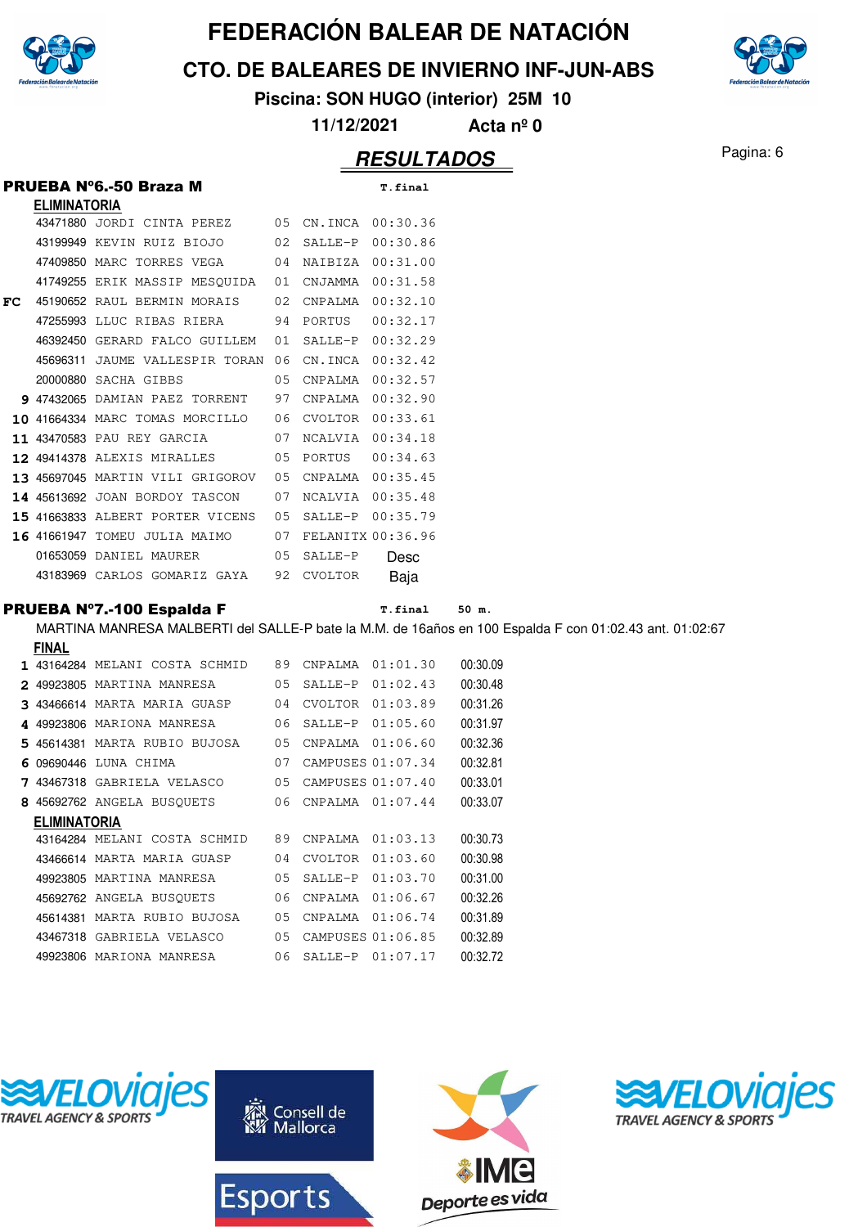

**CTO. DE BALEARES DE INVIERNO INF-JUN-ABS**

**Piscina: SON HUGO (interior) 25M 10**

**11/12/2021 Acta nº 0**

#### **RESULTADOS** Pagina: 6

|     |                     | PRUEBA Nº6.-50 Braza M                                            |    |                   | T.final                 |
|-----|---------------------|-------------------------------------------------------------------|----|-------------------|-------------------------|
|     | <b>ELIMINATORIA</b> |                                                                   |    |                   |                         |
|     |                     | 43471880 JORDI CINTA PEREZ 05 CN.INCA 00:30.36                    |    |                   |                         |
|     |                     | 43199949 KEVIN RUIZ BIOJO 02                                      |    | SALLE-P 00:30.86  |                         |
|     |                     | 47409850 MARC TORRES VEGA 04                                      |    | NAIBIZA 00:31.00  |                         |
|     |                     | 41749255 ERIK MASSIP MESOUIDA 01                                  |    | CNJAMMA 00:31.58  |                         |
| FC. |                     | 45190652 RAUL BERMIN MORAIS 02                                    |    | CNPALMA  00:32.10 |                         |
|     |                     | 47255993 LLUC RIBAS RIERA 94                                      |    | PORTUS 00:32.17   |                         |
|     |                     | 46392450 GERARD FALCO GUILLEM 01                                  |    |                   | SALLE-P 00:32.29        |
|     |                     | 45696311 JAUME VALLESPIR TORAN 06                                 |    | CN.INCA 00:32.42  |                         |
|     |                     | 20000880 SACHA GIBBS                                              | 05 | CNPALMA 00:32.57  |                         |
|     |                     | 9 47432065 DAMIAN PAEZ TORRENT 97                                 |    | CNPALMA 00:32.90  |                         |
|     |                     | 10 41664334 MARC TOMAS MORCILLO 06                                |    | CVOLTOR 00:33.61  |                         |
|     |                     | 11 43470583 PAU REY GARCIA 07                                     |    | NCALVIA 00:34.18  |                         |
|     |                     | <b>12 49414378 ALEXIS MIRALLES</b> 05                             |    |                   |                         |
|     |                     | 13 45697045 MARTIN VILI GRIGOROV 05                               |    | CNPALMA 00:35.45  |                         |
|     |                     | 14 45613692 JOAN BORDOY TASCON 07                                 |    | NCALVIA 00:35.48  |                         |
|     |                     | <b>15 41663833 ALBERT PORTER VICENS</b> 05                        |    | SALLE-P 00:35.79  |                         |
|     |                     | 16 41661947 TOMEU JULIA MAIMO 07                                  |    | FELANITX 00:36.96 |                         |
|     |                     | 01653059 DANIEL MAURER 05                                         |    | SALLE-P           | Desc                    |
|     |                     | 43183969 CARLOS GOMARIZ GAYA 92                                   |    | CVOLTOR           | Baja                    |
|     |                     |                                                                   |    |                   |                         |
|     |                     | <b>PRUEBA N°7.-100 Espalda F</b>                                  |    |                   | <b>T.final</b><br>50 m. |
|     |                     | MARTINA MANRESA MALBERTI del SALLE-P bate la M.M. de 16años en 10 |    |                   |                         |
|     | <b>FILLAL</b>       |                                                                   |    |                   |                         |

m 100 Espalda F con 01:02.43 ant. 01:02:67 **FINAL** 1 43164284 MELANI COSTA SCHMID 89 CNPALMA 01:01.30 00:30.09 49923805 MARTINA MANRESA 05 SALLE-P 01:02.43 00:30.48 <sup>43466614</sup> MARTA MARIA GUASP 01:03.89 04 CVOLTOR 00:31.26 4 49923806 MARIONA MANRESA 06 SALLE-P 01:05.60 00:31.97

|                     | 5 45614381 MARTA RUBIO BUJOSA | 0.5 | CNPALMA 01:06.60     |          | 00:32.36 |
|---------------------|-------------------------------|-----|----------------------|----------|----------|
|                     | 6 09690446 LUNA CHIMA         | 07  | CAMPUSES 01:07.34    |          | 00:32.81 |
|                     | 7 43467318 GABRIELA VELASCO   | 0.5 | CAMPUSES $01:07.40$  |          | 00:33.01 |
|                     | 8 45692762 ANGELA BUSOUETS    | 06  | $CNPALMA$ $01:07.44$ |          | 00:33.07 |
| <b>ELIMINATORIA</b> |                               |     |                      |          |          |
|                     | 43164284 MELANI COSTA SCHMID  | 89  | CNPALMA              | 01:03.13 | 00:30.73 |
|                     | 43466614 MARTA MARIA GUASP    | 04  | CVOLTOR              | 01:03.60 | 00:30.98 |
|                     | 49923805 MARTINA MANRESA      | 0.5 | SALLE-P              | 01:03.70 | 00:31.00 |
|                     | 45692762 ANGELA BUSOUETS      | 06  | CNPALMA              | 01:06.67 | 00:32.26 |
|                     | 45614381 MARTA RUBIO BUJOSA   | 0.5 | CNPALMA              | 01:06.74 | 00:31.89 |
| 43467318            | GABRIELA VELASCO              | 0.5 | CAMPUSES 01:06.85    |          | 00:32.89 |
| 49923806            | MARIONA MANRESA               | 06  | SALLE-P              | 01:07.17 | 00:32.72 |
|                     |                               |     |                      |          |          |





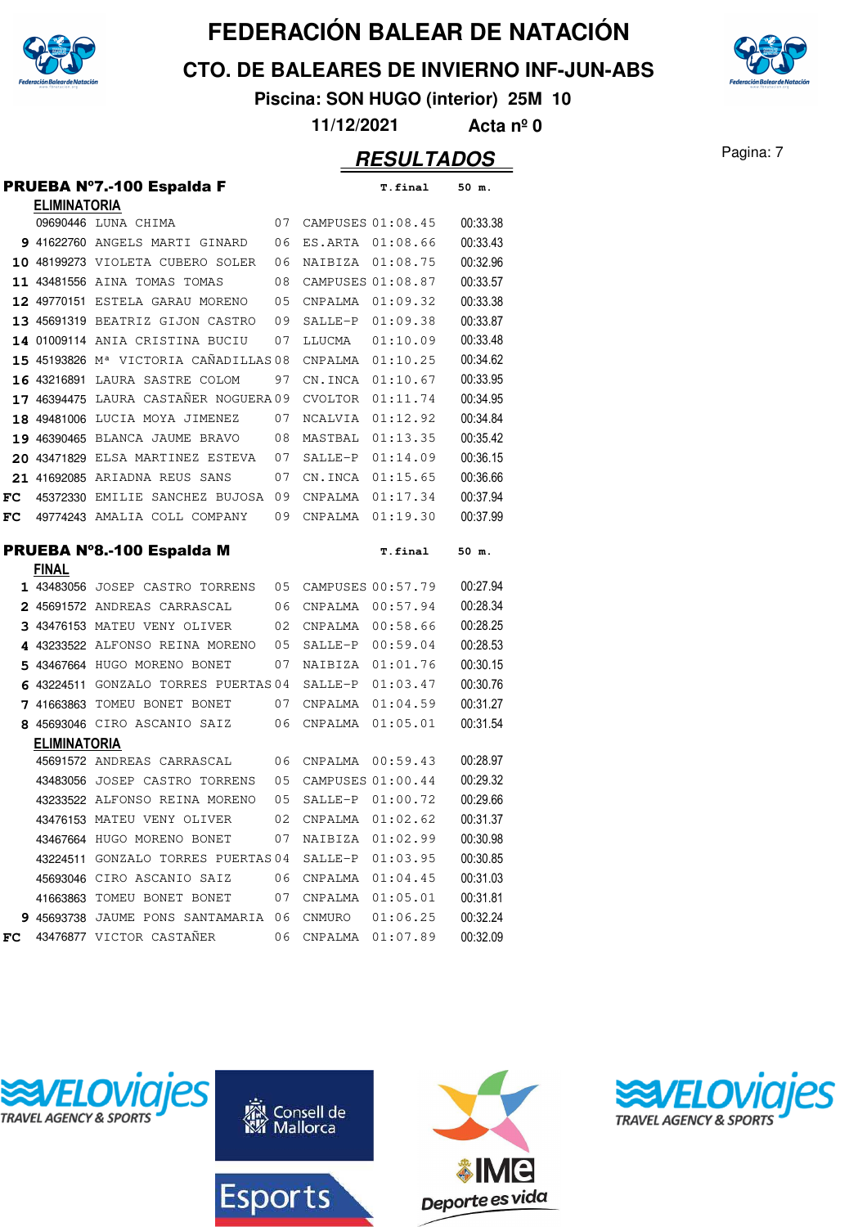

**CTO. DE BALEARES DE INVIERNO INF-JUN-ABS**



**Piscina: SON HUGO (interior) 25M 10**

**11/12/2021 Acta nº 0**

|    |                     | <b>PRUEBA Nº7.-100 Espalda F</b>                  |    |                   | <b>T.final</b> | 50 m.    |
|----|---------------------|---------------------------------------------------|----|-------------------|----------------|----------|
|    | <b>ELIMINATORIA</b> |                                                   |    |                   |                |          |
|    |                     | 09690446 LUNA CHIMA                               | 07 | CAMPUSES 01:08.45 |                | 00:33.38 |
|    |                     | 9 41622760 ANGELS MARTI GINARD                    | 06 | ES.ARTA           | 01:08.66       | 00:33.43 |
|    |                     | 10 48199273 VIOLETA CUBERO SOLER                  | 06 | NAIBIZA           | 01:08.75       | 00:32.96 |
|    |                     | 11 43481556 AINA TOMAS TOMAS                      | 08 | CAMPUSES 01:08.87 |                | 00:33.57 |
|    |                     | 12 49770151 ESTELA GARAU MORENO                   | 05 | CNPALMA           | 01:09.32       | 00:33.38 |
|    |                     | 13 45691319 BEATRIZ GIJON CASTRO                  | 09 | SALLE-P           | 01:09.38       | 00:33.87 |
|    |                     | 14 01009114 ANIA CRISTINA BUCIU                   | 07 | LLUCMA            | 01:10.09       | 00:33.48 |
|    |                     | 15 45193826 M <sup>a</sup> VICTORIA CAÑADILLAS 08 |    | CNPALMA           | 01:10.25       | 00:34.62 |
|    |                     | 16 43216891 LAURA SASTRE COLOM                    | 97 | CN.INCA           | 01:10.67       | 00:33.95 |
|    |                     | 17 46394475 LAURA CASTAÑER NOGUERA 09             |    | <b>CVOLTOR</b>    | 01:11.74       | 00:34.95 |
|    |                     | 18 49481006 LUCIA MOYA JIMENEZ                    | 07 | NCALVIA           | 01:12.92       | 00:34.84 |
|    |                     | 19 46390465 BLANCA JAUME BRAVO                    | 08 | MASTBAL           | 01:13.35       | 00:35.42 |
|    |                     | 20 43471829 ELSA MARTINEZ ESTEVA                  | 07 | SALLE-P           | 01:14.09       | 00:36.15 |
|    |                     | 21 41692085 ARIADNA REUS SANS                     | 07 | CN.INCA           | 01:15.65       | 00:36.66 |
| FC |                     | 45372330 EMILIE SANCHEZ BUJOSA                    | 09 | CNPALMA           | 01:17.34       | 00:37.94 |
| FC |                     | 49774243 AMALIA COLL COMPANY                      | 09 | CNPALMA           | 01:19.30       | 00:37.99 |
|    |                     | PRUEBA Nº8.-100 Espalda M                         |    |                   | T.final        | 50 m.    |
|    | <b>FINAL</b>        |                                                   |    |                   |                |          |
|    |                     | 1 43483056 JOSEP CASTRO TORRENS                   | 05 | CAMPUSES 00:57.79 |                | 00:27.94 |
|    |                     | 2 45691572 ANDREAS CARRASCAL                      | 06 | CNPALMA           | 00:57.94       | 00:28.34 |
|    |                     | 3 43476153 MATEU VENY OLIVER                      | 02 | CNPALMA           | 00:58.66       | 00:28.25 |
| 4  |                     | 43233522 ALFONSO REINA MORENO                     | 05 | SALLE-P           | 00:59.04       | 00:28.53 |
| 5  |                     | 43467664 HUGO MORENO BONET                        | 07 | NAIBIZA           | 01:01.76       | 00:30.15 |
| 6  | 43224511            | GONZALO TORRES PUERTAS 04                         |    | SALLE-P           | 01:03.47       | 00:30.76 |
| 7  |                     | 41663863 TOMEU BONET BONET                        | 07 | CNPALMA           | 01:04.59       | 00:31.27 |
|    |                     | 8 45693046 CIRO ASCANIO SAIZ                      | 06 | CNPALMA           | 01:05.01       | 00:31.54 |
|    | <b>ELIMINATORIA</b> |                                                   |    |                   |                |          |
|    |                     | 45691572 ANDREAS CARRASCAL                        | 06 | CNPALMA           | 00:59.43       | 00:28.97 |
|    |                     | 43483056 JOSEP CASTRO TORRENS                     | 05 | CAMPUSES 01:00.44 |                | 00:29.32 |
|    |                     | 43233522 ALFONSO REINA MORENO                     | 05 | SALLE-P           | 01:00.72       | 00:29.66 |
|    |                     | 43476153 MATEU VENY OLIVER                        | 02 | CNPALMA           | 01:02.62       | 00:31.37 |
|    |                     | 43467664 HUGO MORENO BONET                        | 07 | NAIBIZA           | 01:02.99       | 00:30.98 |
|    |                     | 43224511 GONZALO TORRES PUERTAS 04                |    | SALLE-P           | 01:03.95       | 00:30.85 |
|    |                     | 45693046 CIRO ASCANIO SAIZ                        | 06 | CNPALMA           | 01:04.45       | 00:31.03 |
|    |                     | 41663863 TOMEU BONET BONET                        | 07 | CNPALMA           | 01:05.01       | 00:31.81 |
|    |                     | 9 45693738 JAUME PONS SANTAMARIA                  | 06 | CNMURO            | 01:06.25       | 00:32.24 |
| FC |                     | 43476877 VICTOR CASTAÑER                          | 06 | CNPALMA           | 01:07.89       | 00:32.09 |







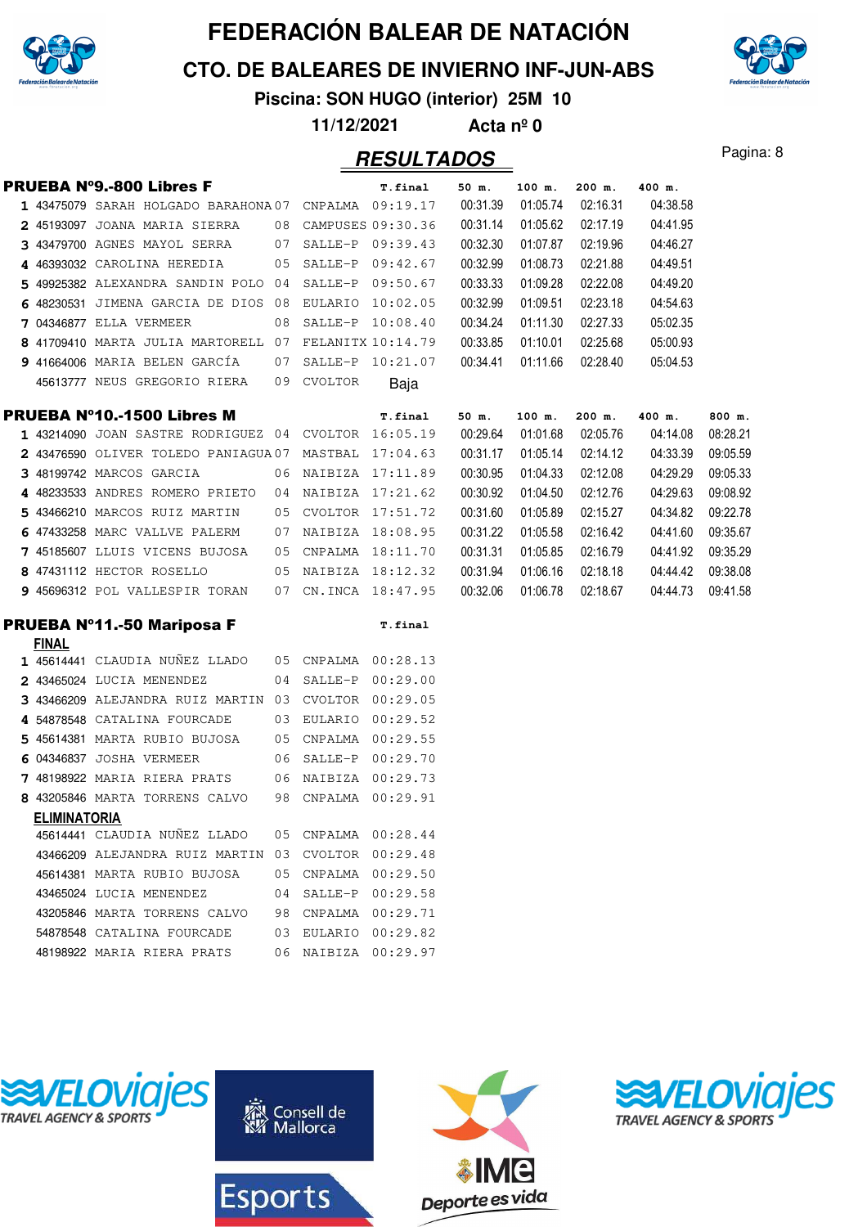

**CTO. DE BALEARES DE INVIERNO INF-JUN-ABS**

**Piscina: SON HUGO (interior) 25M 10**

**11/12/2021 Acta nº 0**

#### Pagina: 8 **RESULTADOS**

|  | PRUEBA Nº9.-800 Libres F                     |    |         | T.final           | 50 m.    | $100$ m. | 200 m.   | 400 m.   |          |
|--|----------------------------------------------|----|---------|-------------------|----------|----------|----------|----------|----------|
|  | 1 43475079 SARAH HOLGADO BARAHONA 07 CNPALMA |    |         | 09:19.17          | 00:31.39 | 01:05.74 | 02:16.31 | 04:38.58 |          |
|  | 2 45193097 JOANA MARIA SIERRA                | 08 |         | CAMPUSES 09:30.36 | 00:31.14 | 01:05.62 | 02:17.19 | 04:41.95 |          |
|  | 3 43479700 AGNES MAYOL SERRA                 | 07 | SALLE-P | 09:39.43          | 00:32.30 | 01:07.87 | 02:19.96 | 04:46.27 |          |
|  | 4 46393032 CAROLINA HEREDIA                  | 05 | SALLE-P | 09:42.67          | 00:32.99 | 01:08.73 | 02:21.88 | 04:49.51 |          |
|  | 5 49925382 ALEXANDRA SANDIN POLO             | 04 | SALLE-P | 09:50.67          | 00:33.33 | 01:09.28 | 02:22.08 | 04:49.20 |          |
|  | 6 48230531 JIMENA GARCIA DE DIOS             | 08 | EULARIO | 10:02.05          | 00:32.99 | 01:09.51 | 02:23.18 | 04:54.63 |          |
|  | <b>7 04346877 ELLA VERMEER</b>               | 08 | SALLE-P | 10:08.40          | 00:34.24 | 01:11.30 | 02:27.33 | 05:02.35 |          |
|  | 8 41709410 MARTA JULIA MARTORELL             | 07 |         | FELANITX 10:14.79 | 00:33.85 | 01:10.01 | 02:25.68 | 05:00.93 |          |
|  | 9 41664006 MARIA BELEN GARCÍA                | 07 | SALLE-P | 10:21.07          | 00:34.41 | 01:11.66 | 02:28.40 | 05:04.53 |          |
|  | 45613777 NEUS GREGORIO RIERA                 | 09 | CVOLTOR | Baja              |          |          |          |          |          |
|  |                                              |    |         |                   |          |          |          |          |          |
|  | PRUEBA N°10.-1500 Libres M                   |    |         | T.final           | 50 m.    | 100 m.   | $200$ m. | 400 m.   | 800 m.   |
|  | 1 43214090 JOAN SASTRE RODRIGUEZ 04 CVOLTOR  |    |         | 16:05.19          | 00:29.64 | 01:01.68 | 02:05.76 | 04:14.08 | 08:28.21 |
|  | 2 43476590 OLIVER TOLEDO PANIAGUA 07         |    | MASTBAL | 17:04.63          | 00:31.17 | 01:05.14 | 02:14.12 | 04:33.39 | 09:05.59 |
|  | 3 48199742 MARCOS GARCIA                     | 06 | NAIBIZA | 17:11.89          | 00:30.95 | 01:04.33 | 02:12.08 | 04:29.29 | 09:05.33 |
|  | 4 48233533 ANDRES ROMERO PRIETO              | 04 | NAIBIZA | 17:21.62          | 00:30.92 | 01:04.50 | 02:12.76 | 04:29.63 | 09:08.92 |
|  | 5 43466210 MARCOS RUIZ MARTIN                | 05 | CVOLTOR | 17:51.72          | 00:31.60 | 01:05.89 | 02:15.27 | 04:34.82 | 09:22.78 |
|  | 6 47433258 MARC VALLVE PALERM                | 07 | NAIBIZA | 18:08.95          | 00:31.22 | 01:05.58 | 02:16.42 | 04:41.60 | 09:35.67 |
|  | 7 45185607 LLUIS VICENS BUJOSA               | 05 | CNPALMA | 18:11.70          | 00:31.31 | 01:05.85 | 02:16.79 | 04:41.92 | 09:35.29 |
|  | 8 47431112 HECTOR ROSELLO                    | 05 | NAIBIZA | 18:12.32          | 00:31.94 | 01:06.16 | 02:18.18 | 04:44.42 | 09:38.08 |
|  | 9 45696312 POL VALLESPIR TORAN               | 07 | CN.INCA | 18:47.95          | 00:32.06 | 01:06.78 | 02:18.67 | 04:44.73 | 09:41.58 |

#### PRUEBA Nº11.-50 Mariposa F T.final

| FINAL                                 |                |                |          |
|---------------------------------------|----------------|----------------|----------|
| 1 45614441 CLAUDIA NUNEZ LLADO        | 0.5            | CNPALMA        | 00:28.13 |
| 2 43465024<br>LUCIA MENENDEZ          | 04             | $SATJ.F-P$     | 00:29.00 |
| 3 43466209 ALEJANDRA RUIZ MARTIN      | 03             | CVOLTOR        | 00:29.05 |
| 54878548 CATALINA FOURCADE<br>4       | 03             | EULARIO        | 00:29.52 |
| MARTA RUBIO BUJOSA<br>5 45614381      | 05             | CNPALMA        | 00:29.55 |
| <b>JOSHA VERMEER</b><br>04346837<br>6 | 06             | SALLE-P        | 00:29.70 |
| 7 48198922 MARIA RIERA PRATS          | 06             | NAIBIZA        | 00:29.73 |
| 43205846 MARTA TORRENS CALVO<br>8.    | 98             | CNPALMA        | 00:29.91 |
| ELIMINATORIA                          |                |                |          |
| 45614441 CLAUDIA NUÑEZ LLADO          | 0 <sub>5</sub> | CNPALMA        | 00:28.44 |
| 43466209<br>ALEJANDRA RUIZ MARTIN     | 03             | CVOLTOR        | 00:29.48 |
| 45614381<br>MARTA RUBIO BUJOSA        | 0.5            | CNPALMA        | 00:29.50 |
| 43465024 LUCIA MENENDEZ               | 04             | $SALLE-P$      | 00:29.58 |
| 43205846 MARTA TORRENS CALVO          | 98             | CNPALMA        | 00:29.71 |
| CATALINA FOURCADE<br>54878548         | 03             | <b>EULARIO</b> | 00:29.82 |
| 48198922 MARIA RIERA PRATS            | 06             | NAIBIZA        | 00:29.97 |







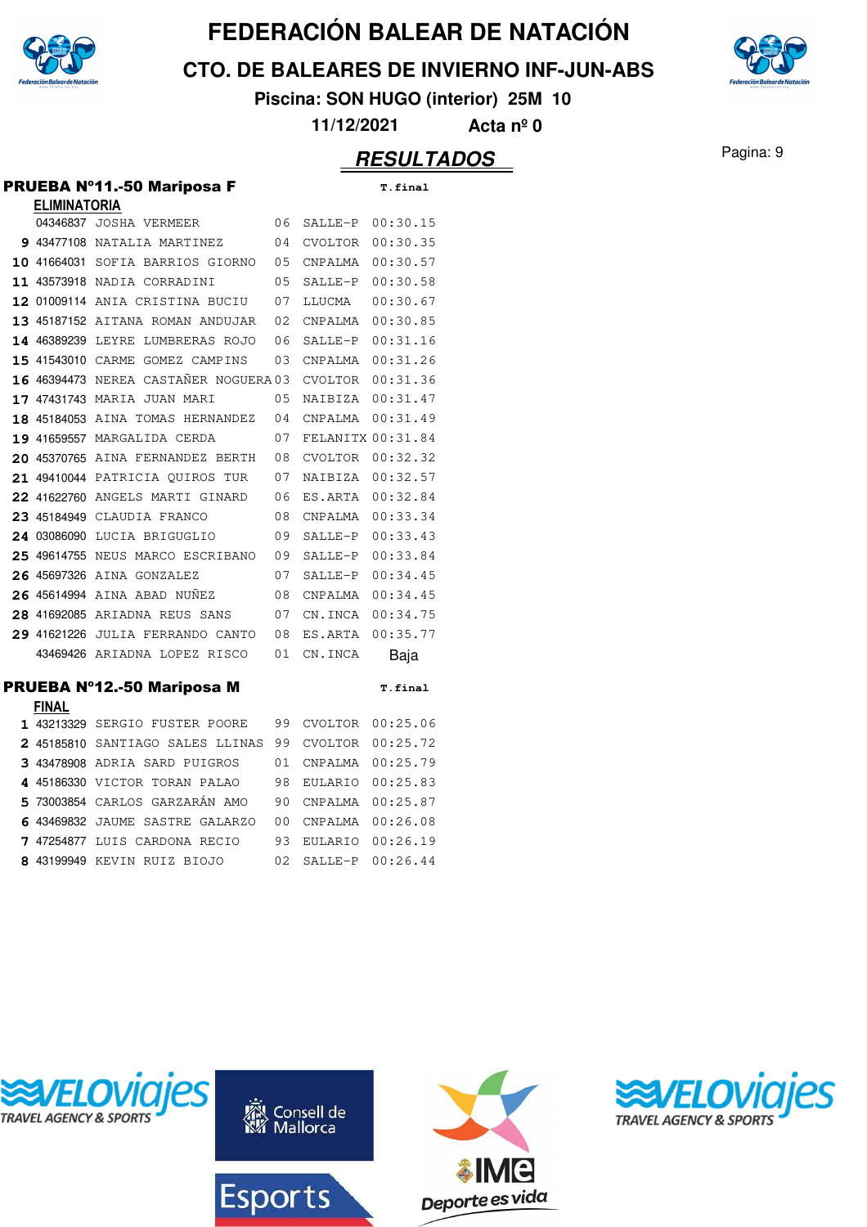

**CTO. DE BALEARES DE INVIERNO INF-JUN-ABS**

**Piscina: SON HUGO (interior) 25M 10**

**11/12/2021 Acta nº 0**

|   |                     | <b>PRUEBA Nº11.-50 Mariposa F</b>     |    |                   | T.final  |
|---|---------------------|---------------------------------------|----|-------------------|----------|
|   | <b>ELIMINATORIA</b> | 04346837 JOSHA VERMEER                | 06 | SALLE-P           | 00:30.15 |
|   |                     |                                       | 04 |                   | 00:30.35 |
|   |                     | 9 43477108 NATALIA MARTINEZ           |    | <b>CVOLTOR</b>    |          |
|   |                     | 10 41664031 SOFIA BARRIOS GIORNO      | 05 | CNPALMA           | 00:30.57 |
|   |                     | 11 43573918 NADIA CORRADINI           | 05 | SALLE-P           | 00:30.58 |
|   |                     | 12 01009114 ANIA CRISTINA BUCIU       | 07 | LLUCMA            | 00:30.67 |
|   |                     | 13 45187152 AITANA ROMAN ANDUJAR      | 02 | CNPALMA           | 00:30.85 |
|   | 14 46389239         | LEYRE LUMBRERAS ROJO                  | 06 | SALLE-P           | 00:31.16 |
|   |                     | 15 41543010 CARME GOMEZ CAMPINS       | 03 | CNPALMA           | 00:31.26 |
|   |                     | 16 46394473 NEREA CASTAÑER NOGUERA 03 |    | <b>CVOLTOR</b>    | 00:31.36 |
|   |                     | 17 47431743 MARIA JUAN MARI           | 05 | NAIBIZA           | 00:31.47 |
|   |                     | 18 45184053 AINA TOMAS HERNANDEZ      | 04 | CNPALMA           | 00:31.49 |
|   |                     | 19 41659557 MARGALIDA CERDA           | 07 | FELANITX 00:31.84 |          |
|   | 20 45370765         | AINA FERNANDEZ BERTH                  | 08 | <b>CVOLTOR</b>    | 00:32.32 |
|   |                     | 21 49410044 PATRICIA OUIROS TUR       | 07 | NAIBIZA           | 00:32.57 |
|   | 22 41622760         | ANGELS MARTI GINARD                   | 06 | ES.ARTA           | 00:32.84 |
|   | 23 45184949         | CLAUDIA FRANCO                        | 08 | CNPALMA           | 00:33.34 |
|   |                     | 24 03086090 LUCIA BRIGUGLIO           | 09 | SALLE-P           | 00:33.43 |
|   |                     | 25 49614755 NEUS MARCO ESCRIBANO      | 09 | SALLE-P           | 00:33.84 |
|   |                     | 26 45697326 AINA GONZALEZ             | 07 | SALLE-P           | 00:34.45 |
|   | 26 45614994         | AINA ABAD NUNEZ                       | 08 | CNPALMA           | 00:34.45 |
|   |                     | 28 41692085 ARIADNA REUS SANS         | 07 | CN.INCA           | 00:34.75 |
|   | 29 41621226         | JULIA FERRANDO CANTO                  | 08 | ES.ARTA           | 00:35.77 |
|   |                     | 43469426 ARIADNA LOPEZ RISCO          | 01 | CN.INCA           | Baja     |
|   |                     | PRUEBA Nº12.-50 Mariposa M            |    |                   | T.final  |
|   | <b>FINAL</b>        |                                       |    |                   |          |
|   |                     | 1 43213329 SERGIO FUSTER POORE        | 99 | <b>CVOLTOR</b>    | 00:25.06 |
|   |                     | 2 45185810 SANTIAGO SALES LLINAS      | 99 | <b>CVOLTOR</b>    | 00:25.72 |
|   |                     | 3 43478908 ADRIA SARD PUIGROS         | 01 | CNPALMA           | 00:25.79 |
|   | 4 45186330          | VICTOR TORAN PALAO                    | 98 | EULARIO           | 00:25.83 |
|   | 5 73003854          | CARLOS GARZARÁN AMO                   | 90 | CNPALMA           | 00:25.87 |
|   |                     | 6 43469832 JAUME SASTRE GALARZO       | 00 | CNPALMA           | 00:26.08 |
| 7 | 47254877            | LUIS CARDONA RECIO                    | 93 | EULARIO           | 00:26.19 |
| 8 | 43199949            | KEVIN RUIZ BIOJO                      | 02 | SALLE-P           | 00:26.44 |



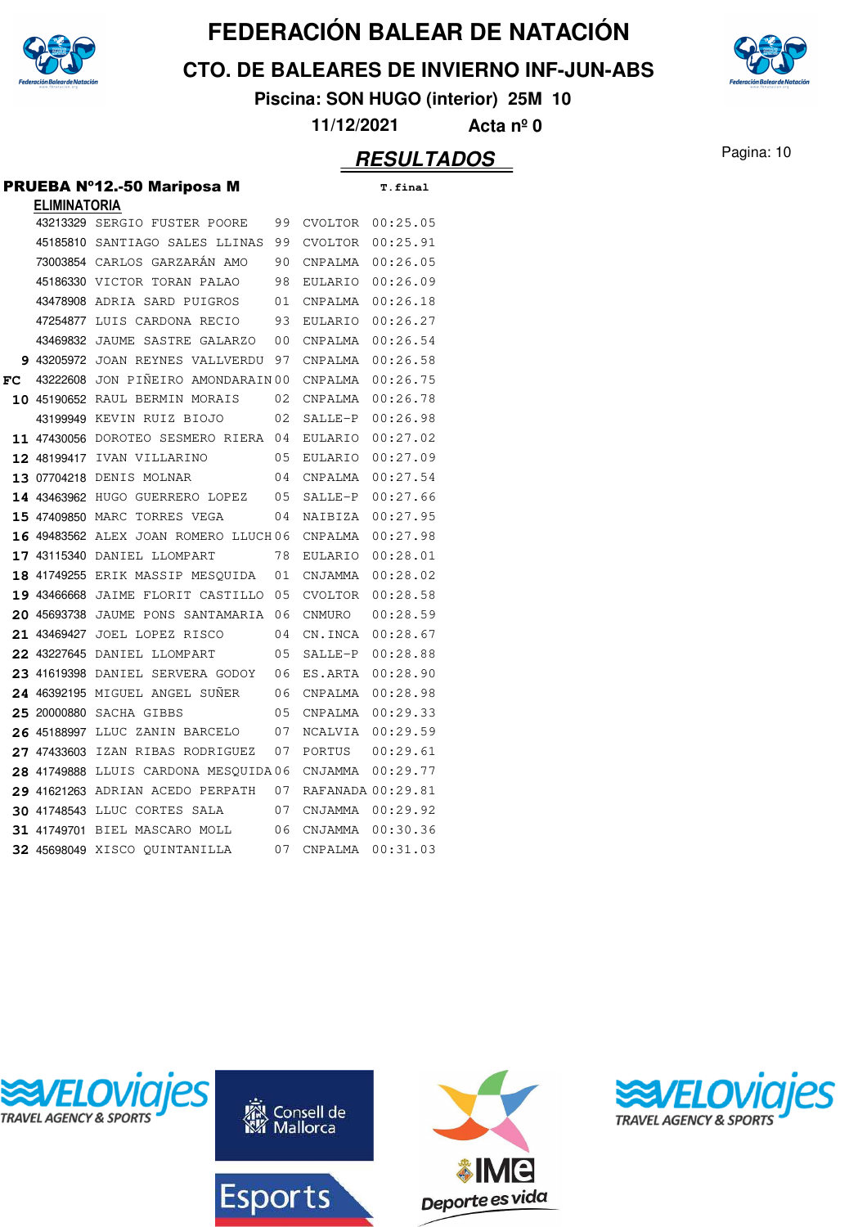

**CTO. DE BALEARES DE INVIERNO INF-JUN-ABS**



**Piscina: SON HUGO (interior) 25M 10**

**11/12/2021 Acta nº 0**

#### Pagina: 10 **RESULTADOS**

#### PRUEBA Nº12.-50 Mariposa M T.final

|    | <b>ELIMINATORIA</b> |                                      |    |                   |          |
|----|---------------------|--------------------------------------|----|-------------------|----------|
|    |                     | 43213329 SERGIO FUSTER POORE         | 99 | CVOLTOR           | 00:25.05 |
|    |                     | 45185810 SANTIAGO SALES LLINAS       | 99 | CVOLTOR           | 00:25.91 |
|    |                     | 73003854 CARLOS GARZARÁN AMO         | 90 | CNPALMA           | 00:26.05 |
|    |                     | 45186330 VICTOR TORAN PALAO          | 98 | EULARIO           | 00:26.09 |
|    |                     | 43478908 ADRIA SARD PUIGROS          | 01 | CNPALMA           | 00:26.18 |
|    |                     | 47254877 LUIS CARDONA RECIO          | 93 | EULARIO           | 00:26.27 |
|    |                     | 43469832 JAUME SASTRE GALARZO        | 00 | CNPALMA           | 00:26.54 |
|    | 9 43205972          | JOAN REYNES VALLVERDU                | 97 | CNPALMA           | 00:26.58 |
| FC |                     | 43222608 JON PIÑEIRO AMONDARAIN 00   |    | CNPALMA           | 00:26.75 |
|    |                     | 10 45190652 RAUL BERMIN MORAIS       | 02 | CNPALMA           | 00:26.78 |
|    |                     | 43199949 KEVIN RUIZ BIOJO            | 02 | SALLE-P           | 00:26.98 |
|    |                     | 11 47430056 DOROTEO SESMERO RIERA 04 |    | EULARIO           | 00:27.02 |
|    | 12 48199417         | IVAN VILLARINO                       | 05 | EULARIO           | 00:27.09 |
|    |                     | 13 07704218 DENIS MOLNAR             | 04 | CNPALMA           | 00:27.54 |
|    |                     | 14 43463962 HUGO GUERRERO LOPEZ      | 05 | SALLE-P           | 00:27.66 |
|    |                     | 15 47409850 MARC TORRES VEGA         | 04 | NAIBIZA           | 00:27.95 |
|    |                     | 16 49483562 ALEX JOAN ROMERO LLUCH06 |    | CNPALMA           | 00:27.98 |
|    |                     | 17 43115340 DANIEL LLOMPART          | 78 | EULARIO           | 00:28.01 |
|    |                     | 18 41749255 ERIK MASSIP MESQUIDA     | 01 | CNJAMMA           | 00:28.02 |
|    |                     | 19 43466668 JAIME FLORIT CASTILLO    | 05 | CVOLTOR           | 00:28.58 |
|    |                     | 20 45693738 JAUME PONS SANTAMARIA    | 06 | CNMURO            | 00:28.59 |
|    | 21 43469427         | JOEL LOPEZ RISCO                     | 04 | CN.INCA           | 00:28.67 |
|    |                     | 22 43227645 DANIEL LLOMPART          | 05 | SALLE-P           | 00:28.88 |
|    |                     | 23 41619398 DANIEL SERVERA GODOY     | 06 | ES.ARTA           | 00:28.90 |
|    |                     | 24 46392195 MIGUEL ANGEL SUNER       | 06 | CNPALMA           | 00:28.98 |
|    | 25 20000880         | SACHA GIBBS                          | 05 | CNPALMA           | 00:29.33 |
|    | 26 45188997         | LLUC ZANIN BARCELO                   | 07 | NCALVIA           | 00:29.59 |
|    | 27 47433603         | IZAN RIBAS RODRIGUEZ                 | 07 | PORTUS            | 00:29.61 |
|    |                     | 28 41749888 LLUIS CARDONA MESOUIDA06 |    | CNJAMMA           | 00:29.77 |
|    |                     | 29 41621263 ADRIAN ACEDO PERPATH     | 07 | RAFANADA 00:29.81 |          |
|    |                     | <b>30 41748543 LLUC CORTES SALA</b>  | 07 | CNJAMMA           | 00:29.92 |
|    |                     | 31 41749701 BIEL MASCARO MOLL        | 06 | CNJAMMA           | 00:30.36 |
|    |                     | 32 45698049 XISCO OUINTANILLA        | 07 | CNPALMA           | 00:31.03 |







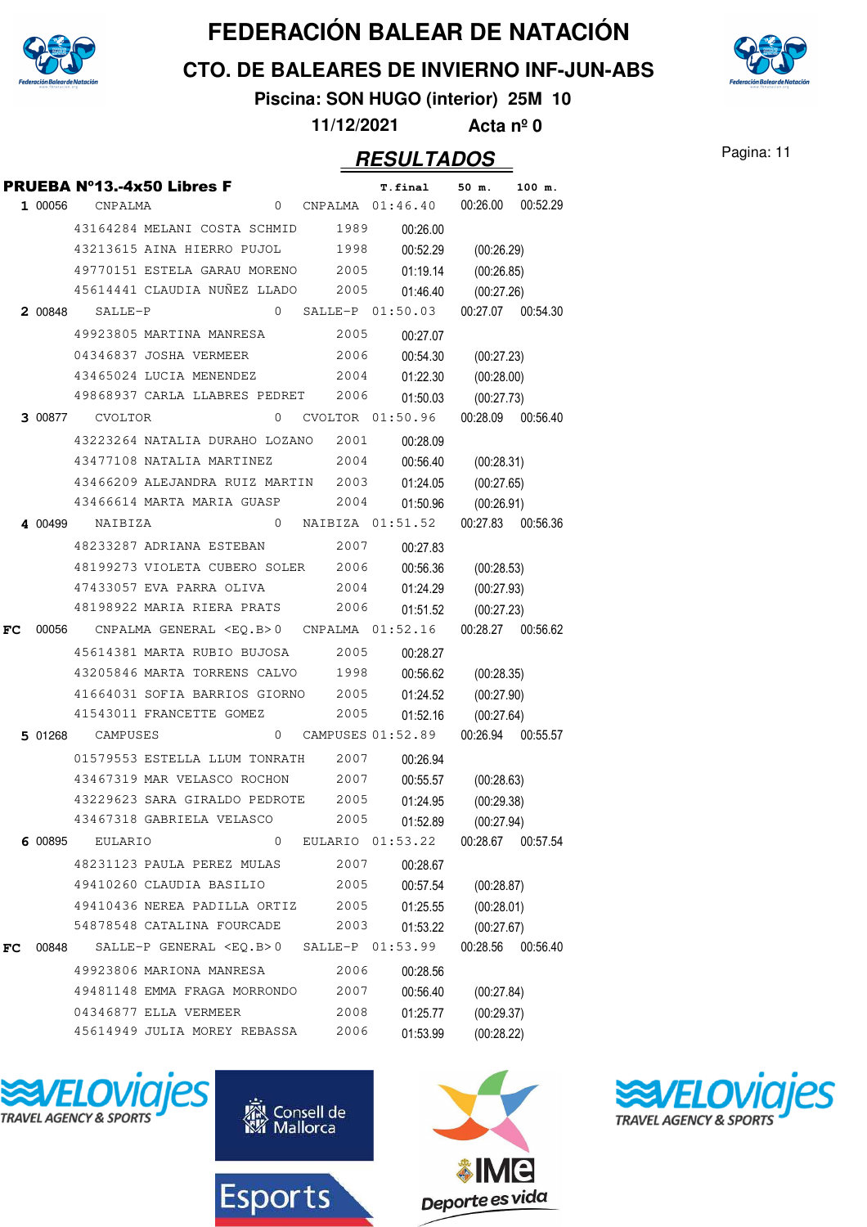

**CTO. DE BALEARES DE INVIERNO INF-JUN-ABS**

**Piscina: SON HUGO (interior) 25M 10**

**11/12/2021 Acta nº 0**

#### Pagina: 11 **RESULTADOS**

|    |         |                         | <b>PRUEBA Nº13.-4x50 Libres F</b>                     |              |      | <b>T.final</b>         | 50 m.             | 100 m.   |
|----|---------|-------------------------|-------------------------------------------------------|--------------|------|------------------------|-------------------|----------|
|    | 1 00056 | CNPALMA                 |                                                       |              |      | 0 CNPALMA 01:46.40     | 00:26.00          | 00:52.29 |
|    |         |                         | 43164284 MELANI COSTA SCHMID                          |              | 1989 | 00:26.00               |                   |          |
|    |         |                         | 43213615 AINA HIERRO PUJOL                            |              | 1998 | 00:52.29               | (00:26.29)        |          |
|    |         |                         | 49770151 ESTELA GARAU MORENO 2005                     |              |      | 01:19.14               | (00:26.85)        |          |
|    |         |                         | 45614441 CLAUDIA NUÑEZ LLADO                          |              | 2005 | 01:46.40               | (00:27.26)        |          |
|    | 2 00848 | SALLE-P                 |                                                       |              |      | $0$ SALLE-P $01:50.03$ | 00:27.07 00:54.30 |          |
|    |         |                         | 49923805 MARTINA MANRESA                              |              | 2005 | 00:27.07               |                   |          |
|    |         |                         | 04346837 JOSHA VERMEER                                |              | 2006 | 00:54.30               | (00:27.23)        |          |
|    |         |                         | 43465024 LUCIA MENENDEZ                               |              | 2004 | 01:22.30               | (00:28.00)        |          |
|    |         |                         | 49868937 CARLA LLABRES PEDRET                         |              | 2006 | 01:50.03               | (00:27.73)        |          |
|    | 3 00877 | CVOLTOR                 |                                                       |              |      | $0$ CVOLTOR $01:50.96$ | 00:28.09 00:56.40 |          |
|    |         |                         | 43223264 NATALIA DURAHO LOZANO 2001                   |              |      | 00:28.09               |                   |          |
|    |         |                         | 43477108 NATALIA MARTINEZ                             |              | 2004 | 00:56.40               | (00:28.31)        |          |
|    |         |                         | 43466209 ALEJANDRA RUIZ MARTIN 2003                   |              |      | 01:24.05               | (00:27.65)        |          |
|    |         |                         | 43466614 MARTA MARIA GUASP                            |              | 2004 | 01:50.96               | (00:26.91)        |          |
|    |         | 4 00499 NAIBIZA         |                                                       |              |      | 0 NAIBIZA 01:51.52     | 00:27.83 00:56.36 |          |
|    |         |                         | 48233287 ADRIANA ESTEBAN                              |              | 2007 | 00:27.83               |                   |          |
|    |         |                         | 48199273 VIOLETA CUBERO SOLER 2006                    |              |      | 00:56.36               | (00:28.53)        |          |
|    |         |                         | 47433057 EVA PARRA OLIVA                              |              | 2004 | 01:24.29               | (00:27.93)        |          |
|    |         |                         | 48198922 MARIA RIERA PRATS                            |              | 2006 | 01:51.52               | (00:27.23)        |          |
| FC |         |                         | 00056 CNPALMA GENERAL <eq.b>0 CNPALMA 01:52.16</eq.b> |              |      |                        | 00:28.27 00:56.62 |          |
|    |         |                         | 45614381 MARTA RUBIO BUJOSA                           |              | 2005 | 00:28.27               |                   |          |
|    |         |                         | 43205846 MARTA TORRENS CALVO 1998                     |              |      | 00:56.62               | (00:28.35)        |          |
|    |         |                         | 41664031 SOFIA BARRIOS GIORNO 2005                    |              |      | 01:24.52               | (00:27.90)        |          |
|    |         |                         | 41543011 FRANCETTE GOMEZ                              |              | 2005 | 01:52.16               | (00:27.64)        |          |
|    |         | <b>5 01268</b> CAMPUSES |                                                       | $\mathbf{0}$ |      | CAMPUSES 01:52.89      | 00:26.94 00:55.57 |          |
|    |         |                         | 01579553 ESTELLA LLUM TONRATH                         |              | 2007 | 00:26.94               |                   |          |
|    |         |                         | 43467319 MAR VELASCO ROCHON                           |              | 2007 | 00:55.57               | (00:28.63)        |          |
|    |         |                         | 43229623 SARA GIRALDO PEDROTE                         |              | 2005 | 01:24.95               | (00:29.38)        |          |
|    |         |                         | 43467318 GABRIELA VELASCO                             |              | 2005 | 01:52.89               | (00:27.94)        |          |
|    | 6 00895 | <b>EULARIO</b>          |                                                       | 0            |      | EULARIO 01:53.22       | 00:28.67          | 00:57.54 |
|    |         |                         | 48231123 PAULA PEREZ MULAS                            |              | 2007 | 00:28.67               |                   |          |
|    |         |                         | 49410260 CLAUDIA BASILIO                              |              | 2005 | 00:57.54               | (00:28.87)        |          |
|    |         |                         | 49410436 NEREA PADILLA ORTIZ                          |              | 2005 | 01:25.55               | (00:28.01)        |          |
|    |         |                         | 54878548 CATALINA FOURCADE                            |              | 2003 | 01:53.22               | (00:27.67)        |          |
| FC | 00848   |                         | SALLE-P GENERAL <eq.b>0 SALLE-P 01:53.99</eq.b>       |              |      |                        | 00:28.56          | 00:56.40 |
|    |         |                         | 49923806 MARIONA MANRESA                              |              | 2006 | 00:28.56               |                   |          |
|    |         |                         | 49481148 EMMA FRAGA MORRONDO                          |              | 2007 | 00:56.40               | (00:27.84)        |          |
|    |         |                         | 04346877 ELLA VERMEER                                 |              | 2008 | 01:25.77               | (00:29.37)        |          |
|    |         |                         | 45614949 JULIA MOREY REBASSA                          |              | 2006 | 01:53.99               | (00:28.22)        |          |









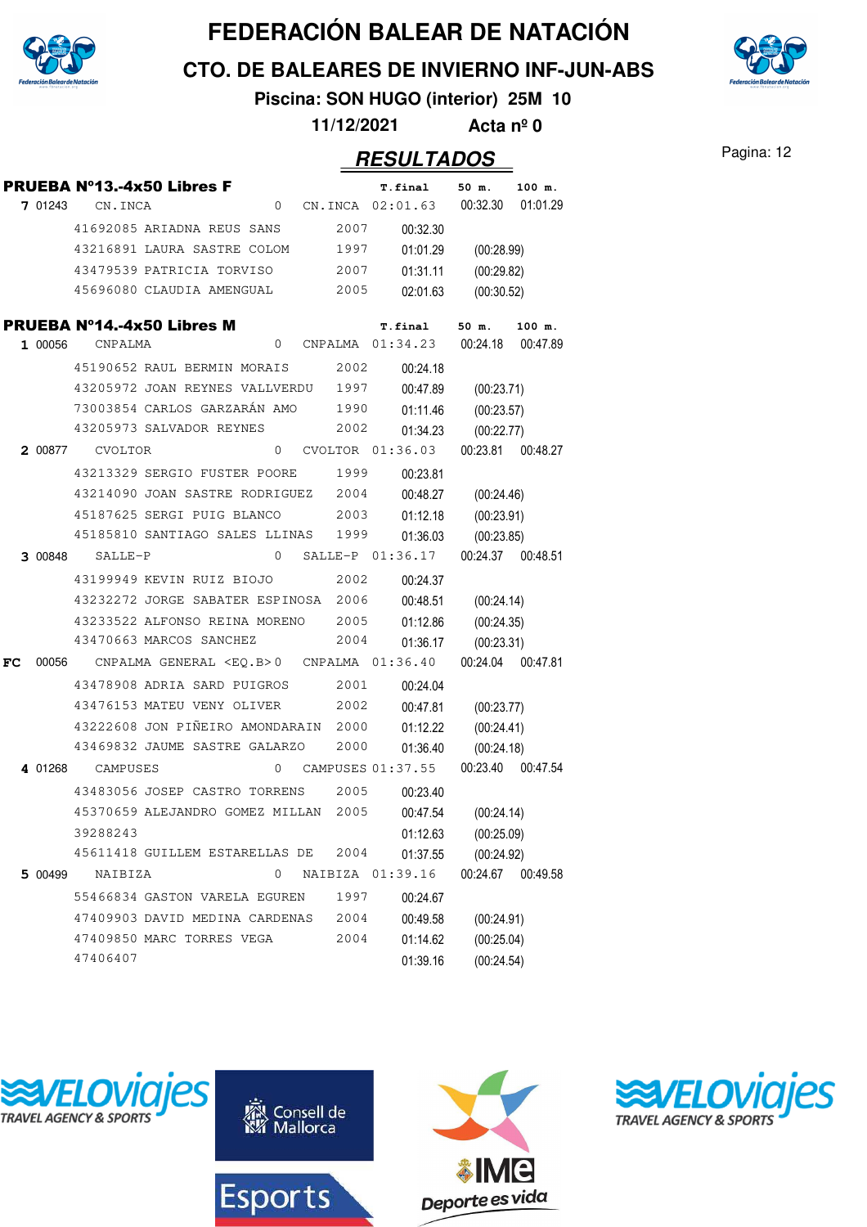

**CTO. DE BALEARES DE INVIERNO INF-JUN-ABS**

**Piscina: SON HUGO (interior) 25M 10**

**11/12/2021 Acta nº 0**

#### Pagina: 12 **RESULTADOS**

|    |         |                  | PRUEBA Nº13.-4x50 Libres F                            |   |      | <b>T.final</b>                       | 50 m.             | 100 m.            |
|----|---------|------------------|-------------------------------------------------------|---|------|--------------------------------------|-------------------|-------------------|
|    | 7 01243 | CN.INCA          |                                                       |   |      | 0 CN.INCA 02:01.63                   | 00:32.30          | 01:01.29          |
|    |         |                  | 41692085 ARIADNA REUS SANS                            |   | 2007 | 00:32.30                             |                   |                   |
|    |         |                  | 43216891 LAURA SASTRE COLOM                           |   | 1997 | 01:01.29                             | (00:28.99)        |                   |
|    |         |                  | 43479539 PATRICIA TORVISO                             |   | 2007 | 01:31.11                             | (00:29.82)        |                   |
|    |         |                  | 45696080 CLAUDIA AMENGUAL                             |   | 2005 | 02:01.63                             | (00:30.52)        |                   |
|    |         |                  | PRUEBA N°14.-4x50 Libres M                            |   |      | <b>T.final</b>                       | 50 m.             | 100 m.            |
|    | 1 00056 | CNPALMA          |                                                       |   |      | 0 CNPALMA 01:34.23                   | 00:24.18 00:47.89 |                   |
|    |         |                  | 45190652 RAUL BERMIN MORAIS                           |   | 2002 | 00:24.18                             |                   |                   |
|    |         |                  | 43205972 JOAN REYNES VALLVERDU 1997                   |   |      | 00:47.89                             | (00:23.71)        |                   |
|    |         |                  | 73003854 CARLOS GARZARÁN AMO                          |   | 1990 | 01:11.46                             | (00:23.57)        |                   |
|    |         |                  | 43205973 SALVADOR REYNES                              |   | 2002 | 01:34.23                             | (00:22.77)        |                   |
|    | 2 00877 | CVOLTOR          |                                                       | 0 |      | CVOLTOR 01:36.03                     | 00:23.81 00:48.27 |                   |
|    |         |                  | 43213329 SERGIO FUSTER POORE                          |   | 1999 | 00:23.81                             |                   |                   |
|    |         |                  | 43214090 JOAN SASTRE RODRIGUEZ                        |   | 2004 | 00:48.27                             | (00:24.46)        |                   |
|    |         |                  | 45187625 SERGI PUIG BLANCO                            |   | 2003 | 01:12.18                             | (00:23.91)        |                   |
|    |         |                  | 45185810 SANTIAGO SALES LLINAS                        |   | 1999 | 01:36.03                             | (00:23.85)        |                   |
|    | 3 00848 | SALLE-P          |                                                       |   |      | 0 SALLE-P 01:36.17 00:24.37 00:48.51 |                   |                   |
|    |         |                  | 43199949 KEVIN RUIZ BIOJO                             |   | 2002 | 00:24.37                             |                   |                   |
|    |         |                  | 43232272 JORGE SABATER ESPINOSA 2006                  |   |      | 00:48.51                             | (00:24.14)        |                   |
|    |         |                  | 43233522 ALFONSO REINA MORENO                         |   | 2005 | 01:12.86                             | (00:24.35)        |                   |
|    |         |                  | 43470663 MARCOS SANCHEZ                               |   | 2004 | 01:36.17                             | (00:23.31)        |                   |
| FC |         |                  | 00056 CNPALMA GENERAL <eq.b>0 CNPALMA 01:36.40</eq.b> |   |      |                                      | 00:24.04 00:47.81 |                   |
|    |         |                  | 43478908 ADRIA SARD PUIGROS                           |   | 2001 | 00:24.04                             |                   |                   |
|    |         |                  | 43476153 MATEU VENY OLIVER                            |   | 2002 | 00:47.81                             | (00:23.77)        |                   |
|    |         |                  | 43222608 JON PIÑEIRO AMONDARAIN                       |   | 2000 | 01:12.22                             | (00:24.41)        |                   |
|    |         |                  | 43469832 JAUME SASTRE GALARZO                         |   | 2000 | 01:36.40                             | (00:24.18)        |                   |
|    |         | 4 01268 CAMPUSES |                                                       |   |      | 0 CAMPUSES 01:37.55                  | 00:23.40 00:47.54 |                   |
|    |         |                  | 43483056 JOSEP CASTRO TORRENS                         |   | 2005 | 00:23.40                             |                   |                   |
|    |         |                  | 45370659 ALEJANDRO GOMEZ MILLAN                       |   | 2005 | 00:47.54                             | (00:24.14)        |                   |
|    |         | 39288243         |                                                       |   |      | 01:12.63                             | (00:25.09)        |                   |
|    |         |                  | 45611418 GUILLEM ESTARELLAS DE                        |   | 2004 | 01:37.55                             | (00:24.92)        |                   |
|    | 5 00499 | NAIBIZA          |                                                       | 0 |      | NAIBIZA 01:39.16                     |                   | 00:24.67 00:49.58 |
|    |         |                  | 55466834 GASTON VARELA EGUREN                         |   | 1997 | 00:24.67                             |                   |                   |
|    |         |                  | 47409903 DAVID MEDINA CARDENAS                        |   | 2004 | 00:49.58                             | (00:24.91)        |                   |
|    |         |                  | 47409850 MARC TORRES VEGA                             |   | 2004 | 01:14.62                             | (00:25.04)        |                   |
|    |         | 47406407         |                                                       |   |      | 01:39.16                             | (00:24.54)        |                   |









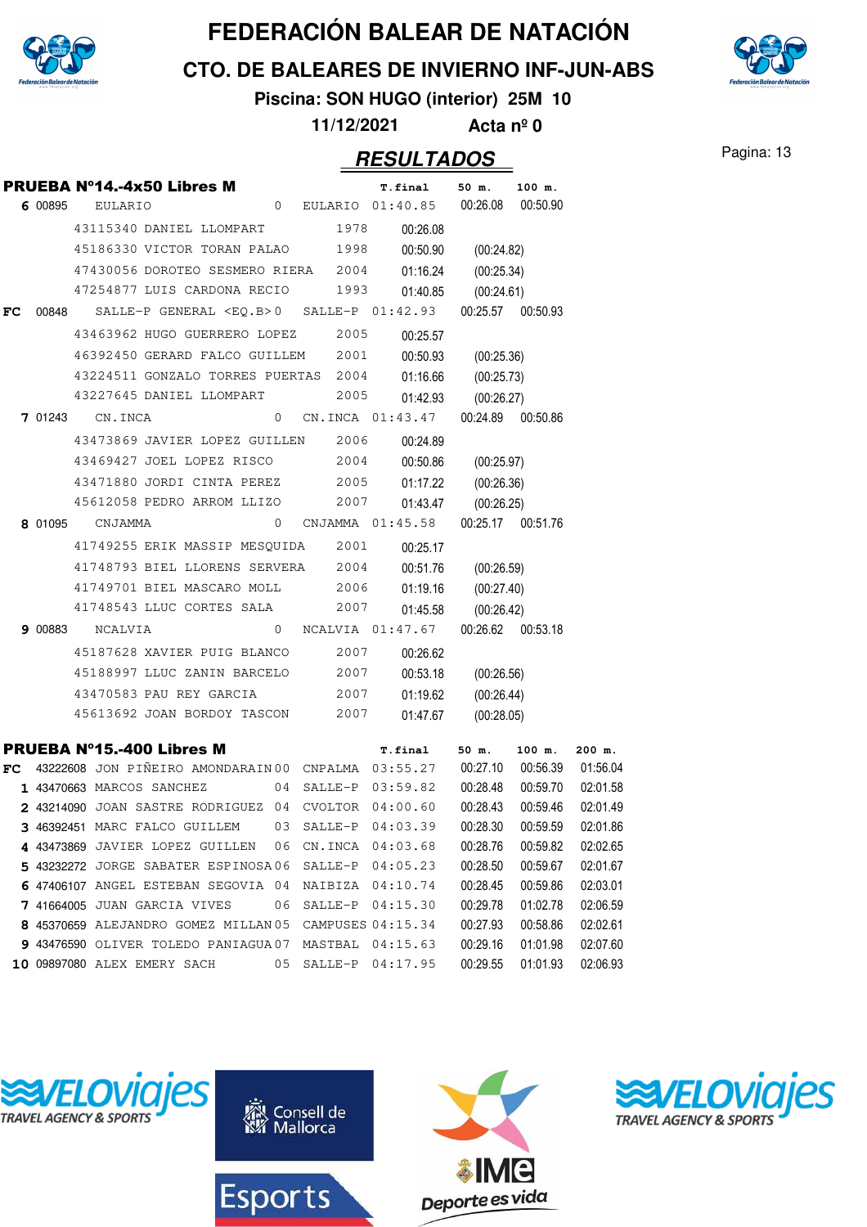

**CTO. DE BALEARES DE INVIERNO INF-JUN-ABS**

**Piscina: SON HUGO (interior) 25M 10**

**11/12/2021 Acta nº 0**

#### Pagina: 13 **RESULTADOS**

|     |         |                             | <b>PRUEBA Nº14.-4x50 Libres M</b>                                    |                |         | T.final                            | 50 m.               | 100 m.            |          |
|-----|---------|-----------------------------|----------------------------------------------------------------------|----------------|---------|------------------------------------|---------------------|-------------------|----------|
|     | 6 00895 | EULARIO                     |                                                                      | $\overline{0}$ |         | EULARIO 01:40.85 00:26.08 00:50.90 |                     |                   |          |
|     |         |                             | 43115340 DANIEL LLOMPART                                             |                | 1978    | 00:26.08                           |                     |                   |          |
|     |         |                             | 45186330 VICTOR TORAN PALAO 1998                                     |                |         |                                    | 00:50.90 (00:24.82) |                   |          |
|     |         |                             | 47430056 DOROTEO SESMERO RIERA 2004                                  |                |         |                                    | 01:16.24 (00:25.34) |                   |          |
|     |         |                             | 47254877 LUIS CARDONA RECIO                                          |                | 1993    | 01:40.85                           | (00:24.61)          |                   |          |
| FC. |         |                             | $00848$ SALLE-P GENERAL <eq.b>0 SALLE-P <math>01:42.93</math></eq.b> |                |         |                                    |                     | 00:25.57 00:50.93 |          |
|     |         |                             | 43463962 HUGO GUERRERO LOPEZ                                         |                | 2005    | 00:25.57                           |                     |                   |          |
|     |         |                             | 46392450 GERARD FALCO GUILLEM 2001                                   |                |         | 00:50.93                           | (00:25.36)          |                   |          |
|     |         |                             | 43224511 GONZALO TORRES PUERTAS 2004                                 |                |         |                                    | 01:16.66 (00:25.73) |                   |          |
|     |         |                             | 43227645 DANIEL LLOMPART                                             |                | 2005    | 01:42.93                           | (00:26.27)          |                   |          |
|     |         | <b>7 01243</b> CN.INCA      |                                                                      | $\overline{0}$ |         | CN.INCA 01:43.47                   |                     | 00:24.89 00:50.86 |          |
|     |         |                             | 43473869 JAVIER LOPEZ GUILLEN 2006                                   |                |         | 00:24.89                           |                     |                   |          |
|     |         |                             | 43469427 JOEL LOPEZ RISCO                                            |                | 2004    |                                    | 00:50.86 (00:25.97) |                   |          |
|     |         |                             | 43471880 JORDI CINTA PEREZ 2005                                      |                |         |                                    | 01:17.22 (00:26.36) |                   |          |
|     |         |                             | 45612058 PEDRO ARROM LLIZO                                           |                | 2007    | 01:43.47                           | (00:26.25)          |                   |          |
|     |         | 8 01095 CNJAMMA             |                                                                      | $\overline{0}$ |         | CNJAMMA 01:45.58                   |                     | 00:25.17 00:51.76 |          |
|     |         |                             | 41749255 ERIK MASSIP MESQUIDA 2001                                   |                |         | 00:25.17                           |                     |                   |          |
|     |         |                             | 41748793 BIEL LLORENS SERVERA 2004                                   |                |         |                                    | 00:51.76 (00:26.59) |                   |          |
|     |         |                             | 41749701 BIEL MASCARO MOLL 2006                                      |                |         |                                    | 01:19.16 (00:27.40) |                   |          |
|     |         |                             | 41748543 LLUC CORTES SALA                                            |                | 2007    | 01:45.58                           | (00:26.42)          |                   |          |
|     | 9 00883 | NCALVIA                     |                                                                      | $\overline{0}$ |         | NCALVIA 01:47.67                   |                     | 00:26.62 00:53.18 |          |
|     |         |                             | 45187628 XAVIER PUIG BLANCO 2007                                     |                |         | 00:26.62                           |                     |                   |          |
|     |         |                             | 45188997 LLUC ZANIN BARCELO 2007                                     |                |         |                                    | 00:53.18 (00:26.56) |                   |          |
|     |         |                             | 43470583 PAU REY GARCIA                                              |                | 2007    | 01:19.62                           | (00:26.44)          |                   |          |
|     |         |                             | 45613692 JOAN BORDOY TASCON 2007                                     |                |         | 01:47.67                           | (00:28.05)          |                   |          |
|     |         |                             | <b>PRUEBA Nº15.-400 Libres M</b>                                     |                |         | <b>T.final</b>                     | 50 m.               | 100 m.            | $200$ m. |
| FC  |         |                             | 43222608 JON PIÑEIRO AMONDARAIN 00 CNPALMA 03:55.27                  |                |         |                                    | 00:27.10            | 00:56.39          | 01:56.04 |
|     |         | 1 43470663 MARCOS SANCHEZ   |                                                                      |                |         | 04 SALLE-P 03:59.82                | 00:28.48            | 00:59.70          | 02:01.58 |
|     |         |                             | 2 43214090 JOAN SASTRE RODRIGUEZ 04 CVOLTOR 04:00.60                 |                |         |                                    | 00:28.43            | 00:59.46          | 02:01.49 |
|     |         |                             | 3 46392451 MARC FALCO GUILLEM                                        |                |         | 03 SALLE-P 04:03.39                | 00:28.30            | 00:59.59          | 02:01.86 |
|     |         |                             | 4 43473869 JAVIER LOPEZ GUILLEN 06 CN.INCA 04:03.68                  |                |         |                                    | 00:28.76            | 00:59.82          | 02:02.65 |
|     |         |                             | 5 43232272 JORGE SABATER ESPINOSA06                                  |                |         | SALLE-P 04:05.23                   | 00:28.50            | 00:59.67          | 02:01.67 |
|     |         |                             | 6 47406107 ANGEL ESTEBAN SEGOVIA 04                                  |                |         | NAIBIZA 04:10.74                   | 00:28.45            | 00:59.86          | 02:03.01 |
|     |         |                             | 7 41664005 JUAN GARCIA VIVES                                         | 06             |         | SALLE-P 04:15.30                   | 00:29.78            | 01:02.78          | 02:06.59 |
|     |         |                             | 8 45370659 ALEJANDRO GOMEZ MILLAN 05                                 |                |         | CAMPUSES 04:15.34                  | 00:27.93            | 00:58.86          | 02:02.61 |
|     |         |                             | 9 43476590 OLIVER TOLEDO PANIAGUA 07                                 |                | MASTBAL | 04:15.63                           | 00:29.16            | 01:01.98          | 02:07.60 |
|     |         | 10 09897080 ALEX EMERY SACH |                                                                      | 05             |         | SALLE-P 04:17.95                   | 00:29.55            | 01:01.93          | 02:06.93 |









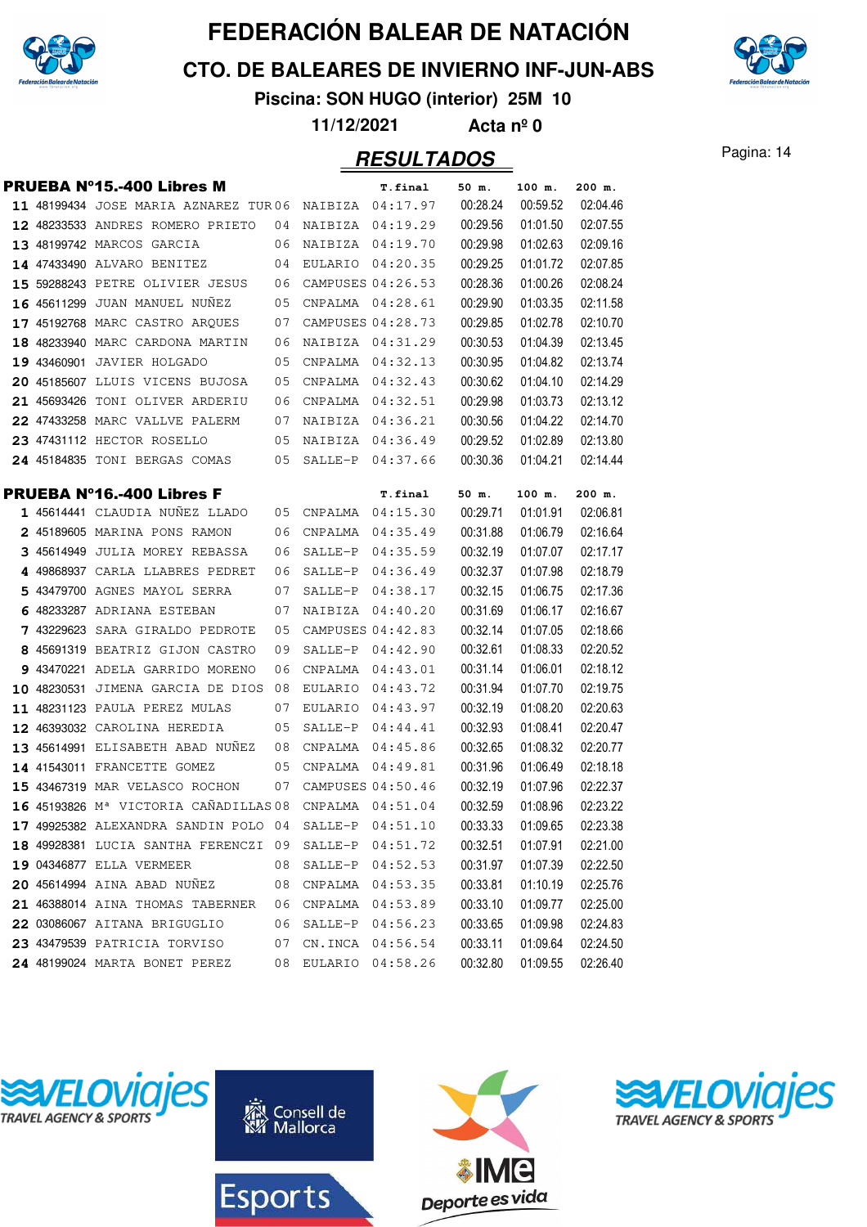

**CTO. DE BALEARES DE INVIERNO INF-JUN-ABS**



**Piscina: SON HUGO (interior) 25M 10**

**11/12/2021 Acta nº 0**

#### Pagina: 14 **RESULTADOS**

|  | <b>PRUEBA Nº15.-400 Libres M</b>                               |          |                     | T.final              | 50 m.                | 100 m.               | 200 m.               |
|--|----------------------------------------------------------------|----------|---------------------|----------------------|----------------------|----------------------|----------------------|
|  | 11 48199434 JOSE MARIA AZNAREZ TUR06 NAIBIZA 04:17.97          |          |                     |                      | 00:28.24             | 00:59.52             | 02:04.46             |
|  | 12 48233533 ANDRES ROMERO PRIETO                               | 04       |                     | NAIBIZA 04:19.29     | 00:29.56             | 01:01.50             | 02:07.55             |
|  | 13 48199742 MARCOS GARCIA                                      | 06       |                     | NAIBIZA 04:19.70     | 00:29.98             | 01:02.63             | 02:09.16             |
|  | 14 47433490 ALVARO BENITEZ                                     | 04       |                     | EULARIO 04:20.35     | 00:29.25             | 01:01.72             | 02:07.85             |
|  | 15 59288243 PETRE OLIVIER JESUS                                | 06       |                     | CAMPUSES 04:26.53    | 00:28.36             | 01:00.26             | 02:08.24             |
|  | 16 45611299 JUAN MANUEL NUNEZ                                  | 05       | CNPALMA             | 04:28.61             | 00:29.90             | 01:03.35             | 02:11.58             |
|  | 17 45192768 MARC CASTRO ARQUES                                 | 07       |                     | CAMPUSES 04:28.73    | 00:29.85             | 01:02.78             | 02:10.70             |
|  | 18 48233940 MARC CARDONA MARTIN                                | 06       |                     | NAIBIZA 04:31.29     | 00:30.53             | 01:04.39             | 02:13.45             |
|  | 19 43460901 JAVIER HOLGADO                                     | 05       | CNPALMA             | 04:32.13             | 00:30.95             | 01:04.82             | 02:13.74             |
|  | 20 45185607 LLUIS VICENS BUJOSA                                | 05       | CNPALMA             | 04:32.43             | 00:30.62             | 01:04.10             | 02:14.29             |
|  | 21 45693426 TONI OLIVER ARDERIU                                | 06       | CNPALMA             | 04:32.51             | 00:29.98             | 01:03.73             | 02:13.12             |
|  | 22 47433258 MARC VALLVE PALERM                                 | 07       |                     | NAIBIZA 04:36.21     | 00:30.56             | 01:04.22             | 02:14.70             |
|  | 23 47431112 HECTOR ROSELLO                                     | 05       | NAIBIZA             | 04:36.49             | 00:29.52             | 01:02.89             | 02:13.80             |
|  | 24 45184835 TONI BERGAS COMAS                                  | 05       | SALLE-P             | 04:37.66             | 00:30.36             | 01:04.21             | 02:14.44             |
|  |                                                                |          |                     |                      |                      |                      |                      |
|  | <b>PRUEBA Nº16.-400 Libres F</b>                               |          |                     | T.final              | 50 m.                | 100 m.               | 200 m.               |
|  | 1 45614441 CLAUDIA NUÑEZ LLADO                                 | 05<br>06 | CNPALMA             | 04:15.30             | 00:29.71             | 01:01.91             | 02:06.81             |
|  | 2 45189605 MARINA PONS RAMON<br>3 45614949 JULIA MOREY REBASSA | 06       | CNPALMA<br>SALLE-P  | 04:35.49<br>04:35.59 | 00:31.88<br>00:32.19 | 01:06.79<br>01:07.07 | 02:16.64<br>02:17.17 |
|  | 4 49868937 CARLA LLABRES PEDRET                                | 06       | SALLE-P             | 04:36.49             | 00:32.37             | 01:07.98             | 02:18.79             |
|  | 5 43479700 AGNES MAYOL SERRA                                   | 07       | SALLE-P             | 04:38.17             | 00:32.15             | 01:06.75             | 02:17.36             |
|  | 6 48233287 ADRIANA ESTEBAN                                     | 07       | NAIBIZA             | 04:40.20             | 00:31.69             | 01:06.17             | 02:16.67             |
|  | 7 43229623 SARA GIRALDO PEDROTE                                | 05       |                     | CAMPUSES 04:42.83    | 00:32.14             | 01:07.05             | 02:18.66             |
|  | 8 45691319 BEATRIZ GIJON CASTRO                                | 09       | SALLE-P             | 04:42.90             | 00:32.61             | 01:08.33             | 02:20.52             |
|  | 9 43470221 ADELA GARRIDO MORENO                                | 06       | CNPALMA             | 04:43.01             | 00:31.14             | 01:06.01             | 02:18.12             |
|  | 10 48230531 JIMENA GARCIA DE DIOS                              | 08       | EULARIO             | 04:43.72             | 00:31.94             | 01:07.70             | 02:19.75             |
|  | 11 48231123 PAULA PEREZ MULAS                                  | 07       |                     | EULARIO 04:43.97     | 00:32.19             | 01:08.20             | 02:20.63             |
|  | 12 46393032 CAROLINA HEREDIA                                   | 05       | SALLE-P             | 04:44.41             | 00:32.93             | 01:08.41             | 02:20.47             |
|  | 13 45614991 ELISABETH ABAD NUNEZ                               | 08       | CNPALMA             | 04:45.86             | 00:32.65             | 01:08.32             | 02:20.77             |
|  | 14 41543011 FRANCETTE GOMEZ                                    | 05       | CNPALMA             | 04:49.81             | 00:31.96             | 01:06.49             | 02:18.18             |
|  | 15 43467319 MAR VELASCO ROCHON                                 | 07       |                     | CAMPUSES 04:50.46    | 00:32.19             | 01:07.96             | 02:22.37             |
|  | 16 45193826 M <sup>ª</sup> VICTORIA CAÑADILLAS 08              |          | CNPALMA             | 04:51.04             | 00:32.59             | 01:08.96             | 02:23.22             |
|  | 17 49925382 ALEXANDRA SANDIN POLO 04                           |          | SALLE-P             | 04:51.10             | 00:33.33             | 01:09.65             | 02:23.38             |
|  | 18 49928381 LUCIA SANTHA FERENCZI 09 SALLE-P 04:51.72          |          |                     |                      | 00:32.51             | 01:07.91             | 02:21.00             |
|  | 19 04346877 ELLA VERMEER                                       | 08       | SALLE-P             | 04:52.53             | 00:31.97             | 01:07.39             | 02:22.50             |
|  | 20 45614994 AINA ABAD NUÑEZ                                    | 08       | CNPALMA 04:53.35    |                      | 00:33.81             | 01:10.19             | 02:25.76             |
|  | 21 46388014 AINA THOMAS TABERNER                               | 06       |                     | CNPALMA 04:53.89     | 00:33.10             | 01:09.77             | 02:25.00             |
|  | 22 03086067 AITANA BRIGUGLIO                                   | 06       | SALLE-P             | 04:56.23             | 00:33.65             | 01:09.98             | 02:24.83             |
|  | 23 43479539 PATRICIA TORVISO                                   | 07       | CN.INCA             | 04:56.54             | 00:33.11             | 01:09.64             | 02:24.50             |
|  | <b>24 48199024 MARTA BONET PEREZ</b>                           |          | 08 EULARIO 04:58.26 |                      | 00:32.80             | 01:09.55             | 02:26.40             |







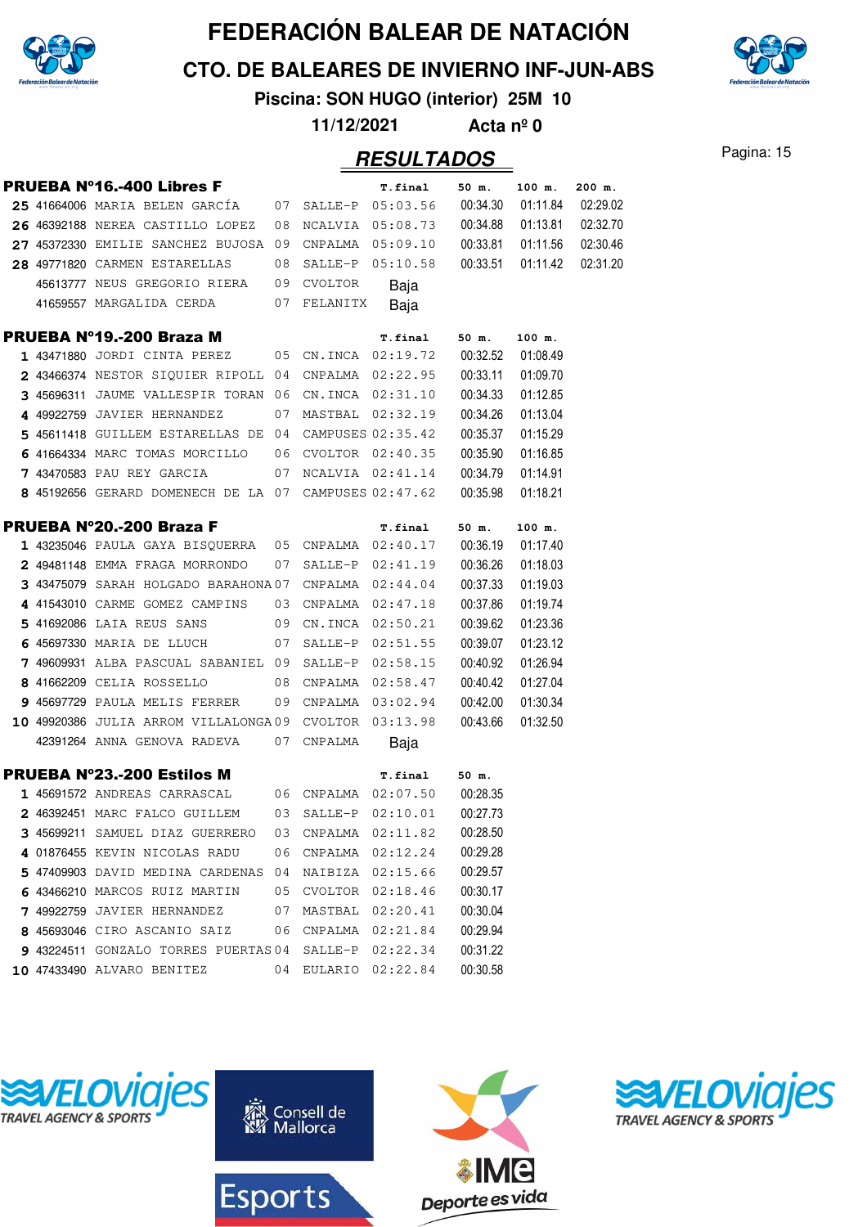

**CTO. DE BALEARES DE INVIERNO INF-JUN-ABS**

**Piscina: SON HUGO (interior) 25M 10**

**11/12/2021 Acta nº 0**

|  | <b>PRUEBA Nº16.-400 Libres F</b>                         |    |                     | <b>T.final</b>      | 50 m.    | 100 m.             | 200 m.   |
|--|----------------------------------------------------------|----|---------------------|---------------------|----------|--------------------|----------|
|  | $25$ 41664006 MARIA BELEN GARCIA $07$ SALLE-P $05:03.56$ |    |                     |                     | 00:34.30 | 01:11.84           | 02:29.02 |
|  | 26 46392188 NEREA CASTILLO LOPEZ                         | 08 |                     | NCALVIA 05:08.73    | 00:34.88 | 01:13.81           | 02:32.70 |
|  | 27 45372330 EMILIE SANCHEZ BUJOSA 09 CNPALMA 05:09.10    |    |                     |                     |          | 00:33.81  01:11.56 | 02:30.46 |
|  | 28 49771820 CARMEN ESTARELLAS                            | 08 | SALLE-P 05:10.58    |                     | 00:33.51 | 01:11.42           | 02:31.20 |
|  | 45613777 NEUS GREGORIO RIERA 09 CVOLTOR                  |    |                     | Baja                |          |                    |          |
|  | 41659557 MARGALIDA CERDA<br>07                           |    | FELANITX            | Baja                |          |                    |          |
|  | PRUEBA Nº19.-200 Braza M                                 |    |                     | <b>T.final</b>      | 50 m.    | 100 m.             |          |
|  | 1 43471880 JORDI CINTA PEREZ                             | 05 |                     | CN.INCA 02:19.72    | 00:32.52 | 01:08.49           |          |
|  | 2 43466374 NESTOR SIQUIER RIPOLL 04 CNPALMA 02:22.95     |    |                     |                     | 00:33.11 | 01:09.70           |          |
|  | 3 45696311 JAUME VALLESPIR TORAN 06 CN.INCA 02:31.10     |    |                     |                     | 00:34.33 | 01:12.85           |          |
|  | 4 49922759 JAVIER HERNANDEZ                              |    | 07 MASTBAL 02:32.19 |                     | 00:34.26 | 01:13.04           |          |
|  | 5 45611418 GUILLEM ESTARELLAS DE 04 CAMPUSES 02:35.42    |    |                     |                     | 00:35.37 | 01:15.29           |          |
|  | 6 41664334 MARC TOMAS MORCILLO 06 CVOLTOR 02:40.35       |    |                     |                     | 00:35.90 | 01:16.85           |          |
|  | <b>7</b> 43470583 PAU REY GARCIA                         |    |                     | 07 NCALVIA 02:41.14 | 00:34.79 | 01:14.91           |          |
|  | 8 45192656 GERARD DOMENECH DE LA 07 CAMPUSES 02:47.62    |    |                     |                     | 00:35.98 | 01:18.21           |          |
|  | <b>PRUEBA Nº20.-200 Braza F</b>                          |    |                     | <b>T.final</b>      | 50 m.    | 100 m.             |          |
|  | 1 43235046 PAULA GAYA BISOUERRA 05 CNPALMA 02:40.17      |    |                     |                     | 00:36.19 | 01:17.40           |          |
|  | 2 49481148 EMMA FRAGA MORRONDO                           |    | 07 SALLE-P          | 02:41.19            | 00:36.26 | 01:18.03           |          |
|  | 3 43475079 SARAH HOLGADO BARAHONA 07 CNPALMA 02:44.04    |    |                     |                     | 00:37.33 | 01:19.03           |          |
|  | 4 41543010 CARME GOMEZ CAMPINS                           |    | 03 CNPALMA 02:47.18 |                     | 00:37.86 | 01:19.74           |          |
|  | 5 41692086 LAIA REUS SANS                                |    | 09 CN.INCA 02:50.21 |                     | 00:39.62 | 01:23.36           |          |
|  | 6 45697330 MARIA DE LLUCH                                | 07 | SALLE-P             | 02:51.55            | 00:39.07 | 01:23.12           |          |
|  | 7 49609931 ALBA PASCUAL SABANIEL 09 SALLE-P 02:58.15     |    |                     |                     | 00:40.92 | 01:26.94           |          |
|  | 8 41662209 CELIA ROSSELLO                                |    | 08 CNPALMA 02:58.47 |                     | 00:40.42 | 01:27.04           |          |
|  | 9 45697729 PAULA MELIS FERRER                            |    |                     | 09 CNPALMA 03:02.94 | 00:42.00 | 01:30.34           |          |
|  | 10 49920386 JULIA ARROM VILLALONGA09                     |    |                     | CVOLTOR 03:13.98    | 00:43.66 | 01:32.50           |          |
|  | 42391264 ANNA GENOVA RADEVA                              | 07 | CNPALMA             | Baja                |          |                    |          |
|  | <b>PRUEBA Nº23.-200 Estilos M</b>                        |    |                     | <b>T.final</b>      | 50 m.    |                    |          |
|  | 1 45691572 ANDREAS CARRASCAL 06 CNPALMA 02:07.50         |    |                     |                     | 00:28.35 |                    |          |
|  | $2$ 46392451 MARC FALCO GUILLEM $03$ SALLE-P $02:10.01$  |    |                     |                     | 00:27.73 |                    |          |
|  | 3 45699211 SAMUEL DIAZ GUERRERO 03 CNPALMA 02:11.82      |    |                     |                     | 00:28.50 |                    |          |
|  | 4 01876455 KEVIN NICOLAS RADU                            | 06 | CNPALMA             | 02:12.24            | 00:29.28 |                    |          |
|  | 5 47409903 DAVID MEDINA CARDENAS 04 NAIBIZA              |    |                     | 02:15.66            | 00:29.57 |                    |          |
|  | 6 43466210 MARCOS RUIZ MARTIN                            |    | 05 CVOLTOR 02:18.46 |                     | 00:30.17 |                    |          |
|  | 7 49922759 JAVIER HERNANDEZ                              |    | 07 MASTBAL 02:20.41 |                     | 00:30.04 |                    |          |
|  | 8 45693046 CIRO ASCANIO SAIZ                             |    | 06 CNPALMA 02:21.84 |                     | 00:29.94 |                    |          |
|  | 9 43224511 GONZALO TORRES PUERTAS 04 SALLE-P 02:22.34    |    |                     |                     | 00:31.22 |                    |          |
|  | 10 47433490 ALVARO BENITEZ                               |    | 04 EULARIO 02:22.84 |                     | 00:30.58 |                    |          |







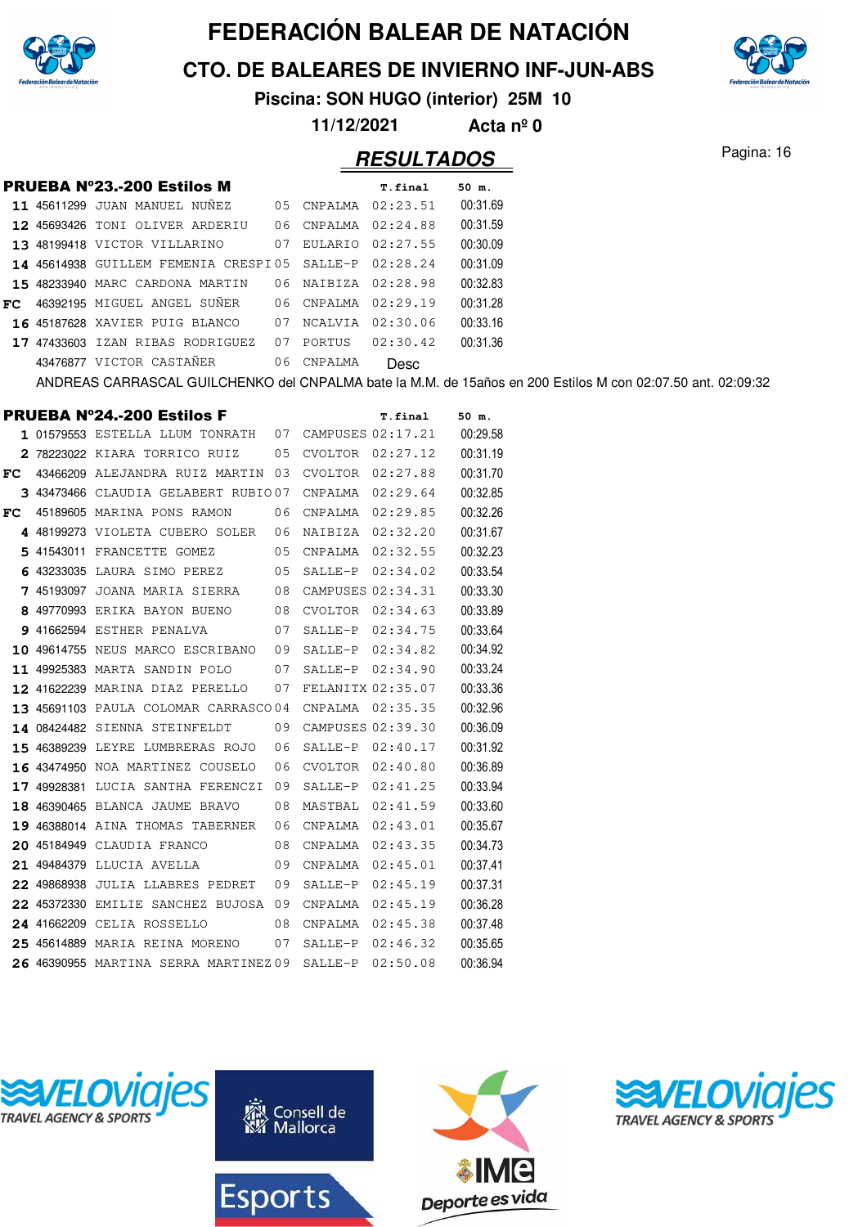

**CTO. DE BALEARES DE INVIERNO INF-JUN-ABS**



**Piscina: SON HUGO (interior) 25M 10**

**11/12/2021 Acta nº 0**

|  | <b>PRUEBA Nº23.-200 Estilos M</b>                                                                           |            | <b>T.final</b>      | $50$ m.  |
|--|-------------------------------------------------------------------------------------------------------------|------------|---------------------|----------|
|  | 11 45611299 JUAN MANUEL NUNEZ                                                                               | 05 CNPALMA | 02:23.51            | 00:31.69 |
|  | 12 45693426 TONI OLIVER ARDERIU                                                                             |            | 06 CNPALMA 02:24.88 | 00:31.59 |
|  | 13 48199418 VICTOR VILLARINO                                                                                |            | 07 EULARIO 02:27.55 | 00:30.09 |
|  | 14 45614938 GUILLEM FEMENIA CRESPI05 SALLE-P 02:28.24                                                       |            |                     | 00:31.09 |
|  | 15 48233940 MARC CARDONA MARTIN                                                                             |            | 06 NAIBIZA 02:28.98 | 00:32.83 |
|  | FC 46392195 MIGUEL ANGEL SUÑER                                                                              | 06 CNPALMA | 02:29.19            | 00:31.28 |
|  | <b>16 45187628 XAVIER PUIG BLANCO</b>                                                                       | 07 NCALVIA | 02:30.06            | 00:33.16 |
|  | 17 47433603 IZAN RIBAS RODRIGUEZ                                                                            | 07 PORTUS  | 02:30.42            | 00:31.36 |
|  | 43476877 VICTOR CASTAÑER                                                                                    | 06 CNPALMA | Desc                |          |
|  | ANDREAS CARRASCAL GUILCHENKO del CNPALMA bate la M.M. de 15años en 200 Estilos M con 02:07.50 ant. 02:09:32 |            |                     |          |

|     | PRUEBA Nº24.-200 Estilos F            |    |                   | T.final           | 50 m.    |
|-----|---------------------------------------|----|-------------------|-------------------|----------|
|     | 1 01579553 ESTELLA LLUM TONRATH       | 07 |                   | CAMPUSES 02:17.21 | 00:29.58 |
|     | 2 78223022 KIARA TORRICO RUIZ         | 05 |                   | CVOLTOR 02:27.12  | 00:31.19 |
| FC. | 43466209 ALEJANDRA RUIZ MARTIN 03     |    | CVOLTOR           | 02:27.88          | 00:31.70 |
|     | 3 43473466 CLAUDIA GELABERT RUBIO07   |    | CNPALMA           | 02:29.64          | 00:32.85 |
| FC. | 45189605 MARINA PONS RAMON            | 06 | CNPALMA           | 02:29.85          | 00:32.26 |
|     | 4 48199273 VIOLETA CUBERO SOLER       | 06 | NAIBIZA           | 02:32.20          | 00:31.67 |
|     | 5 41543011 FRANCETTE GOMEZ            | 05 | CNPALMA           | 02:32.55          | 00:32.23 |
|     | 6 43233035 LAURA SIMO PEREZ           | 05 | SALLE-P           | 02:34.02          | 00:33.54 |
|     | 7 45193097 JOANA MARIA SIERRA         | 08 |                   | CAMPUSES 02:34.31 | 00:33.30 |
|     | 8 49770993 ERIKA BAYON BUENO          | 08 | CVOLTOR           | 02:34.63          | 00:33.89 |
|     | 9 41662594 ESTHER PENALVA             | 07 | SALLE-P           | 02:34.75          | 00:33.64 |
|     | 10 49614755 NEUS MARCO ESCRIBANO      | 09 | SALLE-P           | 02:34.82          | 00:34.92 |
|     | 11 49925383 MARTA SANDIN POLO         | 07 | SALLE-P           | 02:34.90          | 00:33.24 |
|     | 12 41622239 MARINA DIAZ PERELLO       | 07 | FELANITX 02:35.07 |                   | 00:33.36 |
|     | 13 45691103 PAULA COLOMAR CARRASCO04  |    | CNPALMA           | 02:35.35          | 00:32.96 |
|     | 14 08424482 SIENNA STEINFELDT         | 09 |                   | CAMPUSES 02:39.30 | 00:36.09 |
|     | 15 46389239 LEYRE LUMBRERAS ROJO      | 06 | SALLE-P           | 02:40.17          | 00:31.92 |
|     | 16 43474950 NOA MARTINEZ COUSELO      | 06 | CVOLTOR           | 02:40.80          | 00:36.89 |
|     | 17 49928381 LUCIA SANTHA FERENCZI     | 09 | SALLE-P           | 02:41.25          | 00:33.94 |
|     | 18 46390465 BLANCA JAUME BRAVO        | 08 | MASTBAL           | 02:41.59          | 00:33.60 |
|     | 19 46388014 AINA THOMAS TABERNER      | 06 | CNPALMA           | 02:43.01          | 00:35.67 |
|     | 20 45184949 CLAUDIA FRANCO            | 08 | CNPALMA           | 02:43.35          | 00:34.73 |
|     | 21 49484379 LLUCIA AVELLA             | 09 | CNPALMA           | 02:45.01          | 00:37.41 |
|     | 22 49868938 JULIA LLABRES PEDRET      | 09 | SALLE-P           | 02:45.19          | 00:37.31 |
|     | 22 45372330 EMILIE SANCHEZ BUJOSA 09  |    | CNPALMA           | 02:45.19          | 00:36.28 |
|     | 24 41662209 CELIA ROSSELLO            | 08 | CNPALMA           | 02:45.38          | 00:37.48 |
|     | 25 45614889 MARIA REINA MORENO        | 07 | SALLE-P           | 02:46.32          | 00:35.65 |
|     | 26 46390955 MARTINA SERRA MARTINEZ 09 |    | SALLE-P           | 02:50.08          | 00:36.94 |







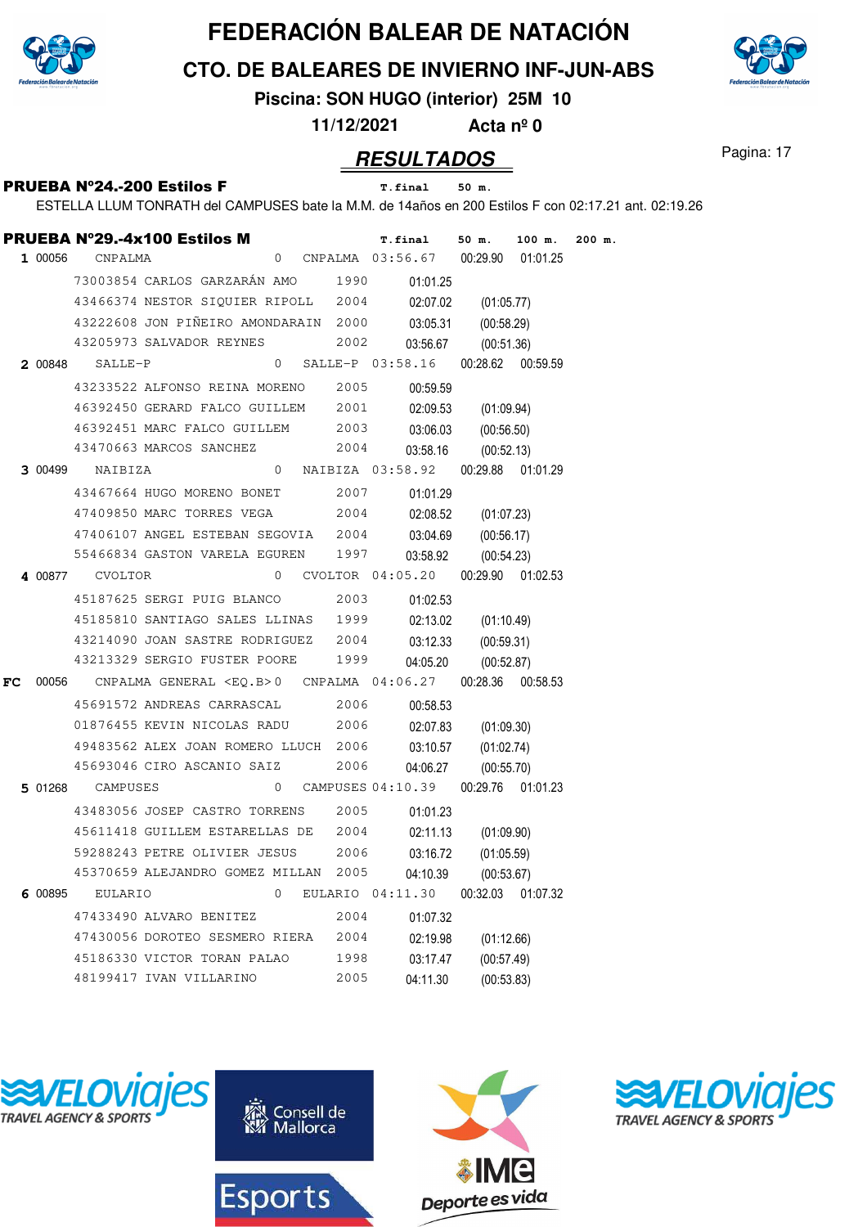

**CTO. DE BALEARES DE INVIERNO INF-JUN-ABS**



**Piscina: SON HUGO (interior) 25M 10**

**11/12/2021 Acta nº 0**

#### **RESULTADOS** Pagina: 17

|    |         | <b>PRUEBA Nº29.-4x100 Estilos M</b>  |         |                |      | <b>T.final</b>                                        | $50$ m.             | 100 m.            | $200$ m. |
|----|---------|--------------------------------------|---------|----------------|------|-------------------------------------------------------|---------------------|-------------------|----------|
|    | 1 00056 | CNPALMA                              |         | $\overline{0}$ |      | CNPALMA 03:56.67 00:29.90 01:01.25                    |                     |                   |          |
|    |         | 73003854 CARLOS GARZARÁN AMO         |         |                | 1990 | 01:01.25                                              |                     |                   |          |
|    |         | 43466374 NESTOR SIQUIER RIPOLL 2004  |         |                |      | 02:07.02                                              | (01:05.77)          |                   |          |
|    |         | 43222608 JON PIÑEIRO AMONDARAIN 2000 |         |                |      | 03:05.31                                              | (00:58.29)          |                   |          |
|    |         | 43205973 SALVADOR REYNES             |         |                | 2002 | 03:56.67                                              | (00:51.36)          |                   |          |
|    | 2 00848 |                                      | SALLE-P |                |      | $0$ SALLE-P $03:58.16$                                |                     | 00:28.62 00:59.59 |          |
|    |         | 43233522 ALFONSO REINA MORENO        |         |                | 2005 | 00:59.59                                              |                     |                   |          |
|    |         | 46392450 GERARD FALCO GUILLEM 2001   |         |                |      | 02:09.53                                              | (01:09.94)          |                   |          |
|    |         | 46392451 MARC FALCO GUILLEM 2003     |         |                |      | 03:06.03                                              | (00:56.50)          |                   |          |
|    |         | 43470663 MARCOS SANCHEZ              |         |                | 2004 | 03:58.16                                              | (00:52.13)          |                   |          |
|    | 3 00499 | NAIBIZA                              |         |                |      | 0 NAIBIZA 03:58.92                                    |                     | 00:29.88 01:01.29 |          |
|    |         | 43467664 HUGO MORENO BONET           |         |                | 2007 | 01:01.29                                              |                     |                   |          |
|    |         | 47409850 MARC TORRES VEGA            |         |                | 2004 | 02:08.52                                              | (01:07.23)          |                   |          |
|    |         | 47406107 ANGEL ESTEBAN SEGOVIA 2004  |         |                |      | 03:04.69                                              | (00:56.17)          |                   |          |
|    |         | 55466834 GASTON VARELA EGUREN 1997   |         |                |      | 03:58.92                                              | (00:54.23)          |                   |          |
|    |         | 4 00877 CVOLTOR                      |         |                |      | 0 CVOLTOR 04:05.20                                    |                     | 00:29.90 01:02.53 |          |
|    |         | 45187625 SERGI PUIG BLANCO           |         |                | 2003 | 01:02.53                                              |                     |                   |          |
|    |         | 45185810 SANTIAGO SALES LLINAS 1999  |         |                |      | 02:13.02                                              | (01:10.49)          |                   |          |
|    |         | 43214090 JOAN SASTRE RODRIGUEZ 2004  |         |                |      | 03:12.33                                              | (00:59.31)          |                   |          |
|    |         | 43213329 SERGIO FUSTER POORE         |         |                | 1999 | 04:05.20                                              | (00:52.87)          |                   |          |
| FC |         |                                      |         |                |      | 00056 CNPALMA GENERAL <eq.b>0 CNPALMA 04:06.27</eq.b> |                     | 00:28.36 00:58.53 |          |
|    |         | 45691572 ANDREAS CARRASCAL           |         |                | 2006 | 00:58.53                                              |                     |                   |          |
|    |         | 01876455 KEVIN NICOLAS RADU          |         |                | 2006 | 02:07.83                                              | (01:09.30)          |                   |          |
|    |         | 49483562 ALEX JOAN ROMERO LLUCH 2006 |         |                |      | 03:10.57                                              | (01:02.74)          |                   |          |
|    |         | 45693046 CIRO ASCANIO SAIZ           |         |                | 2006 | 04:06.27                                              | (00:55.70)          |                   |          |
|    |         | 5 01268 CAMPUSES                     |         | $\overline{0}$ |      | CAMPUSES 04:10.39                                     |                     | 00:29.76 01:01.23 |          |
|    |         | 43483056 JOSEP CASTRO TORRENS        |         |                | 2005 | 01:01.23                                              |                     |                   |          |
|    |         | 45611418 GUILLEM ESTARELLAS DE 2004  |         |                |      | 02:11.13                                              | (01:09.90)          |                   |          |
|    |         | 59288243 PETRE OLIVIER JESUS 2006    |         |                |      |                                                       | 03:16.72 (01:05.59) |                   |          |
|    |         | 45370659 ALEJANDRO GOMEZ MILLAN 2005 |         |                |      | 04:10.39                                              | (00:53.67)          |                   |          |
|    | 6 00895 | EULARIO                              |         |                |      | 0 EULARIO 04:11.30 00:32.03 01:07.32                  |                     |                   |          |
|    |         | 47433490 ALVARO BENITEZ 2004         |         |                |      | 01:07.32                                              |                     |                   |          |
|    |         | 47430056 DOROTEO SESMERO RIERA 2004  |         |                |      |                                                       | 02:19.98 (01:12.66) |                   |          |
|    |         | 45186330 VICTOR TORAN PALAO 1998     |         |                |      |                                                       | 03:17.47 (00:57.49) |                   |          |
|    |         | 48199417 IVAN VILLARINO              |         |                | 2005 | 04:11.30                                              | (00:53.83)          |                   |          |

PRUEBA Nº24.-200 Estilos F **T.final 50 m.**







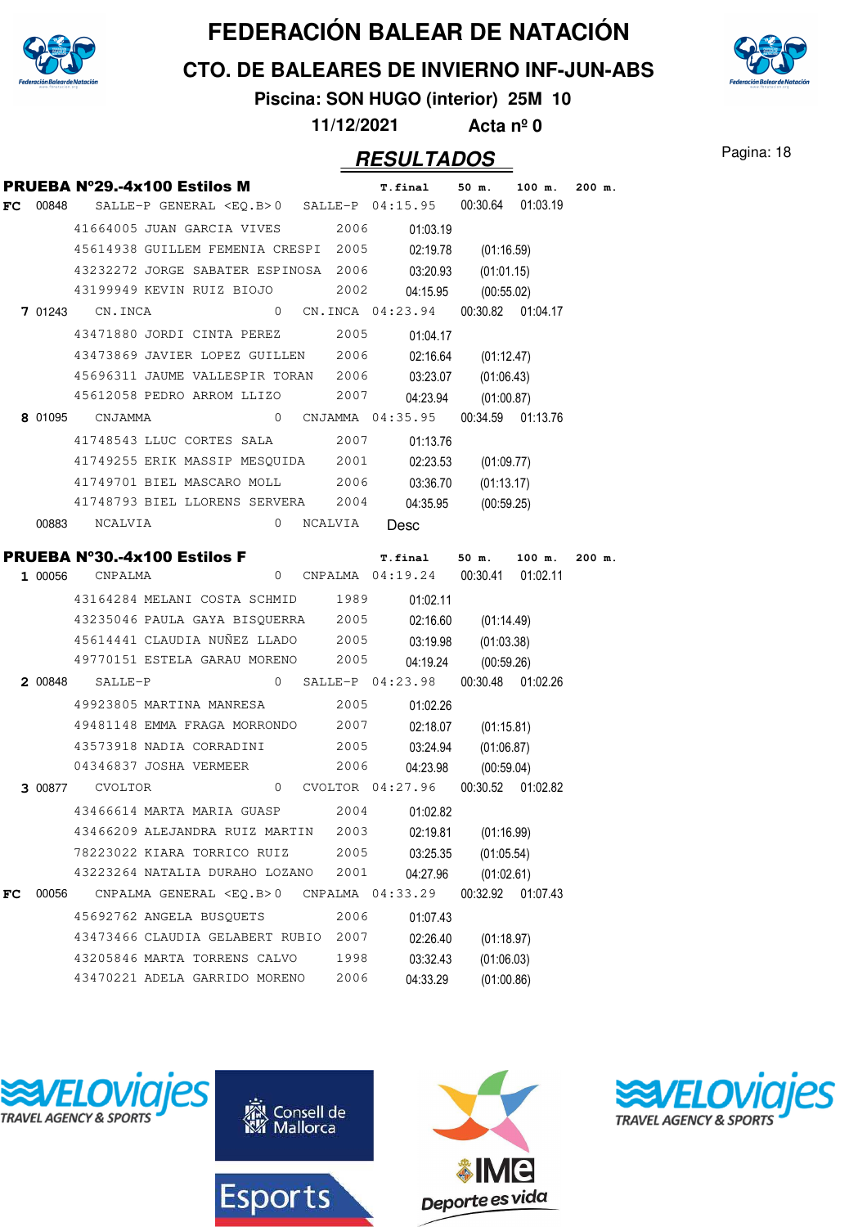

**CTO. DE BALEARES DE INVIERNO INF-JUN-ABS**



# **Piscina: SON HUGO (interior) 25M 10**

**11/12/2021 Acta nº 0**

#### Pagina: 18 **RESULTADOS**

|    |       |                        | <b>PRUEBA Nº29.-4x100 Estilos M</b>                                                                               |                  | <b>T.final</b>                             | 50 m.                    | 100 m.   | $200$ m. |
|----|-------|------------------------|-------------------------------------------------------------------------------------------------------------------|------------------|--------------------------------------------|--------------------------|----------|----------|
|    |       |                        | FC 00848 SALLE-P GENERAL <eq.b>0 SALLE-P <math>04:15.95</math> 00:30.64 01:03.19</eq.b>                           |                  |                                            |                          |          |          |
|    |       |                        | 41664005 JUAN GARCIA VIVES 2006                                                                                   |                  | 01:03.19                                   |                          |          |          |
|    |       |                        | 45614938 GUILLEM FEMENIA CRESPI 2005                                                                              |                  |                                            | 02:19.78 (01:16.59)      |          |          |
|    |       |                        | 43232272 JORGE SABATER ESPINOSA 2006 03:20.93                                                                     |                  |                                            | (01:01.15)               |          |          |
|    |       |                        | 43199949 KEVIN RUIZ BIOJO 2002                                                                                    |                  |                                            | 04:15.95 (00:55.02)      |          |          |
|    |       | <b>7 01243</b> CN.INCA |                                                                                                                   |                  | 0 CN.INCA 04:23.94 00:30.82 01:04.17       |                          |          |          |
|    |       |                        | 43471880 JORDI CINTA PEREZ 2005 01:04.17                                                                          |                  |                                            |                          |          |          |
|    |       |                        | 43473869 JAVIER LOPEZ GUILLEN 2006                                                                                |                  |                                            | 02:16.64 (01:12.47)      |          |          |
|    |       |                        | 45696311 JAUME VALLESPIR TORAN 2006                                                                               |                  | 03:23.07                                   | (01:06.43)               |          |          |
|    |       |                        | 45612058 PEDRO ARROM LLIZO 2007                                                                                   |                  |                                            | 04:23.94 (01:00.87)      |          |          |
|    |       | 8 01095 CNJAMMA        |                                                                                                                   |                  | 0 CNJAMMA  04:35.95  00:34.59  01:13.76    |                          |          |          |
|    |       |                        | 41748543 LLUC CORTES SALA 2007                                                                                    |                  | 01:13.76                                   |                          |          |          |
|    |       |                        | 41749255 ERIK MASSIP MESQUIDA 2001                                                                                |                  |                                            | 02:23.53 (01:09.77)      |          |          |
|    |       |                        | 41749701 BIEL MASCARO MOLL 2006 03:36.70                                                                          |                  |                                            | (01:13.17)               |          |          |
|    |       |                        | 41748793 BIEL LLORENS SERVERA 2004                                                                                |                  |                                            | 04:35.95 (00:59.25)      |          |          |
|    |       | 00883 NCALVIA          |                                                                                                                   | 0 NCALVIA Desc   |                                            |                          |          |          |
|    |       |                        |                                                                                                                   |                  |                                            |                          |          |          |
|    |       |                        | <b>PRUEBA N°30.-4x100 Estilos F</b> 7. final 50 m. 100 m.<br>1 00056 CNPALMA 0 CNPALMA 04:19.24 00:30.41 01:02.11 |                  |                                            |                          |          | $200$ m. |
|    |       |                        | 43164284 MELANI COSTA SCHMID 1989 01:02.11                                                                        |                  |                                            |                          |          |          |
|    |       |                        | 43235046 PAULA GAYA BISQUERRA 2005 02:16.60 (01:14.49)                                                            |                  |                                            |                          |          |          |
|    |       |                        |                                                                                                                   |                  | 45614441 CLAUDIA NUÑEZ LLADO 2005 03:19.98 | (01:03.38)               |          |          |
|    |       |                        |                                                                                                                   |                  |                                            |                          |          |          |
|    |       |                        |                                                                                                                   |                  |                                            |                          |          |          |
|    |       |                        | 49770151 ESTELA GARAU MORENO 2005<br>$200848$ SALLE-P                                                             |                  |                                            | 04:19.24 (00:59.26)      |          |          |
|    |       |                        |                                                                                                                   |                  | 0 SALLE-P 04:23.98 00:30.48 01:02.26       |                          |          |          |
|    |       |                        | 49923805 MARTINA MANRESA 2005                                                                                     |                  | 01:02.26                                   |                          |          |          |
|    |       |                        | 49481148 EMMA FRAGA MORRONDO 2007                                                                                 |                  |                                            | 02:18.07 (01:15.81)      |          |          |
|    |       |                        | 43573918 NADIA CORRADINI 2005 03:24.94<br>04346837 JOSHA VERMEER                                                  |                  |                                            | (01:06.87)               |          |          |
|    |       | 3 00877 CVOLTOR        |                                                                                                                   | 2006             | 0 CVOLTOR 04:27.96 00:30.52 01:02.82       | 04:23.98 (00:59.04)      |          |          |
|    |       |                        |                                                                                                                   |                  |                                            |                          |          |          |
|    |       |                        | 43466614 MARTA MARIA GUASP 2004 01:02.82<br>43466209 ALEJANDRA RUIZ MARTIN 2003                                   |                  |                                            |                          |          |          |
|    |       |                        | 78223022 KIARA TORRICO RUIZ                                                                                       | 2005             | 02:19.81                                   | (01:16.99)               |          |          |
|    |       |                        | 43223264 NATALIA DURAHO LOZANO                                                                                    | 2001             | 03:25.35                                   | (01:05.54)               |          |          |
| FC | 00056 |                        | CNPALMA GENERAL <eq.b>0</eq.b>                                                                                    | CNPALMA 04:33.29 | 04:27.96                                   | (01:02.61)<br>00:32.92   | 01:07.43 |          |
|    |       |                        | 45692762 ANGELA BUSQUETS                                                                                          | 2006             | 01:07.43                                   |                          |          |          |
|    |       |                        | 43473466 CLAUDIA GELABERT RUBIO                                                                                   | 2007             |                                            |                          |          |          |
|    |       |                        | 43205846 MARTA TORRENS CALVO                                                                                      | 1998             | 02:26.40<br>03:32.43                       | (01:18.97)<br>(01:06.03) |          |          |







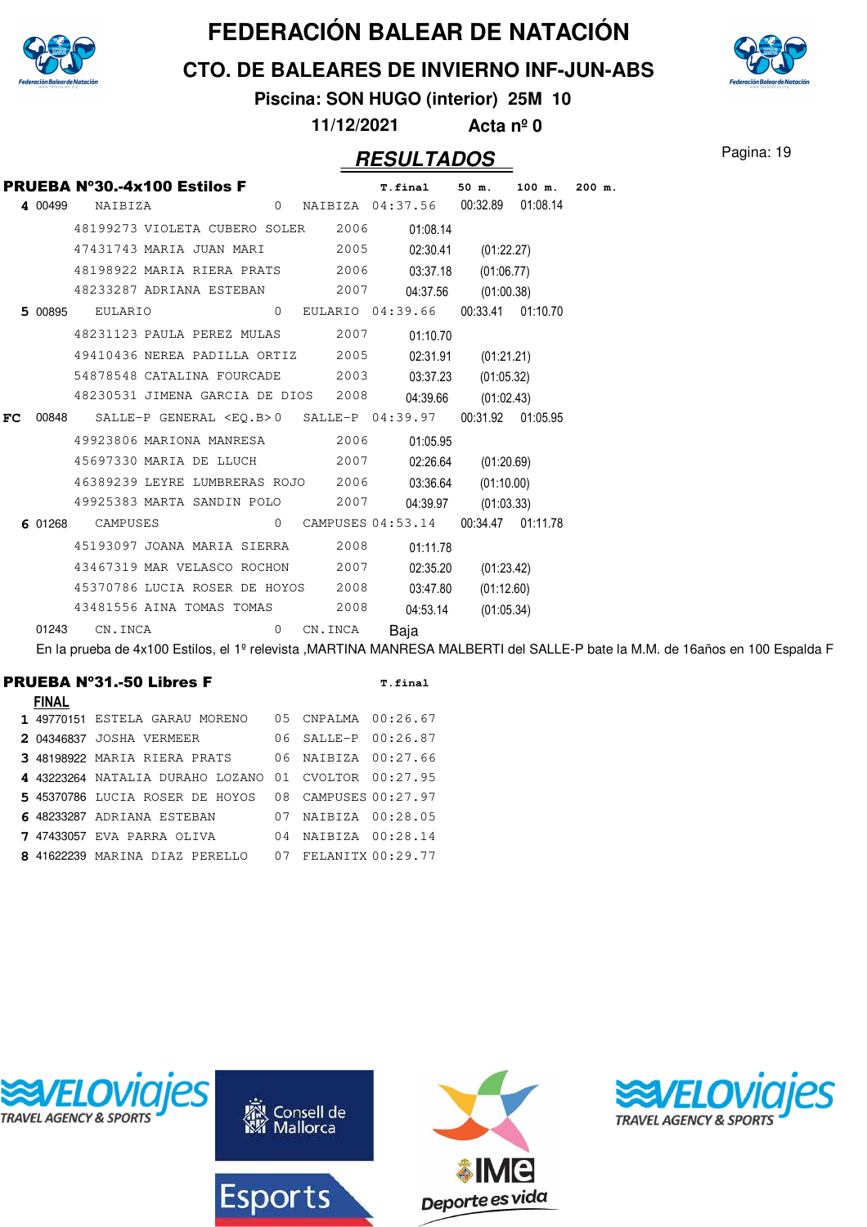

**CTO. DE BALEARES DE INVIERNO INF-JUN-ABS**

# **Piscina: SON HUGO (interior) 25M 10**

**11/12/2021 Acta nº 0**

#### Pagina: 19 **RESULTADOS**

|    |         | <b>PRUEBA Nº30.-4x100 Estilos F</b> |  |          |         | <b>T.final</b>                                  | 50 m.      | 100 m.            | $200$ m. |
|----|---------|-------------------------------------|--|----------|---------|-------------------------------------------------|------------|-------------------|----------|
|    | 4 00499 | NAIBIZA                             |  |          |         | 0 NAIBIZA 04:37.56 00:32.89 01:08.14            |            |                   |          |
|    |         | 48199273 VIOLETA CUBERO SOLER 2006  |  |          |         | 01:08.14                                        |            |                   |          |
|    |         | 47431743 MARIA JUAN MARI 2005       |  |          |         | 02:30.41                                        | (01:22.27) |                   |          |
|    |         | 48198922 MARIA RIERA PRATS 2006     |  |          |         | 03:37.18                                        | (01:06.77) |                   |          |
|    |         | 48233287 ADRIANA ESTEBAN 2007       |  |          |         | 04:37.56                                        | (01:00.38) |                   |          |
|    | 5 00895 | EULARIO                             |  | $\circ$  |         | EULARIO 04:39.66                                |            | 00:33.41 01:10.70 |          |
|    |         | 48231123 PAULA PEREZ MULAS 2007     |  |          |         | 01:10.70                                        |            |                   |          |
|    |         | 49410436 NEREA PADILLA ORTIZ 2005   |  |          |         | 02:31.91                                        | (01:21.21) |                   |          |
|    |         | 54878548 CATALINA FOURCADE 2003     |  |          |         | 03:37.23                                        | (01:05.32) |                   |          |
|    |         | 48230531 JIMENA GARCIA DE DIOS 2008 |  |          |         | 04:39.66                                        | (01:02.43) |                   |          |
| FC | 00848   |                                     |  |          |         | SALLE-P GENERAL <eo.b>0 SALLE-P 04:39.97</eo.b> |            | 00:31.92 01:05.95 |          |
|    |         | 49923806 MARIONA MANRESA 2006       |  |          |         | 01:05.95                                        |            |                   |          |
|    |         | 45697330 MARIA DE LLUCH 2007        |  |          |         | 02:26.64                                        | (01:20.69) |                   |          |
|    |         | 46389239 LEYRE LUMBRERAS ROJO 2006  |  |          |         | 03:36.64                                        | (01:10.00) |                   |          |
|    |         | 49925383 MARTA SANDIN POLO 2007     |  |          |         | 04:39.97                                        | (01:03.33) |                   |          |
|    | 6 01268 | CAMPUSES                            |  | $\Omega$ |         | CAMPUSES 04:53.14                               |            | 00:34.47 01:11.78 |          |
|    |         | 45193097 JOANA MARIA SIERRA 2008    |  |          |         | 01:11.78                                        |            |                   |          |
|    |         | 43467319 MAR VELASCO ROCHON 2007    |  |          |         | 02:35.20                                        | (01:23.42) |                   |          |
|    |         | 45370786 LUCIA ROSER DE HOYOS 2008  |  |          |         | 03:47.80                                        | (01:12.60) |                   |          |
|    |         | 43481556 AINA TOMAS TOMAS 2008      |  |          |         | 04:53.14                                        | (01:05.34) |                   |          |
|    | 01243   | CN.INCA                             |  | $\Omega$ | CN.INCA | Baja                                            |            |                   |          |

En la prueba de 4x100 Estilos, el 1º relevista ,MARTINA MANRESA MALBERTI del SALLE-P bate la M.M. de 16años en 100 Espalda F

#### PRUEBA Nº31.-50 Libres F T.final

| <b>FINAL</b> |                                                      |                         |  |
|--------------|------------------------------------------------------|-------------------------|--|
|              | 1 49770151 ESTELA GARAU MORENO                       | 05 CNPALMA 00:26.67     |  |
|              | 2 04346837 JOSHA VERMEER                             | 06 SALLE-P 00:26.87     |  |
|              | 3 48198922 MARIA RIERA PRATS                         | 06 NAIBIZA 00:27.66     |  |
|              | 4 43223264 NATALIA DURAHO LOZANO 01 CVOLTOR 00:27.95 |                         |  |
|              | 5 45370786 LUCIA ROSER DE HOYOS 08 CAMPUSES 00:27.97 |                         |  |
|              | 6 48233287 ADRIANA ESTEBAN                           | 07 NAIBIZA 00:28.05     |  |
|              | <b>7 47433057 EVA PARRA OLIVA</b>                    | $04$ NATRIZA $00:28.14$ |  |
|              | 8 41622239 MARINA DIAZ PERELLO                       | 07 FELANITX 00:29.77    |  |



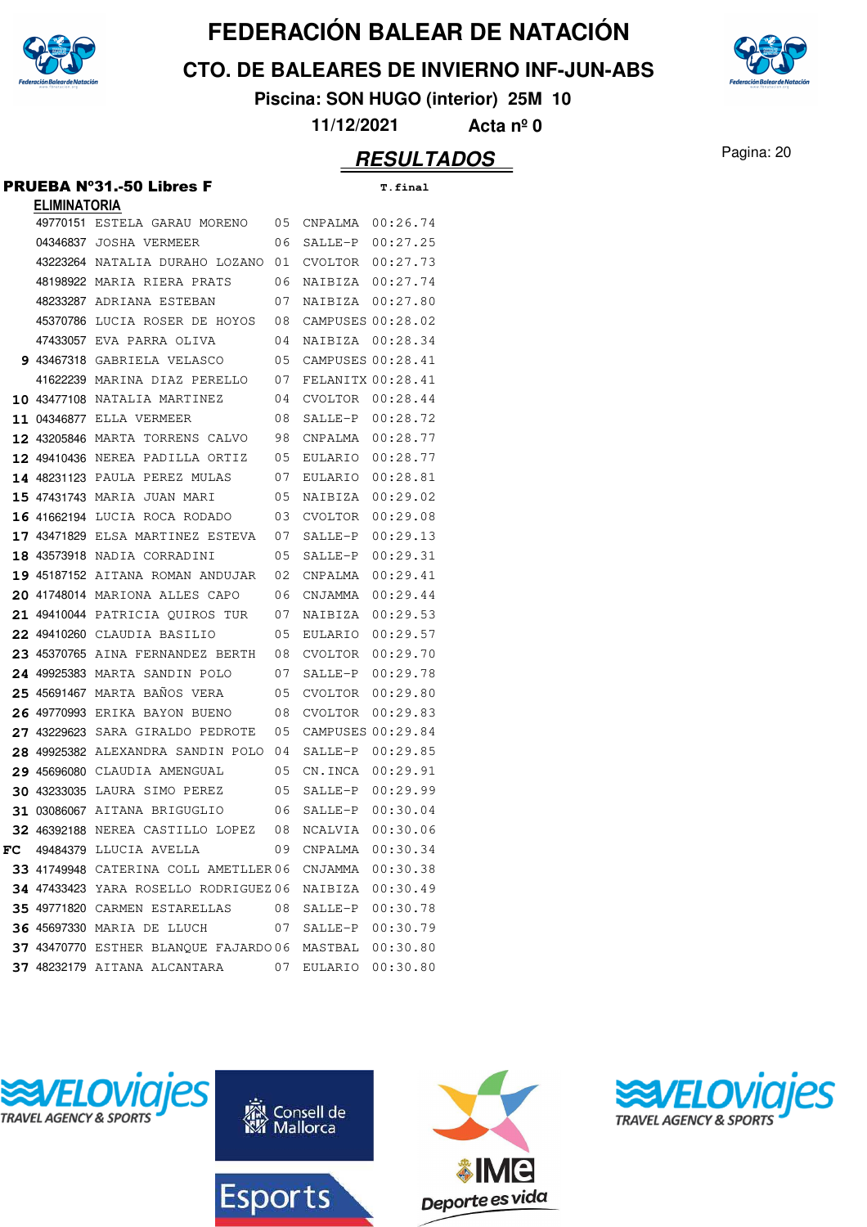

**CTO. DE BALEARES DE INVIERNO INF-JUN-ABS**



**Piscina: SON HUGO (interior) 25M 10**

**11/12/2021 Acta nº 0**

#### Pagina: 20 **RESULTADOS**

#### PRUEBA Nº31.-50 Libres F **T.final**

| <b>ELIMINATORIA</b> |                                                       |    |                     |                   |
|---------------------|-------------------------------------------------------|----|---------------------|-------------------|
|                     | 49770151 ESTELA GARAU MORENO                          | 05 | CNPALMA             | 00:26.74          |
|                     | 04346837 JOSHA VERMEER                                | 06 | $SALLE-P$           | 00:27.25          |
|                     | 43223264 NATALIA DURAHO LOZANO                        | 01 | CVOLTOR             | 00:27.73          |
|                     | 48198922 MARIA RIERA PRATS                            | 06 | NAIBIZA             | 00:27.74          |
|                     | 48233287 ADRIANA ESTEBAN                              | 07 | NAIBIZA             | 00:27.80          |
|                     | 45370786 LUCIA ROSER DE HOYOS                         | 08 | CAMPUSES 00:28.02   |                   |
|                     | 47433057 EVA PARRA OLIVA                              | 04 | NAIBIZA             | 00:28.34          |
|                     | 9 43467318 GABRIELA VELASCO                           | 05 | CAMPUSES 00:28.41   |                   |
|                     | 41622239 MARINA DIAZ PERELLO                          | 07 | FELANITX 00:28.41   |                   |
|                     | <b>10 43477108 NATALIA MARTINEZ</b>                   | 04 | CVOLTOR 00:28.44    |                   |
|                     | 11 04346877 ELLA VERMEER                              | 08 | SALLE-P             | 00:28.72          |
|                     | 12 43205846 MARTA TORRENS CALVO                       | 98 | CNPALMA             | 00:28.77          |
|                     | 12 49410436 NEREA PADILLA ORTIZ                       | 05 | EULARIO             | 00:28.77          |
|                     | 14 48231123 PAULA PEREZ MULAS                         | 07 | EULARIO             | 00:28.81          |
|                     | 15 47431743 MARIA JUAN MARI                           | 05 | NAIBIZA             | 00:29.02          |
|                     | 16 41662194 LUCIA ROCA RODADO                         | 03 | CVOLTOR             | 00:29.08          |
|                     | 17 43471829 ELSA MARTINEZ ESTEVA                      | 07 | SALLE-P             | 00:29.13          |
|                     | 18 43573918 NADIA CORRADINI                           | 05 | SALLE-P             | 00:29.31          |
|                     | 19 45187152 AITANA ROMAN ANDUJAR                      | 02 | CNPALMA             | 00:29.41          |
|                     | 20 41748014 MARIONA ALLES CAPO                        | 06 | CNJAMMA             | 00:29.44          |
|                     | 21 49410044 PATRICIA QUIROS TUR                       | 07 | NAIBIZA             | 00:29.53          |
|                     | 22 49410260 CLAUDIA BASILIO                           | 05 | EULARIO             | 00:29.57          |
|                     | 23 45370765 AINA FERNANDEZ BERTH                      | 08 | CVOLTOR             | 00:29.70          |
|                     | 24 49925383 MARTA SANDIN POLO                         | 07 | SALLE-P             | 00:29.78          |
|                     | 25 45691467 MARTA BANOS VERA                          | 05 | CVOLTOR             | 00:29.80          |
|                     | 26 49770993 ERIKA BAYON BUENO                         | 08 | CVOLTOR             | 00:29.83          |
| 27 43229623         | SARA GIRALDO PEDROTE                                  | 05 |                     | CAMPUSES 00:29.84 |
|                     | 28 49925382 ALEXANDRA SANDIN POLO                     | 04 | SALLE-P             | 00:29.85          |
|                     | 29 45696080 CLAUDIA AMENGUAL                          | 05 | CN.INCA             | 00:29.91          |
|                     | 30 43233035 LAURA SIMO PEREZ                          | 05 | SALLE-P             | 00:29.99          |
|                     | 31 03086067 AITANA BRIGUGLIO                          | 06 | SALLE-P             | 00:30.04          |
|                     | 32 46392188 NEREA CASTILLO LOPEZ                      | 08 | NCALVIA             | 00:30.06          |
|                     | FC 49484379 LLUCIA AVELLA                             |    | 09 CNPALMA 00:30.34 |                   |
|                     | 33 41749948 CATERINA COLL AMETLLER06 CNJAMMA 00:30.38 |    |                     |                   |
|                     | 34 47433423 YARA ROSELLO RODRIGUEZ 06                 |    | NAIBIZA 00:30.49    |                   |
|                     | 35 49771820 CARMEN ESTARELLAS 08 SALLE-P 00:30.78     |    |                     |                   |
|                     | <b>36 45697330 MARIA DE LLUCH</b>                     | 07 | SALLE-P 00:30.79    |                   |
|                     | 37 43470770 ESTHER BLANQUE FAJARDO 06                 |    | MASTBAL 00:30.80    |                   |
|                     | 37 48232179 AITANA ALCANTARA                          | 07 | EULARIO 00:30.80    |                   |







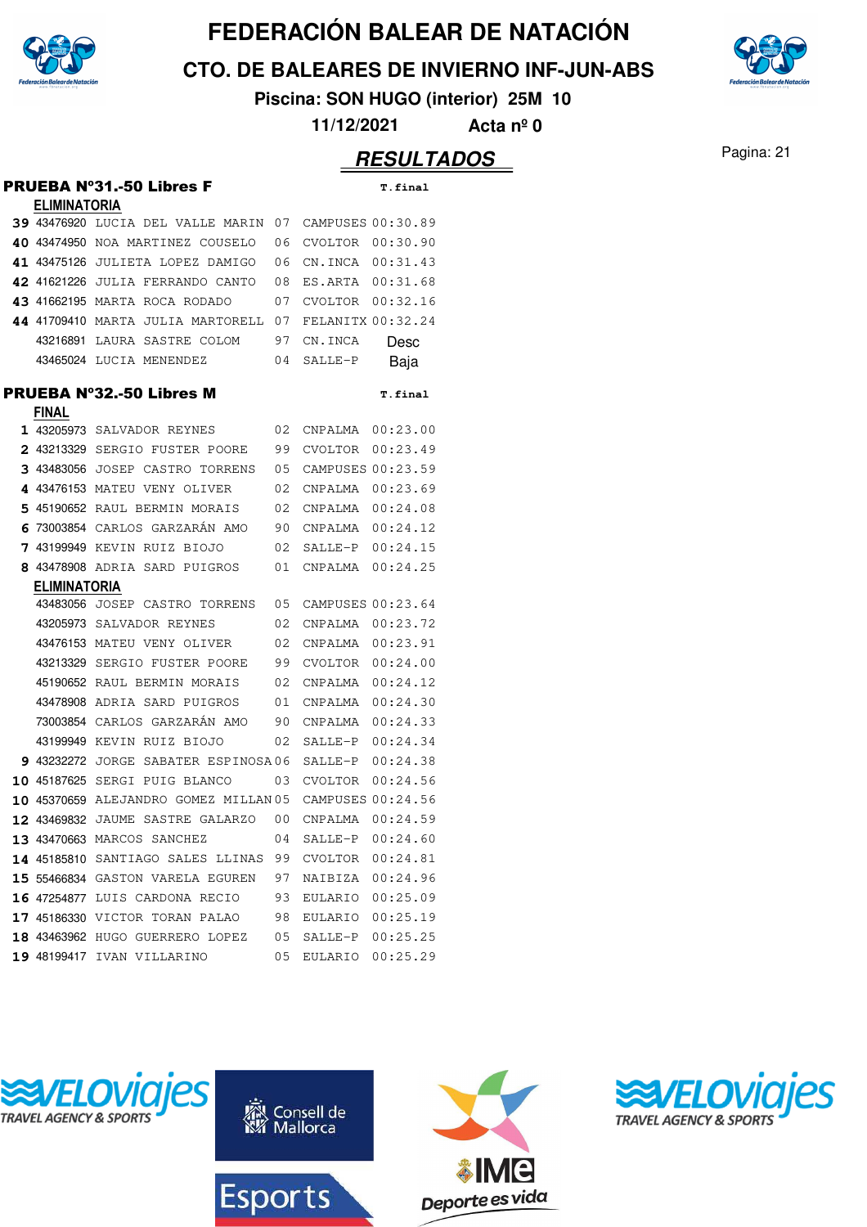

**CTO. DE BALEARES DE INVIERNO INF-JUN-ABS**

**Piscina: SON HUGO (interior) 25M 10**

**11/12/2021 Acta nº 0**

|   |                     | <b>PRUEBA Nº31.-50 Libres F</b>            |    |                   | <b>T.final</b>    |
|---|---------------------|--------------------------------------------|----|-------------------|-------------------|
|   | <b>ELIMINATORIA</b> |                                            |    |                   |                   |
|   |                     | 39 43476920 LUCIA DEL VALLE MARIN          | 07 |                   | CAMPUSES 00:30.89 |
|   |                     | 40 43474950 NOA MARTINEZ COUSELO           | 06 | CVOLTOR           | 00:30.90          |
|   | 41 43475126         | JULIETA LOPEZ DAMIGO                       | 06 | CN.INCA           | 00:31.43          |
|   |                     | 42 41621226 JULIA FERRANDO CANTO           | 08 | ES.ARTA           | 00:31.68          |
|   |                     | 43 41662195 MARTA ROCA RODADO              | 07 | CVOLTOR           | 00:32.16          |
|   | 44 41709410         | MARTA JULIA MARTORELL                      | 07 | FELANITX 00:32.24 |                   |
|   | 43216891            | LAURA SASTRE COLOM                         | 97 | CN.INCA           | Desc              |
|   |                     | 43465024 LUCIA MENENDEZ                    | 04 | SALLE-P           | Baja              |
|   |                     | <b>PRUEBA Nº32.-50 Libres M</b>            |    |                   | <b>T.final</b>    |
|   | <b>FINAL</b>        |                                            |    |                   |                   |
|   |                     | 1 43205973 SALVADOR REYNES                 | 02 | CNPALMA           | 00:23.00          |
|   |                     | 2 43213329 SERGIO FUSTER POORE             | 99 | CVOLTOR           | 00:23.49          |
|   | 3 43483056          | JOSEP CASTRO TORRENS                       | 05 |                   | CAMPUSES 00:23.59 |
|   | 4 43476153          | MATEU VENY OLIVER                          | 02 | CNPALMA           | 00:23.69          |
|   | 5 45190652          | RAUL BERMIN MORAIS                         | 02 | CNPALMA           | 00:24.08          |
| 6 | 73003854            | CARLOS GARZARÁN AMO                        | 90 | CNPALMA           | 00:24.12          |
| 7 | 43199949            | KEVIN RUIZ BIOJO                           | 02 | SALLE-P           | 00:24.15          |
|   |                     | 8 43478908 ADRIA SARD PUIGROS              | 01 | CNPALMA           | 00:24.25          |
|   | <b>ELIMINATORIA</b> |                                            |    |                   |                   |
|   |                     | 43483056 JOSEP CASTRO TORRENS              | 05 | CAMPUSES 00:23.64 |                   |
|   |                     | 43205973 SALVADOR REYNES                   | 02 | CNPALMA           | 00:23.72          |
|   |                     | 43476153 MATEU VENY OLIVER                 | 02 | CNPALMA           | 00:23.91          |
|   | 43213329            | SERGIO FUSTER POORE                        | 99 | CVOLTOR           | 00:24.00          |
|   | 45190652            | RAUL BERMIN MORAIS                         | 02 | CNPALMA           | 00:24.12          |
|   | 43478908            | ADRIA SARD PUIGROS                         | 01 | CNPALMA           | 00:24.30          |
|   | 73003854            | CARLOS GARZARÁN AMO                        | 90 | CNPALMA           | 00:24.33          |
|   | 43199949            | KEVIN RUIZ BIOJO                           | 02 | SALLE-P           | 00:24.34          |
|   |                     | 9 43232272 JORGE SABATER ESPINOSA06        |    | SALLE-P           | 00:24.38          |
|   | 10 45187625         | SERGI PUIG BLANCO                          | 03 | CVOLTOR           | 00:24.56          |
|   |                     | 10 45370659 ALEJANDRO GOMEZ MILLAN 05      |    |                   | CAMPUSES 00:24.56 |
|   |                     | <b>12 43469832</b> JAUME SASTRE GALARZO 00 |    | CNPALMA           | 00:24.59          |
|   |                     | 13 43470663 MARCOS SANCHEZ                 | 04 | SALLE-P 00:24.60  |                   |
|   |                     | 14 45185810 SANTIAGO SALES LLINAS 99       |    | CVOLTOR 00:24.81  |                   |
|   |                     | 15 55466834 GASTON VARELA EGUREN           | 97 |                   | NAIBIZA 00:24.96  |
|   |                     | 16 47254877 LUIS CARDONA RECIO             | 93 | EULARIO           | 00:25.09          |
|   |                     | 17 45186330 VICTOR TORAN PALAO             | 98 | EULARIO           | 00:25.19          |
|   |                     | 18 43463962 HUGO GUERRERO LOPEZ            | 05 | SALLE-P           | 00:25.25          |
|   |                     | 19 48199417 IVAN VILLARINO                 | 05 | EULARIO           | 00:25.29          |







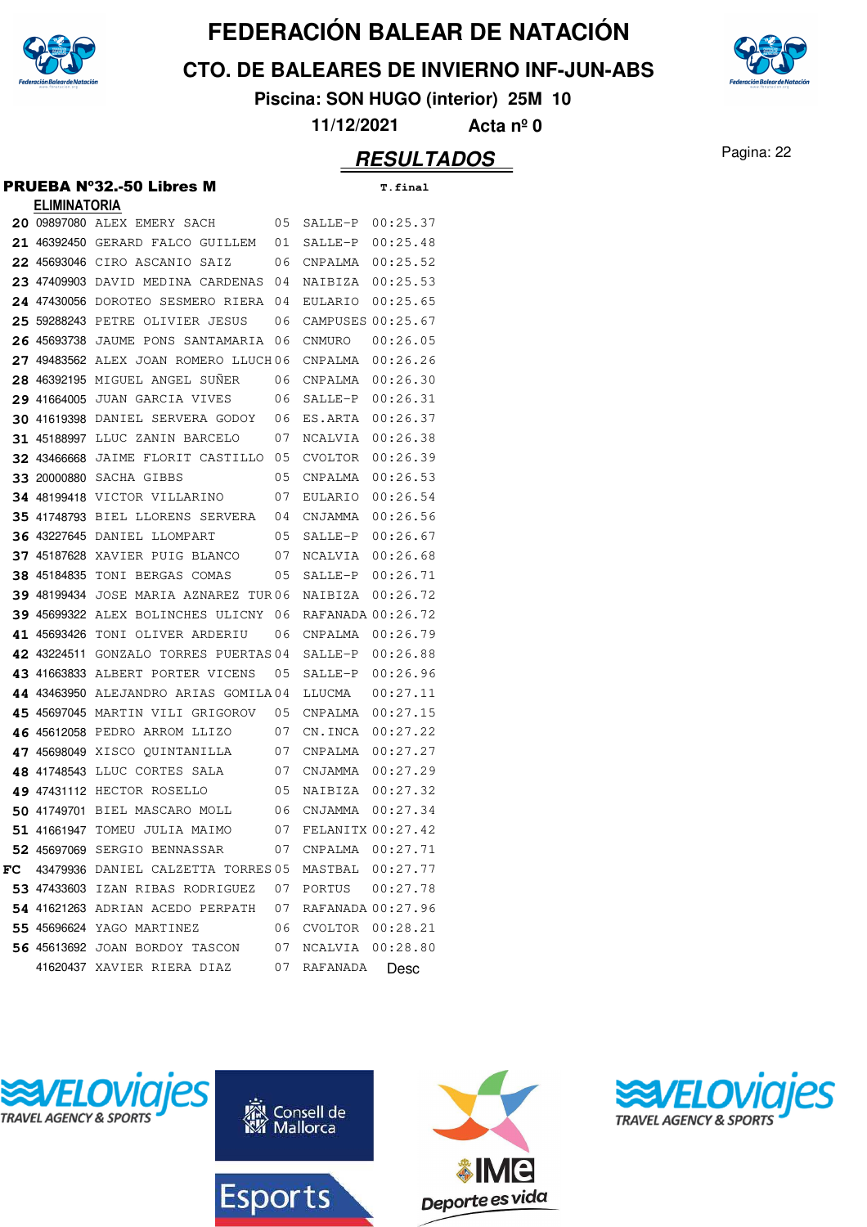

**CTO. DE BALEARES DE INVIERNO INF-JUN-ABS**



**Piscina: SON HUGO (interior) 25M 10**

**11/12/2021 Acta nº 0**

#### Pagina: 22 **RESULTADOS**

#### PRUEBA Nº32.-50 Libres M **T.final**

| <b>ELIMINATORIA</b> |                                                                  |    |                     |                     |
|---------------------|------------------------------------------------------------------|----|---------------------|---------------------|
|                     | 20 09897080 ALEX EMERY SACH                                      | 05 | SALLE-P             | 00:25.37            |
|                     | 21 46392450 GERARD FALCO GUILLEM                                 | 01 | SALLE-P             | 00:25.48            |
|                     | 22 45693046 CIRO ASCANIO SAIZ                                    | 06 | CNPALMA             | 00:25.52            |
|                     | 23 47409903 DAVID MEDINA CARDENAS                                | 04 | NAIBIZA             | 00:25.53            |
|                     | 24 47430056 DOROTEO SESMERO RIERA                                | 04 | EULARIO             | 00:25.65            |
|                     | 25 59288243 PETRE OLIVIER JESUS                                  | 06 | CAMPUSES 00:25.67   |                     |
| 26 45693738         | JAUME PONS SANTAMARIA                                            | 06 | CNMURO              | 00:26.05            |
|                     | 27 49483562 ALEX JOAN ROMERO LLUCH06                             |    | CNPALMA             | 00:26.26            |
|                     | 28 46392195 MIGUEL ANGEL SUNER                                   | 06 | CNPALMA             | 00:26.30            |
|                     | 29 41664005 JUAN GARCIA VIVES                                    | 06 | SALLE-P             | 00:26.31            |
|                     | 30 41619398 DANIEL SERVERA GODOY                                 | 06 | ES.ARTA             | 00:26.37            |
|                     | 31 45188997 LLUC ZANIN BARCELO                                   | 07 | NCALVIA             | 00:26.38            |
|                     | 32 43466668 JAIME FLORIT CASTILLO                                | 05 | CVOLTOR             | 00:26.39            |
| 33 20000880         | SACHA GIBBS                                                      | 05 | CNPALMA             | 00:26.53            |
|                     | 34 48199418 VICTOR VILLARINO                                     | 07 | EULARIO             | 00:26.54            |
|                     | 35 41748793 BIEL LLORENS SERVERA                                 | 04 | CNJAMMA             | 00:26.56            |
|                     | <b>36 43227645 DANIEL LLOMPART</b>                               | 05 | SALLE-P             | 00:26.67            |
|                     | <b>37 45187628 XAVIER PUIG BLANCO</b>                            | 07 | NCALVIA             | 00:26.68            |
| 38 45184835         | TONI BERGAS COMAS                                                | 05 | SALLE-P             | 00:26.71            |
| <b>39</b> 48199434  | JOSE MARIA AZNAREZ TUR06                                         |    | NAIBIZA             | 00:26.72            |
|                     | 39 45699322 ALEX BOLINCHES ULICNY                                | 06 | RAFANADA 00:26.72   |                     |
|                     | 41 45693426 TONI OLIVER ARDERIU                                  | 06 | CNPALMA             | 00:26.79            |
| 42 43224511         | GONZALO TORRES PUERTAS 04                                        |    | SALLE-P             | 00:26.88            |
|                     | 43 41663833 ALBERT PORTER VICENS                                 | 05 | SALLE-P             | 00:26.96            |
|                     | 44 43463950 ALEJANDRO ARIAS GOMILA04                             |    | LLUCMA              | 00:27.11            |
|                     | 45 45697045 MARTIN VILI GRIGOROV                                 | 05 | CNPALMA             | 00:27.15            |
|                     | 46 45612058 PEDRO ARROM LLIZO                                    | 07 | CN.INCA             | 00:27.22            |
|                     | 47 45698049 XISCO QUINTANILLA                                    | 07 | CNPALMA             | 00:27.27            |
|                     | 48 41748543 LLUC CORTES SALA                                     | 07 | CNJAMMA             | 00:27.29            |
|                     | 49 47431112 HECTOR ROSELLO                                       | 05 | NAIBIZA             | 00:27.32            |
|                     | 50 41749701 BIEL MASCARO MOLL                                    | 06 | CNJAMMA             | 00:27.34            |
| 51 41661947         | TOMEU JULIA MAIMO                                                | 07 | FELANITX 00:27.42   |                     |
|                     | 52 45697069 SERGIO BENNASSAR                                     |    |                     | 07 CNPALMA 00:27.71 |
|                     | $\texttt{FC}$ 43479936 DANIEL CALZETTA TORRES05 MASTBAL 00:27.77 |    |                     |                     |
|                     | 53 47433603 IZAN RIBAS RODRIGUEZ 07 PORTUS 00:27.78              |    |                     |                     |
|                     | 54 41621263 ADRIAN ACEDO PERPATH 07 RAFANADA 00:27.96            |    |                     |                     |
|                     | 55 45696624 YAGO MARTINEZ                                        |    | 06 CVOLTOR 00:28.21 |                     |
|                     | 56 45613692 JOAN BORDOY TASCON                                   |    | 07 NCALVIA 00:28.80 |                     |
|                     | 41620437 XAVIER RIERA DIAZ                                       |    | 07 RAFANADA         | Desc                |







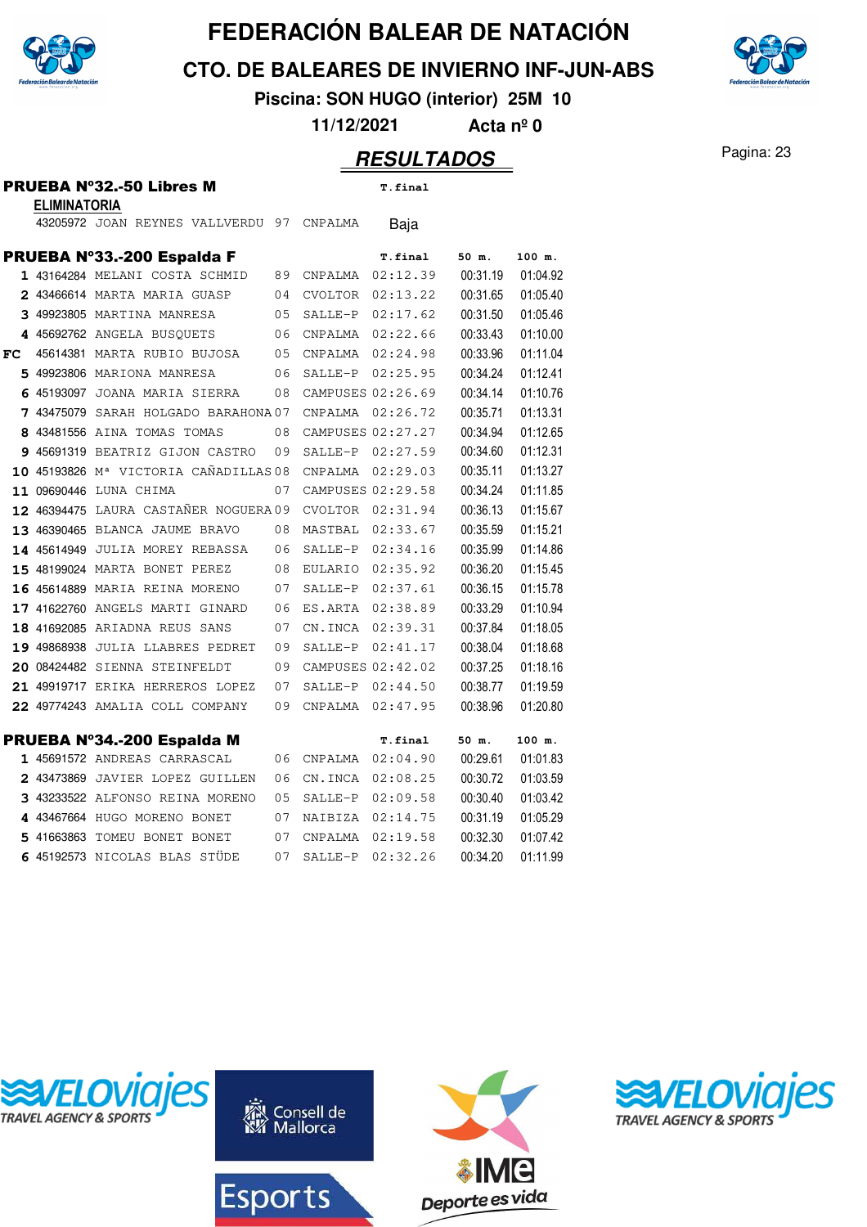

**CTO. DE BALEARES DE INVIERNO INF-JUN-ABS**

**Piscina: SON HUGO (interior) 25M 10**

**11/12/2021 Acta nº 0**

#### Pagina: 23 **RESULTADOS**

| PRUEBA Nº32.-50 Libres M |  |
|--------------------------|--|
| <b>ELIMINATORIA</b>      |  |

 $T.final$ 

|     | PRUEBA Nº33.-200 Espalda F                         |    |                  | <b>T.final</b>       | 50 m.    | 100 m.   |
|-----|----------------------------------------------------|----|------------------|----------------------|----------|----------|
|     | 1 43164284 MELANI COSTA SCHMID 89 CNPALMA 02:12.39 |    |                  |                      | 00:31.19 | 01:04.92 |
|     | 2 43466614 MARTA MARIA GUASP                       | 04 |                  | CVOLTOR 02:13.22     | 00:31.65 | 01:05.40 |
|     | 3 49923805 MARTINA MANRESA                         | 05 |                  | SALLE-P 02:17.62     | 00:31.50 | 01:05.46 |
|     | 4 45692762 ANGELA BUSQUETS                         | 06 |                  | CNPALMA 02:22.66     | 00:33.43 | 01:10.00 |
| FC. | 45614381 MARTA RUBIO BUJOSA                        | 05 |                  | CNPALMA 02:24.98     | 00:33.96 | 01:11.04 |
|     | 5 49923806 MARIONA MANRESA                         | 06 |                  | SALLE-P 02:25.95     | 00:34.24 | 01:12.41 |
|     | 6 45193097 JOANA MARIA SIERRA                      | 08 |                  | CAMPUSES 02:26.69    | 00:34.14 | 01:10.76 |
|     | 7 43475079 SARAH HOLGADO BARAHONA 07               |    |                  | CNPALMA 02:26.72     | 00:35.71 | 01:13.31 |
|     | 8 43481556 AINA TOMAS TOMAS                        | 08 |                  | CAMPUSES 02:27.27    | 00:34.94 | 01:12.65 |
|     | 9 45691319 BEATRIZ GIJON CASTRO 09                 |    |                  | SALLE-P 02:27.59     | 00:34.60 | 01:12.31 |
|     | 10 45193826 M <sup>a</sup> VICTORIA CAÑADILLAS 08  |    | CNPALMA 02:29.03 |                      | 00:35.11 | 01:13.27 |
|     | 11 09690446 LUNA CHIMA                             | 07 |                  | CAMPUSES 02:29.58    | 00:34.24 | 01:11.85 |
|     | 12 46394475 LAURA CASTAÑER NOGUERA 09              |    |                  | CVOLTOR 02:31.94     | 00:36.13 | 01:15.67 |
|     | 13 46390465 BLANCA JAUME BRAVO                     | 08 |                  | MASTBAL 02:33.67     | 00:35.59 | 01:15.21 |
|     | <b>14 45614949 JULIA MOREY REBASSA</b>             | 06 |                  | SALLE-P 02:34.16     | 00:35.99 | 01:14.86 |
|     | <b>15 48199024 MARTA BONET PEREZ</b>               | 08 |                  | EULARIO 02:35.92     | 00:36.20 | 01:15.45 |
|     | 16 45614889 MARIA REINA MORENO                     | 07 |                  | SALLE-P 02:37.61     | 00:36.15 | 01:15.78 |
|     | 17 41622760 ANGELS MARTI GINARD                    | 06 |                  | ES.ARTA 02:38.89     | 00:33.29 | 01:10.94 |
|     | 18 41692085 ARIADNA REUS SANS                      | 07 |                  | CN. INCA 02:39.31    | 00:37.84 | 01:18.05 |
|     | 19 49868938 JULIA LLABRES PEDRET                   | 09 | $SALLE-P$        | 02:41.17             | 00:38.04 | 01:18.68 |
|     | 20 08424482 SIENNA STEINFELDT                      | 09 |                  | CAMPUSES 02:42.02    | 00:37.25 | 01:18.16 |
|     | 21 49919717 ERIKA HERREROS LOPEZ                   | 07 |                  | $SALLE-P$ $02:44.50$ | 00:38.77 | 01:19.59 |
|     | 22 49774243 AMALIA COLL COMPANY                    | 09 |                  | CNPALMA 02:47.95     | 00:38.96 | 01:20.80 |
|     |                                                    |    |                  |                      |          |          |
|     | PRUEBA Nº34.-200 Espalda M                         |    |                  | <b>T.final</b>       | 50 m.    | 100 m.   |
|     | 1 45691572 ANDREAS CARRASCAL                       | 06 |                  | CNPALMA 02:04.90     | 00:29.61 | 01:01.83 |
|     | 2 43473869 JAVIER LOPEZ GUILLEN                    | 06 |                  | CN. INCA 02:08.25    | 00:30.72 | 01:03.59 |
|     | 3 43233522 ALFONSO REINA MORENO                    | 05 |                  | SALLE-P 02:09.58     | 00:30.40 | 01:03.42 |
|     | 4 43467664 HUGO MORENO BONET                       | 07 | NAIBIZA          | 02:14.75             | 00:31.19 | 01:05.29 |

5 41663863 TOMEU BONET BONET 07 CNPALMA 02:19.58 00:32.30 01:07.42 <sup>45192573</sup> NICOLAS BLAS STÜDE 02:32.26 07 SALLE-P 00:34.20 01:11.99

43205972 JOAN REYNES VALLVERDU 97 CNPALMA Baja









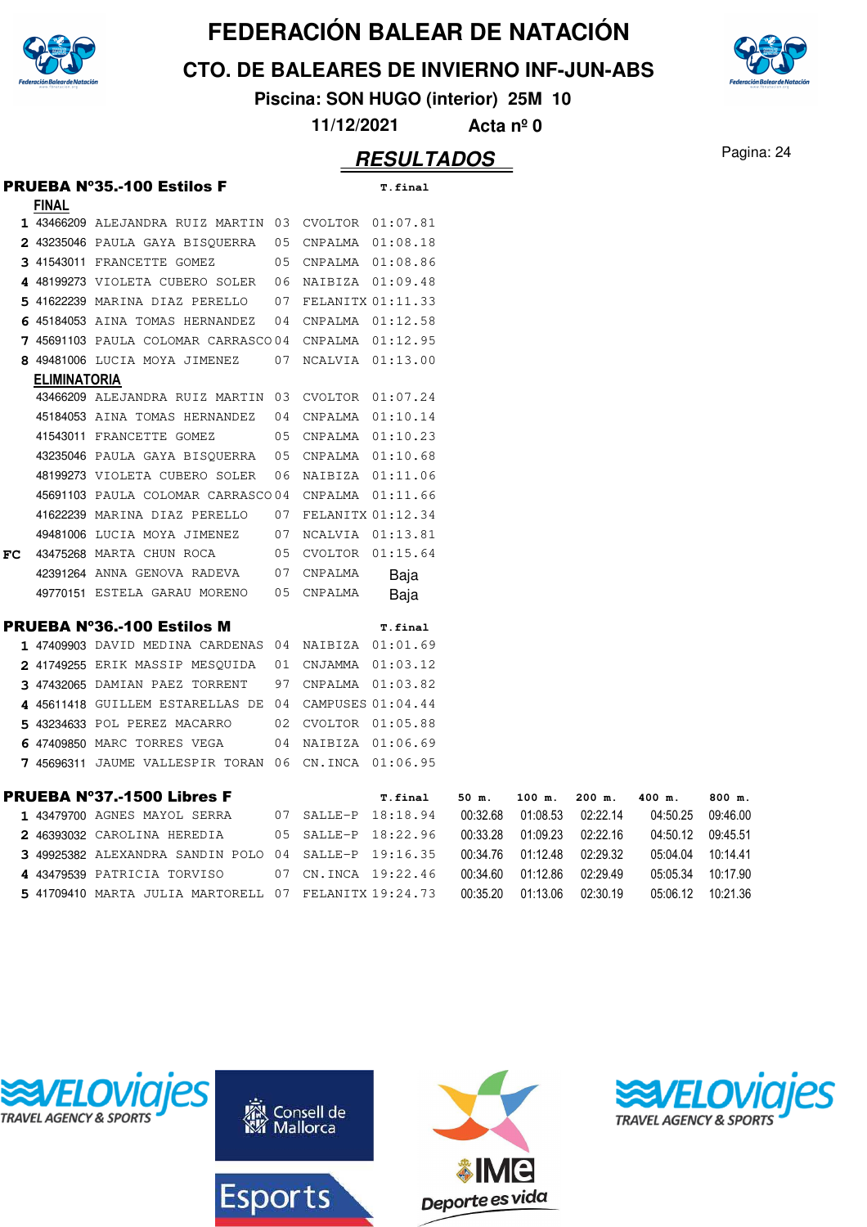

**CTO. DE BALEARES DE INVIERNO INF-JUN-ABS**

**Piscina: SON HUGO (interior) 25M 10**

**11/12/2021 Acta nº 0**

#### Pagina: 24 **RESULTADOS**

|    |              | <b>PRUEBA Nº35.-100 Estilos F</b>                     |    |                     | T.final           |          |          |          |          |          |
|----|--------------|-------------------------------------------------------|----|---------------------|-------------------|----------|----------|----------|----------|----------|
|    | <b>FINAL</b> |                                                       |    |                     |                   |          |          |          |          |          |
|    |              | 1 43466209 ALEJANDRA RUIZ MARTIN 03 CVOLTOR 01:07.81  |    |                     |                   |          |          |          |          |          |
|    |              | 2 43235046 PAULA GAYA BISQUERRA                       | 05 |                     | CNPALMA 01:08.18  |          |          |          |          |          |
|    |              | 3 41543011 FRANCETTE GOMEZ                            | 05 |                     | CNPALMA 01:08.86  |          |          |          |          |          |
|    |              | 4 48199273 VIOLETA CUBERO SOLER                       | 06 |                     | NAIBIZA 01:09.48  |          |          |          |          |          |
|    |              | 5 41622239 MARINA DIAZ PERELLO                        | 07 |                     | FELANITX 01:11.33 |          |          |          |          |          |
|    |              | 6 45184053 AINA TOMAS HERNANDEZ                       | 04 |                     | CNPALMA 01:12.58  |          |          |          |          |          |
|    |              | 7 45691103 PAULA COLOMAR CARRASCO 04                  |    |                     | CNPALMA 01:12.95  |          |          |          |          |          |
|    |              | 8 49481006 LUCIA MOYA JIMENEZ                         | 07 |                     | NCALVIA 01:13.00  |          |          |          |          |          |
|    | ELIMINATORIA |                                                       |    |                     |                   |          |          |          |          |          |
|    |              | 43466209 ALEJANDRA RUIZ MARTIN 03                     |    |                     | CVOLTOR 01:07.24  |          |          |          |          |          |
|    |              | 45184053 AINA TOMAS HERNANDEZ                         | 04 |                     | CNPALMA 01:10.14  |          |          |          |          |          |
|    |              | 41543011 FRANCETTE GOMEZ                              | 05 |                     | CNPALMA  01:10.23 |          |          |          |          |          |
|    |              | 43235046 PAULA GAYA BISQUERRA                         | 05 |                     | CNPALMA  01:10.68 |          |          |          |          |          |
|    |              | 48199273 VIOLETA CUBERO SOLER                         | 06 |                     | NAIBIZA 01:11.06  |          |          |          |          |          |
|    |              | 45691103 PAULA COLOMAR CARRASCO04                     |    |                     | CNPALMA 01:11.66  |          |          |          |          |          |
|    |              | 41622239 MARINA DIAZ PERELLO                          | 07 | FELANITX 01:12.34   |                   |          |          |          |          |          |
|    |              | 49481006 LUCIA MOYA JIMENEZ                           | 07 |                     | NCALVIA 01:13.81  |          |          |          |          |          |
| FC |              | 43475268 MARTA CHUN ROCA                              | 05 | CVOLTOR 01:15.64    |                   |          |          |          |          |          |
|    |              | 42391264 ANNA GENOVA RADEVA                           | 07 | CNPALMA             | Baja              |          |          |          |          |          |
|    |              | 49770151 ESTELA GARAU MORENO                          | 05 | CNPALMA             | Baja              |          |          |          |          |          |
|    |              | <b>PRUEBA Nº36.-100 Estilos M</b>                     |    |                     | T.final           |          |          |          |          |          |
|    |              | 1 47409903 DAVID MEDINA CARDENAS 04                   |    |                     | NAIBIZA 01:01.69  |          |          |          |          |          |
|    |              | 2 41749255 ERIK MASSIP MESQUIDA                       | 01 |                     | CNJAMMA  01:03.12 |          |          |          |          |          |
|    |              | 3 47432065 DAMIAN PAEZ TORRENT                        | 97 |                     | CNPALMA  01:03.82 |          |          |          |          |          |
|    |              | 4 45611418 GUILLEM ESTARELLAS DE 04                   |    |                     | CAMPUSES 01:04.44 |          |          |          |          |          |
|    |              | 5 43234633 POL PEREZ MACARRO                          | 02 |                     | CVOLTOR 01:05.88  |          |          |          |          |          |
|    |              | 6 47409850 MARC TORRES VEGA                           | 04 |                     | NAIBIZA 01:06.69  |          |          |          |          |          |
|    |              | 7 45696311 JAUME VALLESPIR TORAN 06                   |    | CN.INCA 01:06.95    |                   |          |          |          |          |          |
|    |              |                                                       |    |                     |                   |          |          |          |          |          |
|    |              | <b>PRUEBA Nº37.-1500 Libres F</b>                     |    |                     | T.final           | 50 m.    | 100 m.   | $200$ m. | 400 m.   | 800 m.   |
|    |              | 1 43479700 AGNES MAYOL SERRA                          |    | 07 SALLE-P 18:18.94 |                   | 00:32.68 | 01:08.53 | 02:22.14 | 04:50.25 | 09:46.00 |
|    |              | 2 46393032 CAROLINA HEREDIA                           | 05 |                     | SALLE-P 18:22.96  | 00:33.28 | 01:09.23 | 02:22.16 | 04:50.12 | 09:45.51 |
|    |              | 3 49925382 ALEXANDRA SANDIN POLO 04                   |    |                     | SALLE-P 19:16.35  | 00:34.76 | 01:12.48 | 02:29.32 | 05:04.04 | 10:14.41 |
|    |              | 4 43479539 PATRICIA TORVISO                           | 07 |                     | CN. INCA 19:22.46 | 00:34.60 | 01:12.86 | 02:29.49 | 05:05.34 | 10:17.90 |
|    |              | 5 41709410 MARTA JULIA MARTORELL 07 FELANITX 19:24.73 |    |                     |                   | 00:35.20 | 01:13.06 | 02:30.19 | 05:06.12 | 10:21.36 |
|    |              |                                                       |    |                     |                   |          |          |          |          |          |









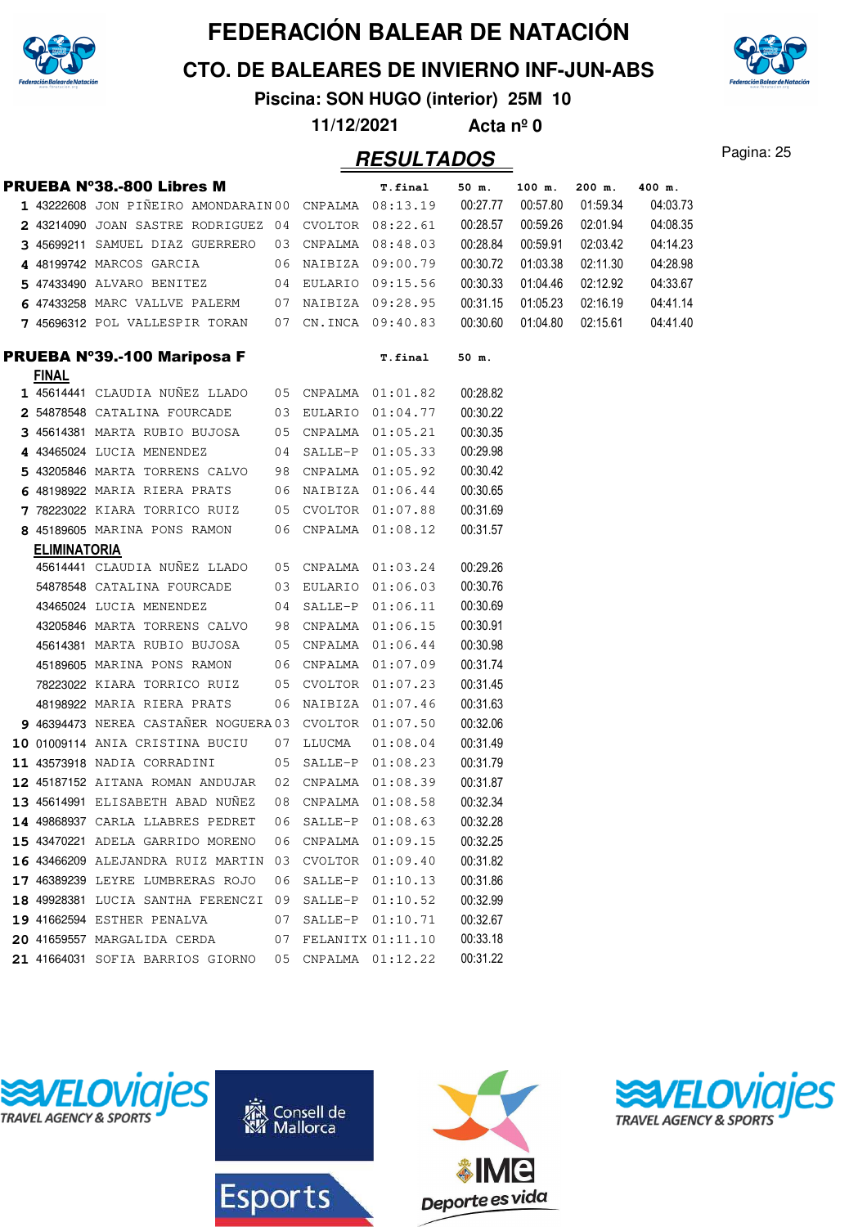

**CTO. DE BALEARES DE INVIERNO INF-JUN-ABS**

**Piscina: SON HUGO (interior) 25M 10**

**11/12/2021 Acta nº 0**

#### Pagina: 25 **RESULTADOS**

|                     | <b>PRUEBA Nº38.-800 Libres M</b>                      | T.final | 50 m.  | 100 m.              | $200$ m. | 400 m.   |          |          |
|---------------------|-------------------------------------------------------|---------|--------|---------------------|----------|----------|----------|----------|
|                     | 1 43222608 JON PIÑEIRO AMONDARAIN 00 CNPALMA 08:13.19 |         |        |                     | 00:27.77 | 00:57.80 | 01:59.34 | 04:03.73 |
|                     | 2 43214090 JOAN SASTRE RODRIGUEZ 04 CVOLTOR 08:22.61  |         |        |                     | 00:28.57 | 00:59.26 | 02:01.94 | 04:08.35 |
|                     | 3 45699211 SAMUEL DIAZ GUERRERO                       |         |        | 03 CNPALMA 08:48.03 | 00:28.84 | 00:59.91 | 02:03.42 | 04:14.23 |
|                     | 4 48199742 MARCOS GARCIA                              |         |        | 06 NAIBIZA 09:00.79 | 00:30.72 | 01:03.38 | 02:11.30 | 04:28.98 |
|                     | 5 47433490 ALVARO BENITEZ                             |         |        | 04 EULARIO 09:15.56 | 00:30.33 | 01:04.46 | 02:12.92 | 04:33.67 |
|                     | 6 47433258 MARC VALLVE PALERM                         |         |        | 07 NAIBIZA 09:28.95 | 00:31.15 | 01:05.23 | 02:16.19 | 04:41.14 |
|                     | 7 45696312 POL VALLESPIR TORAN                        |         |        | 07 CN.INCA 09:40.83 | 00:30.60 | 01:04.80 | 02:15.61 | 04:41.40 |
|                     | PRUEBA Nº39.-100 Mariposa F                           |         |        | <b>T.final</b>      | 50 m.    |          |          |          |
| <b>FINAL</b>        | 1 45614441 CLAUDIA NUÑEZ LLADO                        |         |        | 05 CNPALMA 01:01.82 | 00:28.82 |          |          |          |
|                     | 2 54878548 CATALINA FOURCADE                          |         |        | 03 EULARIO 01:04.77 | 00:30.22 |          |          |          |
|                     | 3 45614381 MARTA RUBIO BUJOSA                         |         |        | 05 CNPALMA 01:05.21 | 00:30.35 |          |          |          |
|                     | 4 43465024 LUCIA MENENDEZ                             |         |        | 04 SALLE-P 01:05.33 | 00:29.98 |          |          |          |
|                     | 5 43205846 MARTA TORRENS CALVO                        |         |        | 98 CNPALMA 01:05.92 | 00:30.42 |          |          |          |
|                     | 6 48198922 MARIA RIERA PRATS                          |         |        | 06 NAIBIZA 01:06.44 | 00:30.65 |          |          |          |
|                     | 7 78223022 KIARA TORRICO RUIZ                         |         |        | 05 CVOLTOR 01:07.88 | 00:31.69 |          |          |          |
|                     | 8 45189605 MARINA PONS RAMON                          |         |        | 06 CNPALMA 01:08.12 | 00:31.57 |          |          |          |
| <b>ELIMINATORIA</b> |                                                       |         |        |                     |          |          |          |          |
|                     | 45614441 CLAUDIA NUÑEZ LLADO                          |         |        | 05 CNPALMA 01:03.24 | 00:29.26 |          |          |          |
|                     | 54878548 CATALINA FOURCADE                            |         |        | 03 EULARIO 01:06.03 | 00:30.76 |          |          |          |
|                     | 43465024 LUCIA MENENDEZ                               |         |        | 04 SALLE-P 01:06.11 | 00:30.69 |          |          |          |
|                     | 43205846 MARTA TORRENS CALVO                          |         |        | 98 CNPALMA 01:06.15 | 00:30.91 |          |          |          |
|                     | 45614381 MARTA RUBIO BUJOSA                           |         |        | 05 CNPALMA 01:06.44 | 00:30.98 |          |          |          |
|                     | 45189605 MARINA PONS RAMON                            |         |        | 06 CNPALMA 01:07.09 | 00:31.74 |          |          |          |
|                     | 78223022 KIARA TORRICO RUIZ                           |         |        | 05 CVOLTOR 01:07.23 | 00:31.45 |          |          |          |
|                     | 48198922 MARIA RIERA PRATS                            |         |        | 06 NAIBIZA 01:07.46 | 00:31.63 |          |          |          |
|                     | 9 46394473 NEREA CASTAÑER NOGUERA 03 CVOLTOR 01:07.50 |         |        |                     | 00:32.06 |          |          |          |
|                     | 10 01009114 ANIA CRISTINA BUCIU                       | 07      | LLUCMA | 01:08.04            | 00:31.49 |          |          |          |
|                     | 11 43573918 NADIA CORRADINI                           | 05      |        | SALLE-P 01:08.23    | 00:31.79 |          |          |          |
|                     | 12 45187152 AITANA ROMAN ANDUJAR                      |         |        | 02 CNPALMA 01:08.39 | 00:31.87 |          |          |          |
|                     | 13 45614991 ELISABETH ABAD NUÑEZ                      |         |        | 08 CNPALMA 01:08.58 | 00:32.34 |          |          |          |
|                     | 14 49868937 CARLA LLABRES PEDRET                      | 06      |        | SALLE-P 01:08.63    | 00:32.28 |          |          |          |
|                     | 15 43470221 ADELA GARRIDO MORENO                      | 06      |        | CNPALMA 01:09.15    | 00:32.25 |          |          |          |
|                     | 16 43466209 ALEJANDRA RUIZ MARTIN                     | 03      |        | CVOLTOR 01:09.40    | 00:31.82 |          |          |          |
|                     | 17 46389239 LEYRE LUMBRERAS ROJO                      | 06      |        | SALLE-P 01:10.13    | 00:31.86 |          |          |          |
|                     | 18 49928381 LUCIA SANTHA FERENCZI                     | 09      |        | SALLE-P 01:10.52    | 00:32.99 |          |          |          |
|                     | 19 41662594 ESTHER PENALVA                            | 07      |        | SALLE-P 01:10.71    | 00:32.67 |          |          |          |
|                     | 20 41659557 MARGALIDA CERDA                           | 07      |        | FELANITX 01:11.10   | 00:33.18 |          |          |          |
|                     | 21 41664031 SOFIA BARRIOS GIORNO                      | 05      |        | CNPALMA 01:12.22    | 00:31.22 |          |          |          |









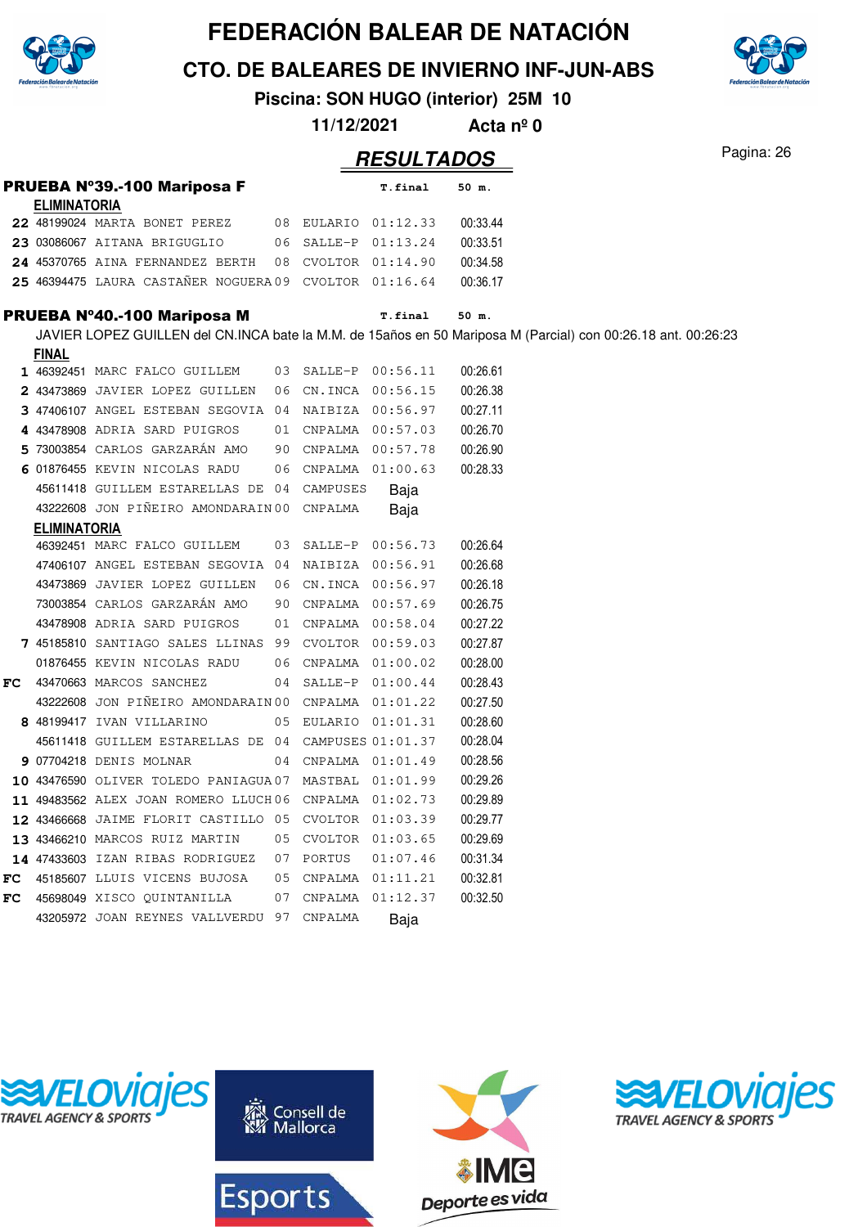

**CTO. DE BALEARES DE INVIERNO INF-JUN-ABS**

**Piscina: SON HUGO (interior) 25M 10**

| 11/12/2021 | Acta $n^{\circ}$ 0 |  |
|------------|--------------------|--|
|------------|--------------------|--|

|     |                     | PRUEBA Nº39.-100 Mariposa F                            |    |                     | T.final             | 50 m.                                                                                                         |
|-----|---------------------|--------------------------------------------------------|----|---------------------|---------------------|---------------------------------------------------------------------------------------------------------------|
|     | <b>ELIMINATORIA</b> |                                                        |    |                     |                     |                                                                                                               |
|     |                     | 22 48199024 MARTA BONET PEREZ                          |    | 08 EULARIO 01:12.33 |                     | 00:33.44                                                                                                      |
|     |                     | 23 03086067 AITANA BRIGUGLIO                           |    | 06 SALLE-P 01:13.24 |                     | 00:33.51                                                                                                      |
|     |                     | 24 45370765 AINA FERNANDEZ BERTH                       | 08 | CVOLTOR 01:14.90    |                     | 00:34.58                                                                                                      |
|     |                     | 25 46394475 LAURA CASTAÑER NOGUERA 09 CVOLTOR 01:16.64 |    |                     |                     | 00:36.17                                                                                                      |
|     |                     | PRUEBA Nº40.-100 Mariposa M                            |    |                     | T.final             | 50 m.                                                                                                         |
|     |                     |                                                        |    |                     |                     | JAVIER LOPEZ GUILLEN del CN.INCA bate la M.M. de 15años en 50 Mariposa M (Parcial) con 00:26.18 ant. 00:26:23 |
|     | <b>FINAL</b>        |                                                        |    |                     |                     |                                                                                                               |
|     |                     | 1 46392451 MARC FALCO GUILLEM                          |    | 03 SALLE-P 00:56.11 |                     | 00:26.61                                                                                                      |
|     |                     | 2 43473869 JAVIER LOPEZ GUILLEN                        | 06 | CN.INCA 00:56.15    |                     | 00:26.38                                                                                                      |
|     |                     | 3 47406107 ANGEL ESTEBAN SEGOVIA 04 NAIBIZA 00:56.97   |    |                     |                     | 00:27.11                                                                                                      |
|     |                     | 4 43478908 ADRIA SARD PUIGROS                          |    |                     | 01 CNPALMA 00:57.03 | 00:26.70                                                                                                      |
|     |                     | 5 73003854 CARLOS GARZARÁN AMO                         |    | 90 CNPALMA 00:57.78 |                     | 00:26.90                                                                                                      |
|     |                     | 6 01876455 KEVIN NICOLAS RADU                          | 06 | CNPALMA 01:00.63    |                     | 00:28.33                                                                                                      |
|     |                     | 45611418 GUILLEM ESTARELLAS DE 04 CAMPUSES             |    |                     | Baja                |                                                                                                               |
|     |                     | 43222608 JON PIÑEIRO AMONDARAIN 00                     |    | CNPALMA             | Baja                |                                                                                                               |
|     | <b>ELIMINATORIA</b> |                                                        |    |                     |                     |                                                                                                               |
|     |                     | 46392451 MARC FALCO GUILLEM                            | 03 |                     | SALLE-P 00:56.73    | 00:26.64                                                                                                      |
|     |                     | 47406107 ANGEL ESTEBAN SEGOVIA 04 NAIBIZA 00:56.91     |    |                     |                     | 00:26.68                                                                                                      |
|     |                     | 43473869 JAVIER LOPEZ GUILLEN                          | 06 |                     | CN.INCA 00:56.97    | 00:26.18                                                                                                      |
|     |                     | 73003854 CARLOS GARZARÁN AMO                           | 90 |                     | CNPALMA 00:57.69    | 00:26.75                                                                                                      |
|     |                     | 43478908 ADRIA SARD PUIGROS                            | 01 | CNPALMA 00:58.04    |                     | 00:27.22                                                                                                      |
|     |                     | 7 45185810 SANTIAGO SALES LLINAS 99 CVOLTOR 00:59.03   |    |                     |                     | 00:27.87                                                                                                      |
|     |                     | 01876455 KEVIN NICOLAS RADU                            | 06 | CNPALMA 01:00.02    |                     | 00:28.00                                                                                                      |
| FC. |                     | 43470663 MARCOS SANCHEZ                                | 04 | SALLE-P 01:00.44    |                     | 00:28.43                                                                                                      |
|     |                     | 43222608 JON PIÑEIRO AMONDARAIN 00 CNPALMA 01:01.22    |    |                     |                     | 00:27.50                                                                                                      |
|     |                     | 8 48199417 IVAN VILLARINO                              |    | 05 EULARIO 01:01.31 |                     | 00:28.60                                                                                                      |
|     |                     | 45611418 GUILLEM ESTARELLAS DE 04 CAMPUSES 01:01.37    |    |                     |                     | 00:28.04                                                                                                      |
|     |                     | 9 07704218 DENIS MOLNAR                                |    |                     | 04 CNPALMA 01:01.49 | 00:28.56                                                                                                      |
|     |                     | 10 43476590 OLIVER TOLEDO PANIAGUA07 MASTBAL 01:01.99  |    |                     |                     | 00:29.26                                                                                                      |
|     |                     | 11 49483562 ALEX JOAN ROMERO LLUCH06 CNPALMA 01:02.73  |    |                     |                     | 00:29.89                                                                                                      |
|     |                     | 12 43466668 JAIME FLORIT CASTILLO 05 CVOLTOR 01:03.39  |    |                     |                     | 00:29.77                                                                                                      |
|     |                     | 13 43466210 MARCOS RUIZ MARTIN                         |    | 05 CVOLTOR 01:03.65 |                     | 00:29.69                                                                                                      |
|     |                     | 14 47433603 IZAN RIBAS RODRIGUEZ                       |    | 07 PORTUS           | 01:07.46            | 00:31.34                                                                                                      |
| FC. |                     | 45185607 LLUIS VICENS BUJOSA                           | 05 |                     | CNPALMA 01:11.21    | 00:32.81                                                                                                      |
| FC. |                     | 45698049 XISCO QUINTANILLA                             | 07 |                     | CNPALMA 01:12.37    | 00:32.50                                                                                                      |
|     |                     | 43205972 JOAN REYNES VALLVERDU 97 CNPALMA              |    |                     | Baja                |                                                                                                               |







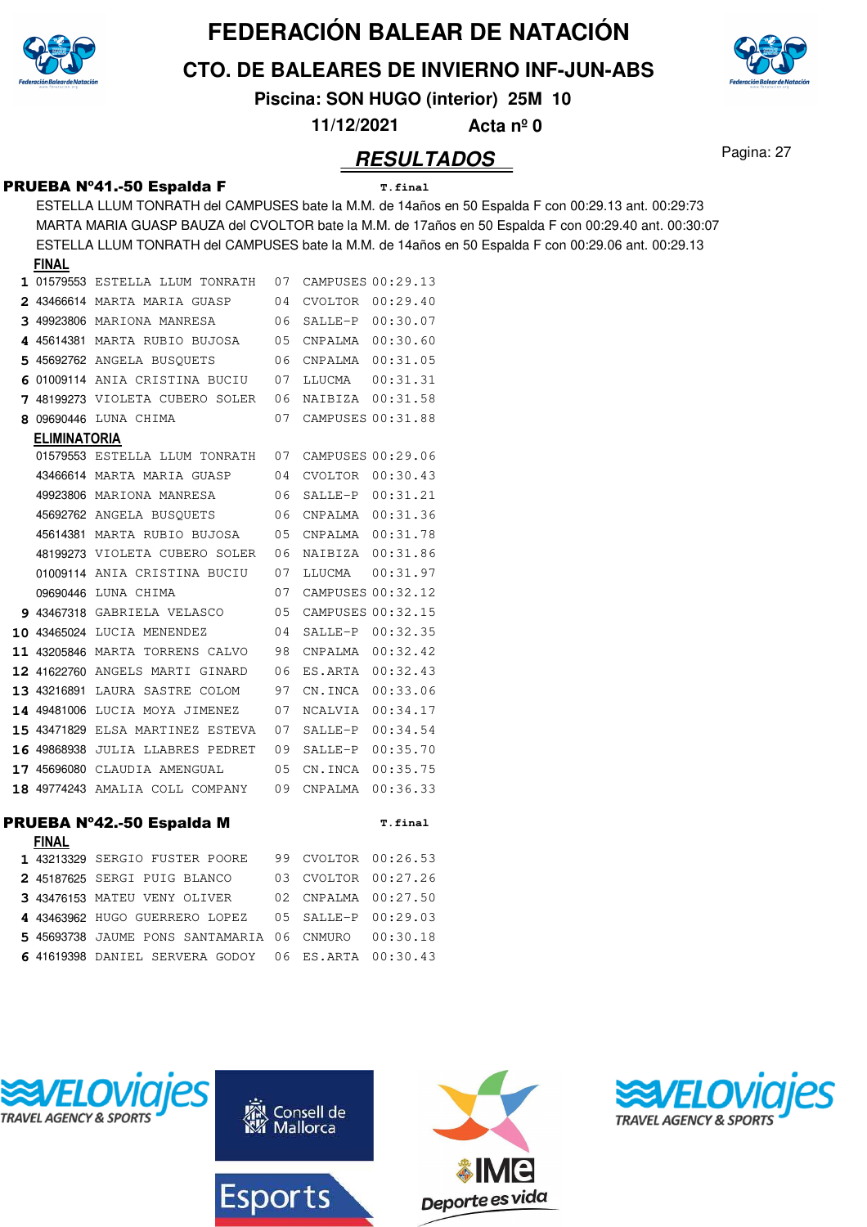

**CTO. DE BALEARES DE INVIERNO INF-JUN-ABS**

**Piscina: SON HUGO (interior) 25M 10**

**11/12/2021 Acta nº 0**

#### Pagina: 27 **RESULTADOS**

#### PRUEBA Nº41.-50 Espalda F **T.final**

ESTELLA LLUM TONRATH del CAMPUSES bate la M.M. de 14años en 50 Espalda F con 00:29.13 ant. 00:29:73 MARTA MARIA GUASP BAUZA del CVOLTOR bate la M.M. de 17años en 50 Espalda F con 00:29.40 ant. 00:30:07 ESTELLA LLUM TONRATH del CAMPUSES bate la M.M. de 14años en 50 Espalda F con 00:29.06 ant. 00:29.13 **FINAL**

|                     | 1 01579553 ESTELLA LLUM TONRATH     | 07 |                | CAMPUSES 00:29.13 |
|---------------------|-------------------------------------|----|----------------|-------------------|
|                     | <b>2</b> 43466614 MARTA MARIA GUASP | 04 | CVOLTOR        | 00:29.40          |
|                     | 3 49923806 MARIONA MANRESA          | 06 | SALLE-P        | 00:30.07          |
|                     | 4 45614381 MARTA RUBIO BUJOSA       | 05 | CNPALMA        | 00:30.60          |
|                     | 5 45692762 ANGELA BUSOUETS          | 06 | CNPALMA        | 00:31.05          |
|                     | 6 01009114 ANIA CRISTINA BUCIU      | 07 | LLUCMA         | 00:31.31          |
|                     | 7 48199273 VIOLETA CUBERO SOLER     | 06 | NAIBIZA        | 00:31.58          |
| 8 09690446          | LUNA CHIMA                          | 07 |                | CAMPUSES 00:31.88 |
| <b>ELIMINATORIA</b> |                                     |    |                |                   |
|                     | 01579553 ESTELLA LLUM TONRATH       | 07 |                | CAMPUSES 00:29.06 |
|                     | 43466614 MARTA MARIA GUASP          | 04 | <b>CVOLTOR</b> | 00:30.43          |
|                     | 49923806 MARIONA MANRESA            | 06 | SALLE-P        | 00:31.21          |
|                     | 45692762 ANGELA BUSOUETS            | 06 | CNPALMA        | 00:31.36          |
|                     | 45614381 MARTA RUBIO BUJOSA         | 05 | CNPALMA        | 00:31.78          |
|                     | 48199273 VIOLETA CUBERO SOLER       | 06 | NAIBIZA        | 00:31.86          |
|                     | 01009114 ANIA CRISTINA BUCIU        | 07 | LLUCMA         | 00:31.97          |
|                     | 09690446 LUNA CHIMA                 | 07 |                | CAMPUSES 00:32.12 |
|                     | 9 43467318 GABRIELA VELASCO         | 05 |                | CAMPUSES 00:32.15 |
| 10 43465024         | LUCIA MENENDEZ                      | 04 | SALLE-P        | 00:32.35          |
|                     | 11 43205846 MARTA TORRENS CALVO     | 98 | CNPALMA        | 00:32.42          |
|                     | 12 41622760 ANGELS MARTI GINARD     | 06 | ES.ARTA        | 00:32.43          |
|                     |                                     |    |                |                   |
| 13 43216891         | LAURA SASTRE COLOM                  | 97 | CN.INCA        | 00:33.06          |
| 14 49481006         | LUCIA MOYA JIMENEZ                  | 07 | NCALVIA        | 00:34.17          |
|                     | 15 43471829 ELSA MARTINEZ ESTEVA    | 07 | SALLE-P        | 00:34.54          |
|                     | 16 49868938 JULIA LLABRES PEDRET    | 09 | SALLE-P        | 00:35.70          |
|                     | 17 45696080 CLAUDIA AMENGUAL        | 05 | CN.INCA        | 00:35.75          |
|                     | 18 49774243 AMALIA COLL COMPANY     | 09 | CNPALMA        | 00:36.33          |
|                     |                                     |    |                |                   |
|                     | PRUEBA N°42.-50 Espalda M           |    |                | T.final           |
| <b>FINAL</b>        | 1 43213329 SERGIO FUSTER POORE      | 99 | CVOLTOR        | 00:26.53          |
|                     | 2 45187625 SERGI PUIG BLANCO        | 03 | CVOLTOR        | 00:27.26          |
|                     | 3 43476153 MATEU VENY OLIVER        | 02 | CNPALMA        | 00:27.50          |
|                     | 4 43463962 HUGO GUERRERO LOPEZ      | 05 | SALLE-P        | 00:29.03          |



6 41619398 DANIEL SERVERA GODOY 06 ES.ARTA 00:30.43

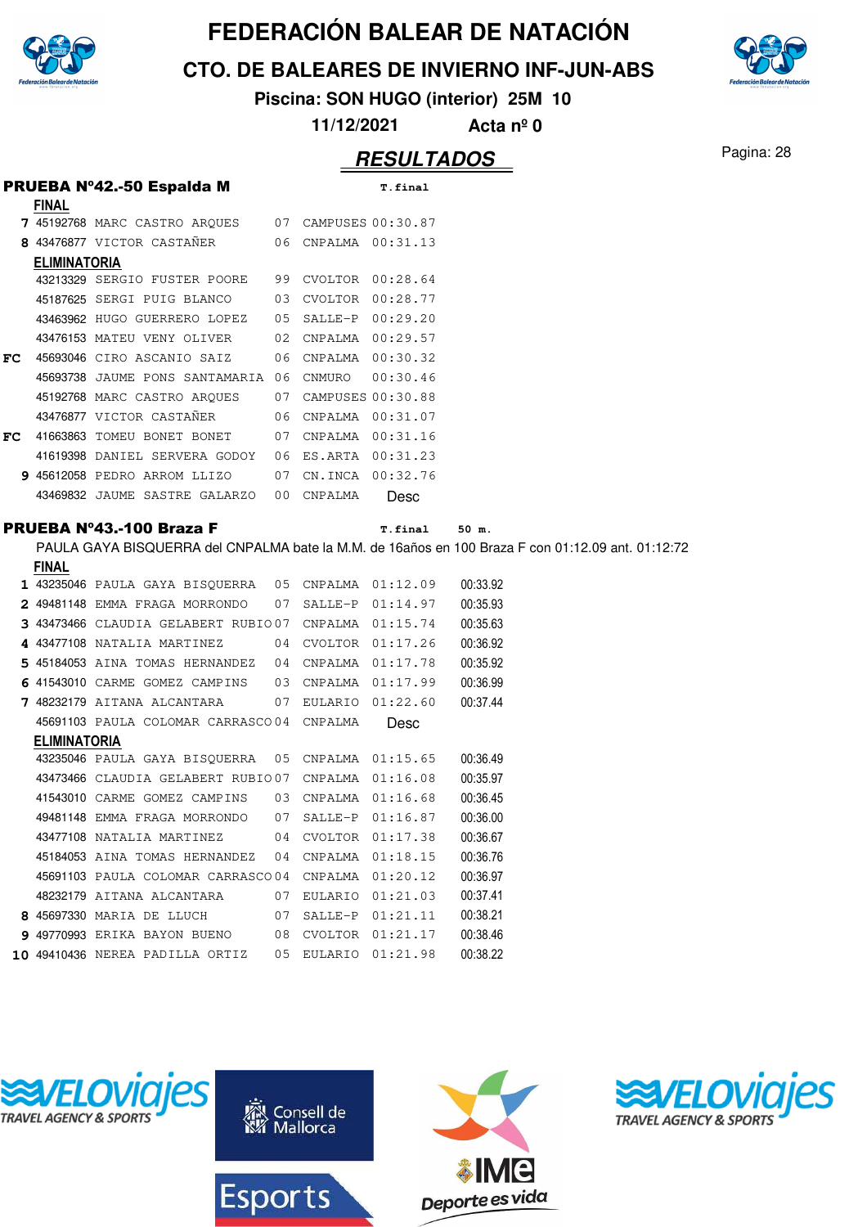

**CTO. DE BALEARES DE INVIERNO INF-JUN-ABS**

**Piscina: SON HUGO (interior) 25M 10**

**11/12/2021 Acta nº 0**

#### Pagina: 28 **RESULTADOS**

|    |                     | PRUEBA Nº42.-50 Espalda M           |    |         | T.final              |                                                                                                   |
|----|---------------------|-------------------------------------|----|---------|----------------------|---------------------------------------------------------------------------------------------------|
|    | <b>FINAL</b>        |                                     |    |         |                      |                                                                                                   |
|    |                     | 7 45192768 MARC CASTRO ARQUES       |    |         | 07 CAMPUSES 00:30.87 |                                                                                                   |
|    |                     | 8 43476877 VICTOR CASTAÑER          |    |         | 06 CNPALMA 00:31.13  |                                                                                                   |
|    | <b>ELIMINATORIA</b> |                                     |    |         |                      |                                                                                                   |
|    |                     | 43213329 SERGIO FUSTER POORE        | 99 |         | CVOLTOR 00:28.64     |                                                                                                   |
|    |                     | 45187625 SERGI PUIG BLANCO          | 03 |         | CVOLTOR 00:28.77     |                                                                                                   |
|    |                     | 43463962 HUGO GUERRERO LOPEZ        | 05 |         | SALLE-P 00:29.20     |                                                                                                   |
|    |                     | 43476153 MATEU VENY OLIVER          | 02 |         | CNPALMA 00:29.57     |                                                                                                   |
| FC |                     | 45693046 CIRO ASCANIO SAIZ          | 06 |         | CNPALMA 00:30.32     |                                                                                                   |
|    |                     | 45693738 JAUME PONS SANTAMARIA 06   |    | CNMURO  | 00:30.46             |                                                                                                   |
|    |                     | 45192768 MARC CASTRO ARQUES         | 07 |         | CAMPUSES 00:30.88    |                                                                                                   |
|    |                     | 43476877 VICTOR CASTAÑER            | 06 |         | CNPALMA  00:31.07    |                                                                                                   |
| FC |                     | 41663863 TOMEU BONET BONET          | 07 |         | CNPALMA  00:31.16    |                                                                                                   |
|    |                     | 41619398 DANIEL SERVERA GODOY       | 06 |         | ES.ARTA 00:31.23     |                                                                                                   |
|    |                     | 9 45612058 PEDRO ARROM LLIZO        | 07 |         | CN.INCA 00:32.76     |                                                                                                   |
|    |                     | 43469832 JAUME SASTRE GALARZO       | 00 | CNPALMA | Desc                 |                                                                                                   |
|    |                     | <b>PRUEBA Nº43.-100 Braza F</b>     |    |         | T.final              | 50 m.                                                                                             |
|    |                     |                                     |    |         |                      | PAULA GAYA BISQUERRA del CNPALMA bate la M.M. de 16años en 100 Braza F con 01:12.09 ant. 01:12:72 |
|    | <b>FINAL</b>        |                                     |    |         |                      |                                                                                                   |
|    |                     | 1 43235046 PAULA GAYA BISQUERRA     | 05 |         | CNPALMA 01:12.09     | 00:33.92                                                                                          |
|    |                     | 2 49481148 EMMA FRAGA MORRONDO      | 07 |         | SALLE-P 01:14.97     | 00:35.93                                                                                          |
|    |                     | 3 43473466 CLAUDIA GELABERT RUBIO07 |    |         | CNPALMA 01:15.74     | 00:35.63                                                                                          |
|    |                     | 4 43477108 NATALIA MARTINEZ         | 04 |         | CVOLTOR 01:17.26     | 00:36.92                                                                                          |
|    |                     | 5 45184053 AINA TOMAS HERNANDEZ     | 04 |         | CNPALMA  01:17.78    | 00:35.92                                                                                          |
|    |                     | 6 41543010 CARME GOMEZ CAMPINS      | 03 |         | CNPALMA 01:17.99     | 00:36.99                                                                                          |
|    |                     | 7 48232179 AITANA ALCANTARA         | 07 |         | EULARIO 01:22.60     | 00:37.44                                                                                          |
|    |                     | 45691103 PAULA COLOMAR CARRASCO04   |    | CNPALMA | Desc                 |                                                                                                   |
|    | <b>ELIMINATORIA</b> |                                     |    |         |                      |                                                                                                   |
|    |                     | 43235046 PAULA GAYA BISOUERRA       | 05 |         | CNPALMA 01:15.65     | 00:36.49                                                                                          |
|    |                     | 43473466 CLAUDIA GELABERT RUBIO07   |    |         | CNPALMA 01:16.08     | 00:35.97                                                                                          |
|    |                     | 41543010 CARME GOMEZ CAMPINS        | 03 |         | CNPALMA 01:16.68     | 00:36.45                                                                                          |
|    |                     | 49481148 EMMA FRAGA MORRONDO        | 07 |         | SALLE-P 01:16.87     | 00:36.00                                                                                          |
|    |                     | 43477108 NATALIA MARTINEZ           | 04 |         | CVOLTOR 01:17.38     | 00:36.67                                                                                          |
|    |                     | 45184053 AINA TOMAS HERNANDEZ       | 04 | CNPALMA | 01:18.15             | 00:36.76                                                                                          |
|    |                     | 45691103 PAULA COLOMAR CARRASCO04   |    |         | CNPALMA 01:20.12     | 00:36.97                                                                                          |
|    |                     | 48232179 AITANA ALCANTARA           | 07 |         | EULARIO 01:21.03     | 00:37.41                                                                                          |
|    |                     | 8 45697330 MARIA DE LLUCH           | 07 | SALLE-P | 01:21.11             | 00:38.21                                                                                          |
|    |                     | 9 49770993 ERIKA BAYON BUENO        | 08 | CVOLTOR | 01:21.17             | 00:38.46                                                                                          |
|    |                     | 10 49410436 NEREA PADILLA ORTIZ     | 05 | EULARIO | 01:21.98             | 00:38.22                                                                                          |
|    |                     |                                     |    |         |                      |                                                                                                   |
|    |                     |                                     |    |         |                      |                                                                                                   |









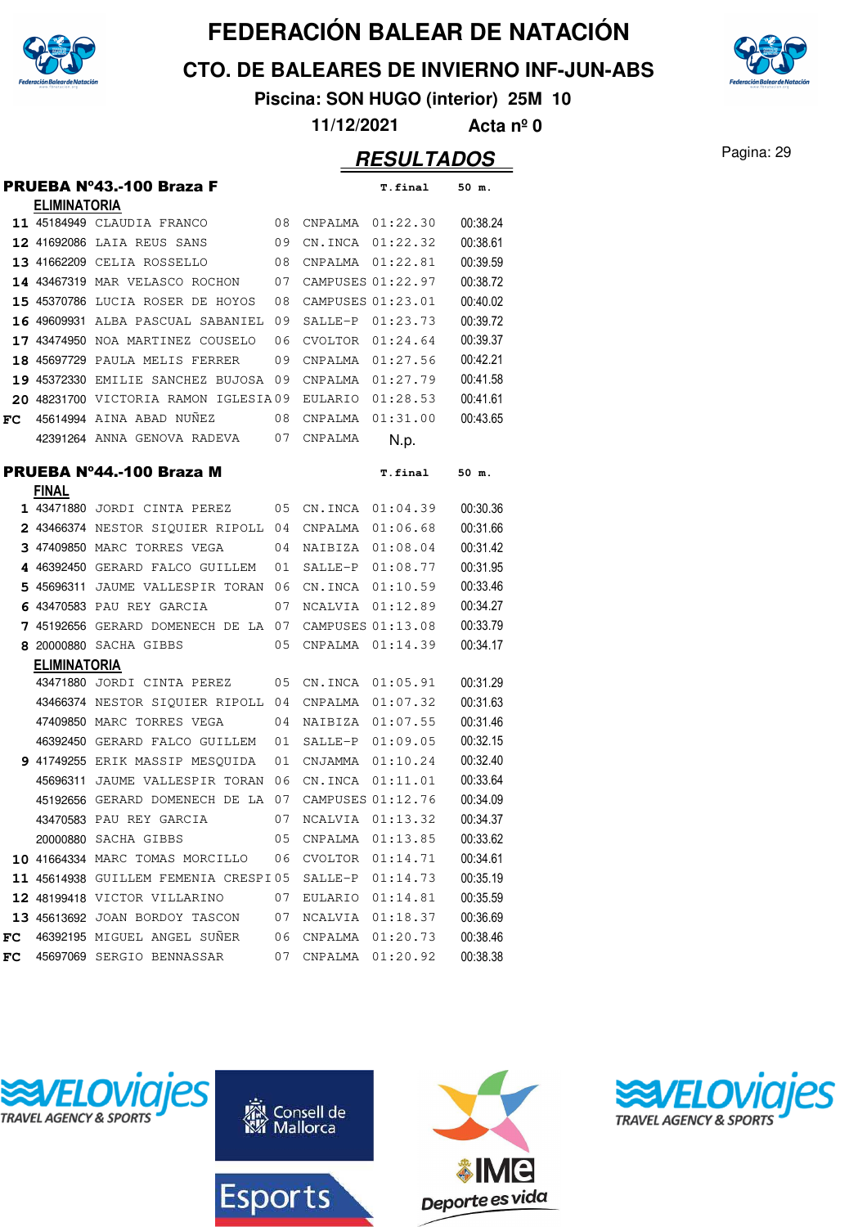

**CTO. DE BALEARES DE INVIERNO INF-JUN-ABS**



**Piscina: SON HUGO (interior) 25M 10**

**11/12/2021 Acta nº 0**

#### Pagina: 29 **RESULTADOS**

|    |                     | <b>PRUEBA Nº43.-100 Braza F</b>      |    |                   | <b>T.final</b> | 50 m.    |
|----|---------------------|--------------------------------------|----|-------------------|----------------|----------|
|    | <b>ELIMINATORIA</b> |                                      |    |                   |                |          |
|    |                     | 11 45184949 CLAUDIA FRANCO           | 08 | CNPALMA           | 01:22.30       | 00:38.24 |
|    |                     | 12 41692086 LAIA REUS SANS           | 09 | CN.INCA           | 01:22.32       | 00:38.61 |
|    |                     | 13 41662209 CELIA ROSSELLO           | 08 | CNPALMA           | 01:22.81       | 00:39.59 |
|    |                     | 14 43467319 MAR VELASCO ROCHON       | 07 | CAMPUSES 01:22.97 |                | 00:38.72 |
|    |                     | 15 45370786 LUCIA ROSER DE HOYOS     | 08 | CAMPUSES 01:23.01 |                | 00:40.02 |
|    |                     | 16 49609931 ALBA PASCUAL SABANIEL    | 09 | SALLE-P           | 01:23.73       | 00:39.72 |
|    |                     | 17 43474950 NOA MARTINEZ COUSELO     | 06 | CVOLTOR           | 01:24.64       | 00:39.37 |
|    |                     | 18 45697729 PAULA MELIS FERRER       | 09 | CNPALMA           | 01:27.56       | 00:42.21 |
|    |                     | 19 45372330 EMILIE SANCHEZ BUJOSA 09 |    | CNPALMA           | 01:27.79       | 00:41.58 |
|    |                     | 20 48231700 VICTORIA RAMON IGLESIA09 |    | <b>EULARIO</b>    | 01:28.53       | 00:41.61 |
| FC |                     | 45614994 AINA ABAD NUÑEZ             | 08 | CNPALMA           | 01:31.00       | 00:43.65 |
|    |                     | 42391264 ANNA GENOVA RADEVA          | 07 | CNPALMA           | N.p.           |          |
|    |                     | PRUEBA Nº44.-100 Braza M             |    |                   | <b>T.final</b> | 50 m.    |
|    | <b>FINAL</b>        |                                      |    |                   |                |          |
|    |                     | 1 43471880 JORDI CINTA PEREZ         | 05 | CN.INCA           | 01:04.39       | 00:30.36 |
|    |                     | 2 43466374 NESTOR SIQUIER RIPOLL 04  |    | CNPALMA           | 01:06.68       | 00:31.66 |
|    |                     | 3 47409850 MARC TORRES VEGA          | 04 | NAIBIZA           | 01:08.04       | 00:31.42 |
|    |                     | 4 46392450 GERARD FALCO GUILLEM      | 01 | SALLE-P           | 01:08.77       | 00:31.95 |
|    |                     | 5 45696311 JAUME VALLESPIR TORAN 06  |    | CN.INCA           | 01:10.59       | 00:33.46 |
| 6  |                     | 43470583 PAU REY GARCIA              | 07 | NCALVIA           | 01:12.89       | 00:34.27 |
|    |                     | 7 45192656 GERARD DOMENECH DE LA     | 07 | CAMPUSES 01:13.08 |                | 00:33.79 |
|    |                     | 8 20000880 SACHA GIBBS               | 05 | CNPALMA           | 01:14.39       | 00:34.17 |
|    | <b>ELIMINATORIA</b> |                                      |    |                   |                |          |
|    |                     | 43471880 JORDI CINTA PEREZ           | 05 | CN.INCA           | 01:05.91       | 00:31.29 |
|    |                     | 43466374 NESTOR SIOUIER RIPOLL 04    |    | CNPALMA           | 01:07.32       | 00:31.63 |
|    |                     | 47409850 MARC TORRES VEGA            | 04 | NAIBIZA           | 01:07.55       | 00:31.46 |
|    |                     | 46392450 GERARD FALCO GUILLEM        | 01 | SALLE-P           | 01:09.05       | 00:32.15 |
|    |                     | 9 41749255 ERIK MASSIP MESOUIDA      | 01 | CNJAMMA           | 01:10.24       | 00:32.40 |
|    |                     | 45696311 JAUME VALLESPIR TORAN       | 06 | CN.INCA           | 01:11.01       | 00:33.64 |
|    |                     | 45192656 GERARD DOMENECH DE LA       | 07 | CAMPUSES 01:12.76 |                | 00:34.09 |
|    |                     | 43470583 PAU REY GARCIA              | 07 | NCALVIA 01:13.32  |                | 00:34.37 |
|    |                     | 20000880 SACHA GIBBS                 | 05 | CNPALMA 01:13.85  |                | 00:33.62 |
|    |                     | 10 41664334 MARC TOMAS MORCILLO      | 06 | CVOLTOR 01:14.71  |                | 00:34.61 |
|    |                     | 11 45614938 GUILLEM FEMENIA CRESPI05 |    | $SALLE-P$         | 01:14.73       | 00:35.19 |
|    |                     | 12 48199418 VICTOR VILLARINO         | 07 | EULARIO           | 01:14.81       | 00:35.59 |
|    |                     | 13 45613692 JOAN BORDOY TASCON       | 07 | NCALVIA           | 01:18.37       | 00:36.69 |
| FC |                     | 46392195 MIGUEL ANGEL SUÑER          | 06 | CNPALMA           | 01:20.73       | 00:38.46 |
| FC |                     | 45697069 SERGIO BENNASSAR            | 07 | CNPALMA           | 01:20.92       | 00:38.38 |







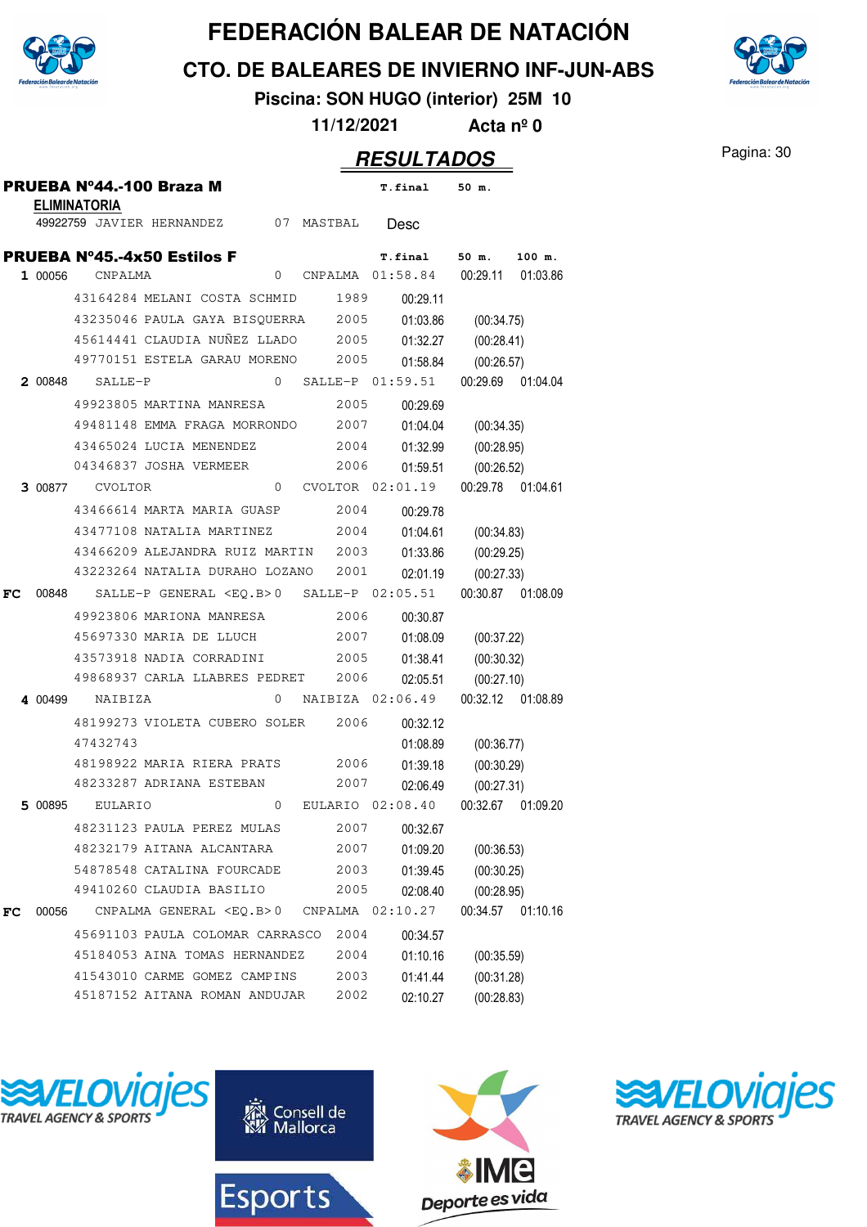

**CTO. DE BALEARES DE INVIERNO INF-JUN-ABS**



**Piscina: SON HUGO (interior) 25M 10**

**11/12/2021 Acta nº 0**

|    |         | <b>ELIMINATORIA</b>    | PRUEBA Nº44.-100 Braza M             |                |      | <b>T.final</b>                                         | 50 m.               |                   |
|----|---------|------------------------|--------------------------------------|----------------|------|--------------------------------------------------------|---------------------|-------------------|
|    |         |                        | 49922759 JAVIER HERNANDEZ 07 MASTBAL |                |      | Desc                                                   |                     |                   |
|    |         |                        | <b>PRUEBA Nº45.-4x50 Estilos F</b>   |                |      | <b>T.final</b>                                         | 50 m.               | 100 m.            |
|    | 1 00056 | CNPALMA                |                                      | 0              |      | CNPALMA  01:58.84  00:29.11  01:03.86                  |                     |                   |
|    |         |                        | 43164284 MELANI COSTA SCHMID         |                | 1989 | 00:29.11                                               |                     |                   |
|    |         |                        |                                      |                |      | 43235046 PAULA GAYA BISQUERRA 2005 01:03.86 (00:34.75) |                     |                   |
|    |         |                        |                                      |                |      | 45614441 CLAUDIA NUÑEZ LLADO 2005 01:32.27 (00:28.41)  |                     |                   |
|    |         |                        | 49770151 ESTELA GARAU MORENO 2005    |                |      |                                                        | 01:58.84 (00:26.57) |                   |
|    |         | <b>2</b> 00848 SALLE-P |                                      |                |      | 0 SALLE-P $01:59.51$ $00:29.69$ $01:04.04$             |                     |                   |
|    |         |                        | 49923805 MARTINA MANRESA             |                | 2005 | 00:29.69                                               |                     |                   |
|    |         |                        |                                      |                |      | 49481148 EMMA FRAGA MORRONDO 2007 01:04.04 (00:34.35)  |                     |                   |
|    |         |                        | 43465024 LUCIA MENENDEZ              |                |      | 2004   01:32.99   (00:28.95)                           |                     |                   |
|    |         |                        | 04346837 JOSHA VERMEER               |                | 2006 |                                                        | 01:59.51 (00:26.52) |                   |
|    |         | <b>3 00877 CVOLTOR</b> |                                      |                |      | 0 CVOLTOR 02:01.19  00:29.78  01:04.61                 |                     |                   |
|    |         |                        | 43466614 MARTA MARIA GUASP           |                | 2004 | 00:29.78                                               |                     |                   |
|    |         |                        | 43477108 NATALIA MARTINEZ            |                |      | 2004 01:04.61 (00:34.83)                               |                     |                   |
|    |         |                        | 43466209 ALEJANDRA RUIZ MARTIN 2003  |                |      |                                                        | 01:33.86 (00:29.25) |                   |
|    |         |                        | 43223264 NATALIA DURAHO LOZANO       |                | 2001 |                                                        | 02:01.19 (00:27.33) |                   |
| FC |         |                        |                                      |                |      | 00848 SALLE-P GENERAL <eq.b>0 SALLE-P 02:05.51</eq.b>  |                     | 00:30.87 01:08.09 |
|    |         |                        | 49923806 MARIONA MANRESA             |                | 2006 | 00:30.87                                               |                     |                   |
|    |         |                        | 45697330 MARIA DE LLUCH              |                | 2007 |                                                        | 01:08.09 (00:37.22) |                   |
|    |         |                        | 43573918 NADIA CORRADINI 2005        |                |      |                                                        | 01:38.41 (00:30.32) |                   |
|    |         |                        | 49868937 CARLA LLABRES PEDRET        |                | 2006 | 02:05.51                                               | (00:27.10)          |                   |
|    |         | 4 00499 NAIBIZA        |                                      |                |      | 0 NAIBIZA 02:06.49                                     |                     | 00:32.12 01:08.89 |
|    |         |                        | 48199273 VIOLETA CUBERO SOLER 2006   |                |      | 00:32.12                                               |                     |                   |
|    |         | 47432743               |                                      |                |      | 01:08.89                                               | (00:36.77)          |                   |
|    |         |                        | 48198922 MARIA RIERA PRATS 2006      |                |      |                                                        | 01:39.18 (00:30.29) |                   |
|    |         |                        | 48233287 ADRIANA ESTEBAN             |                | 2007 | 02:06.49                                               | (00:27.31)          |                   |
|    | 5 00895 | EULARIO                |                                      | $\overline{0}$ |      | EULARIO 02:08.40                                       |                     | 00:32.67 01:09.20 |
|    |         |                        | 48231123 PAULA PEREZ MULAS           |                | 2007 | 00:32.67                                               |                     |                   |
|    |         |                        | 48232179 AITANA ALCANTARA            |                | 2007 | 01:09.20                                               | (00:36.53)          |                   |
|    |         |                        | 54878548 CATALINA FOURCADE           |                | 2003 | 01:39.45                                               | (00:30.25)          |                   |
|    |         |                        | 49410260 CLAUDIA BASILIO             |                | 2005 | 02:08.40                                               | (00:28.95)          |                   |
| FC | 00056   |                        | CNPALMA GENERAL <eq.b>0</eq.b>       |                |      | CNPALMA 02:10.27                                       |                     | 00:34.57 01:10.16 |
|    |         |                        | 45691103 PAULA COLOMAR CARRASCO      |                | 2004 | 00:34.57                                               |                     |                   |
|    |         |                        | 45184053 AINA TOMAS HERNANDEZ        |                | 2004 | 01:10.16                                               | (00:35.59)          |                   |
|    |         |                        | 41543010 CARME GOMEZ CAMPINS         |                | 2003 | 01:41.44                                               | (00:31.28)          |                   |
|    |         |                        | 45187152 AITANA ROMAN ANDUJAR        |                | 2002 | 02:10.27                                               | (00:28.83)          |                   |







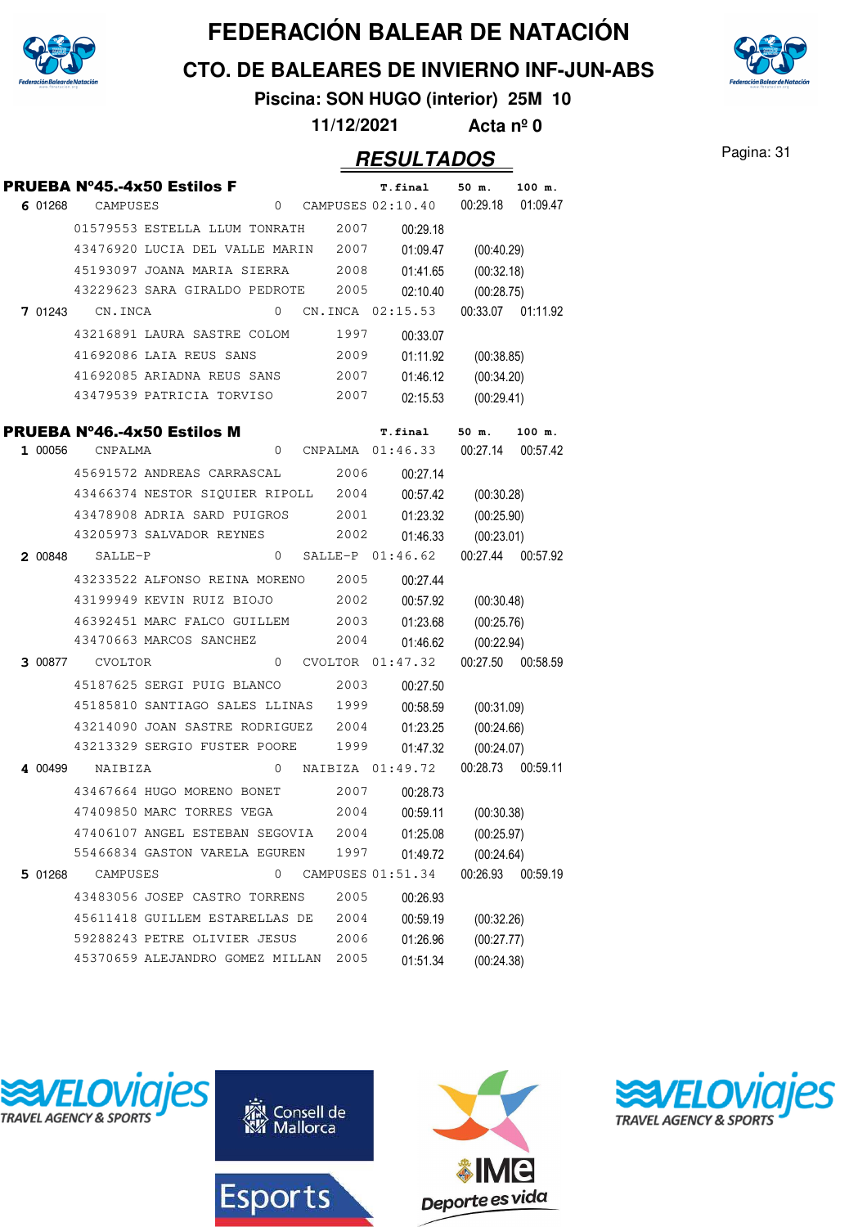

**CTO. DE BALEARES DE INVIERNO INF-JUN-ABS**



**Piscina: SON HUGO (interior) 25M 10**

**11/12/2021 Acta nº 0**

#### Pagina: 31 **RESULTADOS**

|         |                        | PRUEBA N°45.-4x50 Estilos F         |              |      |      | <b>T.final</b>                        | 50 m.             | 100 m.   |
|---------|------------------------|-------------------------------------|--------------|------|------|---------------------------------------|-------------------|----------|
|         | 6 01268 CAMPUSES       |                                     |              |      |      | $0$ CAMPUSES $02:10.40$               | 00:29.18          | 01:09.47 |
|         |                        | 01579553 ESTELLA LLUM TONRATH       |              |      | 2007 | 00:29.18                              |                   |          |
|         |                        | 43476920 LUCIA DEL VALLE MARIN      |              |      | 2007 | 01:09.47                              | (00:40.29)        |          |
|         |                        | 45193097 JOANA MARIA SIERRA         |              |      | 2008 | 01:41.65                              | (00:32.18)        |          |
|         |                        | 43229623 SARA GIRALDO PEDROTE       |              |      | 2005 | 02:10.40                              | (00:28.75)        |          |
|         | <b>7 01243</b> CN.INCA |                                     | $\Omega$     |      |      | CN.INCA 02:15.53                      | 00:33.07 01:11.92 |          |
|         |                        | 43216891 LAURA SASTRE COLOM         |              |      | 1997 | 00:33.07                              |                   |          |
|         |                        | 41692086 LAIA REUS SANS             |              |      | 2009 | 01:11.92                              | (00:38.85)        |          |
|         |                        | 41692085 ARIADNA REUS SANS 2007     |              |      |      | 01:46.12                              | (00:34.20)        |          |
|         |                        | 43479539 PATRICIA TORVISO           |              |      | 2007 | 02:15.53                              | (00:29.41)        |          |
|         |                        | PRUEBA Nº46.-4x50 Estilos M         |              |      |      | <b>T.final</b>                        | 50 m.             | 100 m.   |
|         | 1 00056 CNPALMA        |                                     | 0            |      |      | CNPALMA  01:46.33  00:27.14  00:57.42 |                   |          |
|         |                        | 45691572 ANDREAS CARRASCAL          |              |      | 2006 | 00:27.14                              |                   |          |
|         |                        | 43466374 NESTOR SIQUIER RIPOLL 2004 |              |      |      | 00:57.42                              | (00:30.28)        |          |
|         |                        | 43478908 ADRIA SARD PUIGROS         |              | 2001 |      | 01:23.32                              | (00:25.90)        |          |
|         |                        | 43205973 SALVADOR REYNES            |              |      | 2002 | 01:46.33                              | (00:23.01)        |          |
|         | 2 00848 SALLE-P        |                                     | $\Omega$     |      |      | SALLE-P 01:46.62                      | 00:27.44 00:57.92 |          |
|         |                        | 43233522 ALFONSO REINA MORENO       |              |      | 2005 | 00:27.44                              |                   |          |
|         |                        | 43199949 KEVIN RUIZ BIOJO           |              |      | 2002 | 00:57.92                              | (00:30.48)        |          |
|         |                        | 46392451 MARC FALCO GUILLEM 2003    |              |      |      | 01:23.68                              | (00:25.76)        |          |
|         |                        | 43470663 MARCOS SANCHEZ             |              |      | 2004 | 01:46.62                              | (00:22.94)        |          |
|         | 3 00877 CVOLTOR        |                                     | $\mathbf{0}$ |      |      | CVOLTOR 01:47.32                      | 00:27.50 00:58.59 |          |
|         |                        | 45187625 SERGI PUIG BLANCO          |              |      | 2003 | 00:27.50                              |                   |          |
|         |                        | 45185810 SANTIAGO SALES LLINAS      |              |      | 1999 | 00:58.59                              | (00:31.09)        |          |
|         |                        | 43214090 JOAN SASTRE RODRIGUEZ      |              |      | 2004 | 01:23.25                              | (00:24.66)        |          |
|         |                        | 43213329 SERGIO FUSTER POORE        |              |      | 1999 | 01:47.32                              | (00:24.07)        |          |
| 4 00499 | NAIBIZA                |                                     |              |      |      | 0 NAIBIZA 01:49.72                    | 00:28.73 00:59.11 |          |
|         |                        | 43467664 HUGO MORENO BONET          |              |      | 2007 | 00:28.73                              |                   |          |
|         |                        | 47409850 MARC TORRES VEGA           |              |      | 2004 | 00:59.11                              | (00:30.38)        |          |
|         |                        | 47406107 ANGEL ESTEBAN SEGOVIA      |              |      | 2004 | 01:25.08                              | (00:25.97)        |          |
|         |                        | 55466834 GASTON VARELA EGUREN       |              |      | 1997 | 01:49.72                              | (00:24.64)        |          |
| 5 01268 | CAMPUSES               |                                     | 0            |      |      | CAMPUSES 01:51.34                     | 00:26.93          | 00:59.19 |
|         |                        | 43483056 JOSEP CASTRO TORRENS       |              |      | 2005 | 00:26.93                              |                   |          |
|         |                        | 45611418 GUILLEM ESTARELLAS DE      |              |      | 2004 | 00:59.19                              | (00:32.26)        |          |
|         |                        | 59288243 PETRE OLIVIER JESUS        |              |      | 2006 | 01:26.96                              | (00:27.77)        |          |
|         |                        | 45370659 ALEJANDRO GOMEZ MILLAN     |              |      | 2005 | 01:51.34                              | (00:24.38)        |          |







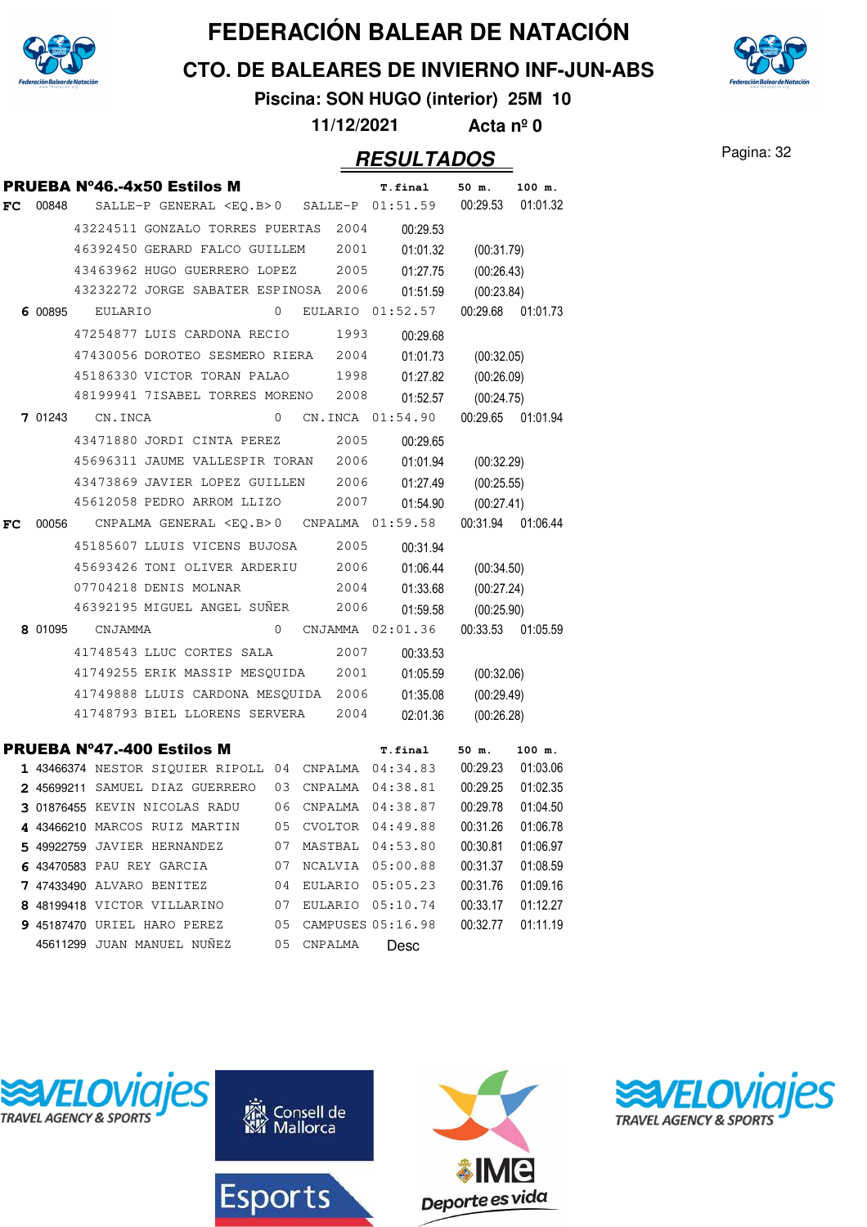

**CTO. DE BALEARES DE INVIERNO INF-JUN-ABS**

**Piscina: SON HUGO (interior) 25M 10**

**11/12/2021 Acta nº 0**

#### Pagina: 32 **RESULTADOS**

|    |         |                 | <b>PRUEBA Nº46.-4x50 Estilos M</b>                   |    |                | <b>T.final</b>      | 50 m.      | 100 m.            |
|----|---------|-----------------|------------------------------------------------------|----|----------------|---------------------|------------|-------------------|
| FC | 00848   |                 | SALLE-P GENERAL <eq.b>0 SALLE-P 01:51.59</eq.b>      |    |                |                     | 00:29.53   | 01:01.32          |
|    |         |                 | 43224511 GONZALO TORRES PUERTAS                      |    | 2004           | 00:29.53            |            |                   |
|    |         |                 | 46392450 GERARD FALCO GUILLEM                        |    | 2001           | 01:01.32            | (00:31.79) |                   |
|    |         |                 | 43463962 HUGO GUERRERO LOPEZ                         |    | 2005           | 01:27.75            | (00:26.43) |                   |
|    |         |                 | 43232272 JORGE SABATER ESPINOSA                      |    | 2006           | 01:51.59            | (00:23.84) |                   |
|    |         | 6 00895 EULARIO |                                                      | 0  |                | EULARIO 01:52.57    |            | 00:29.68 01:01.73 |
|    |         |                 | 47254877 LUIS CARDONA RECIO                          |    | 1993           | 00:29.68            |            |                   |
|    |         |                 | 47430056 DOROTEO SESMERO RIERA                       |    | 2004           | 01:01.73            | (00:32.05) |                   |
|    |         |                 | 45186330 VICTOR TORAN PALAO                          |    | 1998           | 01:27.82            | (00:26.09) |                   |
|    |         |                 | 48199941 7ISABEL TORRES MORENO                       |    | 2008           | 01:52.57            | (00:24.75) |                   |
|    | 7 01243 | CN.INCA         |                                                      | 0  |                | CN.INCA 01:54.90    |            | 00:29.65 01:01.94 |
|    |         |                 | 43471880 JORDI CINTA PEREZ                           |    | 2005           | 00:29.65            |            |                   |
|    |         |                 | 45696311 JAUME VALLESPIR TORAN                       |    | 2006           | 01:01.94            | (00:32.29) |                   |
|    |         |                 | 43473869 JAVIER LOPEZ GUILLEN                        |    | 2006           | 01:27.49            | (00:25.55) |                   |
|    |         |                 | 45612058 PEDRO ARROM LLIZO                           |    | 2007           | 01:54.90            | (00:27.41) |                   |
| FC | 00056   |                 | CNPALMA GENERAL <eq.b>0</eq.b>                       |    |                | CNPALMA 01:59.58    |            | 00:31.94 01:06.44 |
|    |         |                 | 45185607 LLUIS VICENS BUJOSA                         |    | 2005           | 00:31.94            |            |                   |
|    |         |                 | 45693426 TONI OLIVER ARDERIU                         |    | 2006           | 01:06.44            | (00:34.50) |                   |
|    |         |                 | 07704218 DENIS MOLNAR                                |    | 2004           | 01:33.68            | (00:27.24) |                   |
|    |         |                 | 46392195 MIGUEL ANGEL SUNER                          |    | 2006           | 01:59.58            | (00:25.90) |                   |
|    | 8 01095 | CNJAMMA         |                                                      | 0  |                | CNJAMMA 02:01.36    |            | 00:33.53 01:05.59 |
|    |         |                 | 41748543 LLUC CORTES SALA                            |    | 2007           | 00:33.53            |            |                   |
|    |         |                 | 41749255 ERIK MASSIP MESQUIDA                        |    | 2001           | 01:05.59            | (00:32.06) |                   |
|    |         |                 | 41749888 LLUIS CARDONA MESQUIDA                      |    | 2006           | 01:35.08            | (00:29.49) |                   |
|    |         |                 | 41748793 BIEL LLORENS SERVERA                        |    | 2004           | 02:01.36            | (00:26.28) |                   |
|    |         |                 | <b>PRUEBA Nº47.-400 Estilos M</b>                    |    |                | <b>T.final</b>      | 50 m.      | 100 m.            |
|    |         |                 | 1 43466374 NESTOR SIQUIER RIPOLL 04 CNPALMA 04:34.83 |    |                |                     | 00:29.23   | 01:03.06          |
|    |         |                 | 2 45699211 SAMUEL DIAZ GUERRERO                      | 03 |                | CNPALMA 04:38.81    | 00:29.25   | 01:02.35          |
|    |         |                 | 3 01876455 KEVIN NICOLAS RADU                        |    |                | 06 CNPALMA 04:38.87 | 00:29.78   | 01:04.50          |
|    |         |                 | 4 43466210 MARCOS RUIZ MARTIN                        | 05 | <b>CVOLTOR</b> | 04:49.88            | 00:31.26   | 01:06.78          |
|    |         |                 | 5 49922759 JAVIER HERNANDEZ                          | 07 | MASTBAL        | 04:53.80            | 00:30.81   | 01:06.97          |
|    |         |                 | 6 43470583 PAU REY GARCIA                            | 07 |                | NCALVIA 05:00.88    | 00:31.37   | 01:08.59          |
|    |         |                 | 7 47433490 ALVARO BENITEZ                            | 04 |                | EULARIO 05:05.23    | 00:31.76   | 01:09.16          |
|    |         |                 | 8 48199418 VICTOR VILLARINO                          | 07 |                | EULARIO 05:10.74    | 00:33.17   | 01:12.27          |
|    |         |                 | <b>9 45187470 URIEL HARO PEREZ</b>                   | 05 |                | CAMPUSES 05:16.98   | 00:32.77   | 01:11.19          |
|    |         |                 | 45611299 JUAN MANUEL NUÑEZ                           | 05 | CNPALMA        | Desc                |            |                   |









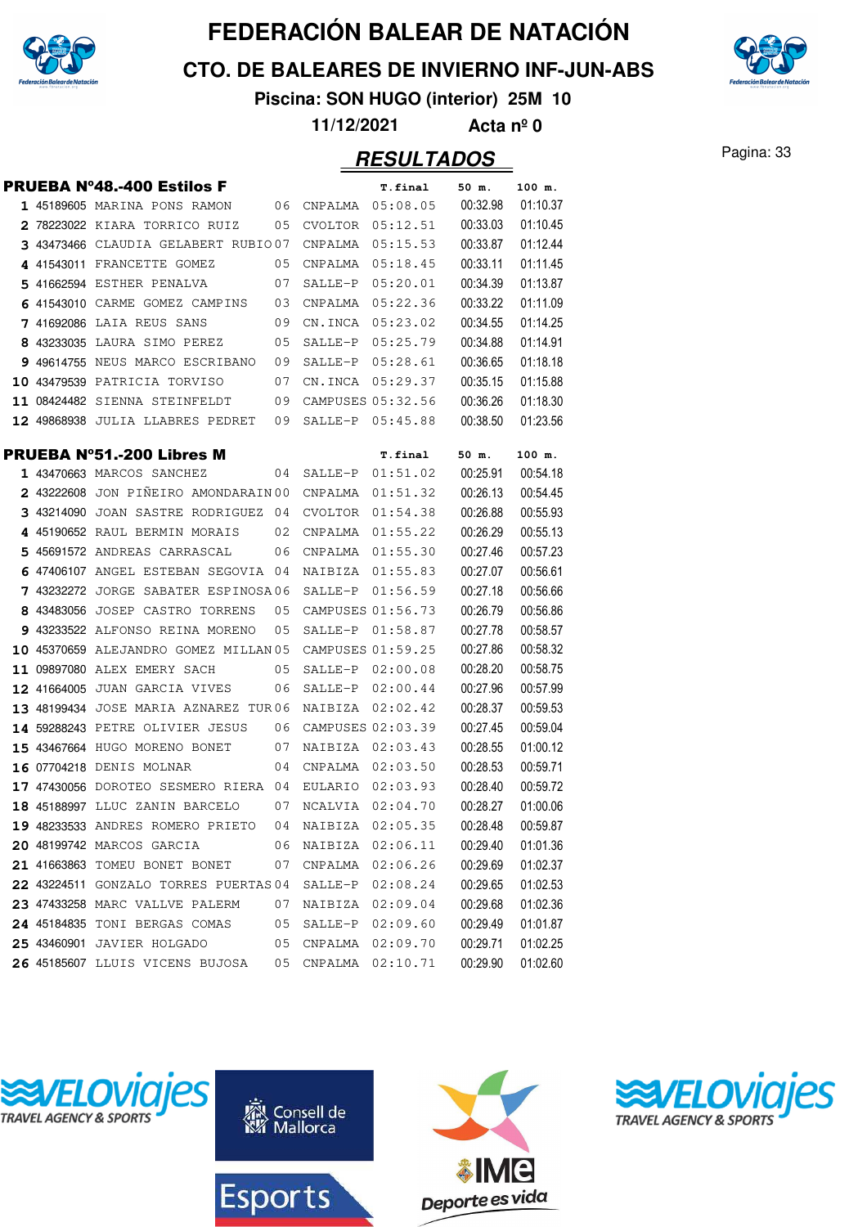

**CTO. DE BALEARES DE INVIERNO INF-JUN-ABS**



**Piscina: SON HUGO (interior) 25M 10**

**11/12/2021 Acta nº 0**

#### Pagina: 33 **RESULTADOS**

|  | <b>PRUEBA Nº48.-400 Estilos F</b>                          |    |                     | T.final           | 50 m.    | 100 m.   |
|--|------------------------------------------------------------|----|---------------------|-------------------|----------|----------|
|  | 1 45189605 MARINA PONS RAMON                               |    | 06 CNPALMA 05:08.05 |                   | 00:32.98 | 01:10.37 |
|  | 2 78223022 KIARA TORRICO RUIZ                              | 05 |                     | CVOLTOR 05:12.51  | 00:33.03 | 01:10.45 |
|  | 3 43473466 CLAUDIA GELABERT RUBIO07                        |    | CNPALMA             | 05:15.53          | 00:33.87 | 01:12.44 |
|  | 4 41543011 FRANCETTE GOMEZ                                 | 05 |                     | CNPALMA 05:18.45  | 00:33.11 | 01:11.45 |
|  | 5 41662594 ESTHER PENALVA                                  | 07 |                     | SALLE-P 05:20.01  | 00:34.39 | 01:13.87 |
|  | 6 41543010 CARME GOMEZ CAMPINS 03 CNPALMA 05:22.36         |    |                     |                   | 00:33.22 | 01:11.09 |
|  | <b>7</b> 41692086 LAIA REUS SANS                           | 09 |                     | CN.INCA 05:23.02  | 00:34.55 | 01:14.25 |
|  | 8 43233035 LAURA SIMO PEREZ 05                             |    |                     | SALLE-P 05:25.79  | 00:34.88 | 01:14.91 |
|  | 9 49614755 NEUS MARCO ESCRIBANO 09                         |    |                     | SALLE-P 05:28.61  | 00:36.65 | 01:18.18 |
|  | 10 43479539 PATRICIA TORVISO                               | 07 |                     | CN.INCA 05:29.37  | 00:35.15 | 01:15.88 |
|  | 11 08424482 SIENNA STEINFELDT 09 CAMPUSES 05:32.56         |    |                     |                   | 00:36.26 | 01:18.30 |
|  | 12 49868938 JULIA LLABRES PEDRET 09                        |    |                     | SALLE-P 05:45.88  | 00:38.50 | 01:23.56 |
|  | <b>PRUEBA N°51.-200 Libres M</b>                           |    |                     | <b>T.final</b>    | 50 m.    | 100 m.   |
|  | 1 43470663 MARCOS SANCHEZ                                  |    | 04 SALLE-P 01:51.02 |                   | 00:25.91 | 00:54.18 |
|  | 2 43222608 JON PINEIRO AMONDARAIN 00 CNPALMA 01:51.32      |    |                     |                   | 00:26.13 | 00:54.45 |
|  | 3 43214090 JOAN SASTRE RODRIGUEZ 04 CVOLTOR 01:54.38       |    |                     |                   | 00:26.88 | 00:55.93 |
|  | 4 45190652 RAUL BERMIN MORAIS $\qquad$ 02 CNPALMA 01:55.22 |    |                     |                   | 00:26.29 | 00:55.13 |
|  | 5 45691572 ANDREAS CARRASCAL 06                            |    |                     | CNPALMA 01:55.30  | 00:27.46 | 00:57.23 |
|  | 6 47406107 ANGEL ESTEBAN SEGOVIA 04                        |    |                     | NAIBIZA 01:55.83  | 00:27.07 | 00:56.61 |
|  | 7 43232272 JORGE SABATER ESPINOSA06                        |    |                     | SALLE-P 01:56.59  | 00:27.18 | 00:56.66 |
|  | 8 43483056 JOSEP CASTRO TORRENS                            | 05 |                     | CAMPUSES 01:56.73 | 00:26.79 | 00:56.86 |
|  | 9 43233522 ALFONSO REINA MORENO                            | 05 | SALLE-P             | 01:58.87          | 00:27.78 | 00:58.57 |
|  | 10 45370659 ALEJANDRO GOMEZ MILLAN 05                      |    |                     | CAMPUSES 01:59.25 | 00:27.86 | 00:58.32 |
|  | 11 09897080 ALEX EMERY SACH<br>$\sim$ 05                   |    |                     | SALLE-P 02:00.08  | 00:28.20 | 00:58.75 |
|  | <b>12 41664005</b> JUAN GARCIA VIVES                       | 06 |                     | SALLE-P 02:00.44  | 00:27.96 | 00:57.99 |
|  | 13 48199434 JOSE MARIA AZNAREZ TUR06 NAIBIZA 02:02.42      |    |                     |                   | 00:28.37 | 00:59.53 |
|  | 14 59288243 PETRE OLIVIER JESUS 06 CAMPUSES 02:03.39       |    |                     |                   | 00:27.45 | 00:59.04 |
|  | 15 43467664 HUGO MORENO BONET 07                           |    | NAIBIZA 02:03.43    |                   | 00:28.55 | 01:00.12 |
|  | 16 07704218 DENIS MOLNAR                                   |    | 04 CNPALMA 02:03.50 |                   | 00:28.53 | 00:59.71 |
|  | 17 47430056 DOROTEO SESMERO RIERA 04 EULARIO               |    |                     | 02:03.93          | 00:28.40 | 00:59.72 |
|  | 18 45188997 LLUC ZANIN BARCELO                             | 07 | NCALVIA 02:04.70    |                   | 00:28.27 | 01:00.06 |
|  | 19 48233533 ANDRES ROMERO PRIETO                           | 04 | NAIBIZA             | 02:05.35          | 00:28.48 | 00:59.87 |
|  | 20 48199742 MARCOS GARCIA                                  | 06 | NAIBIZA             | 02:06.11          | 00:29.40 | 01:01.36 |
|  | 21 41663863 TOMEU BONET BONET                              | 07 | CNPALMA             | 02:06.26          | 00:29.69 | 01:02.37 |
|  | 22 43224511 GONZALO TORRES PUERTAS 04                      |    | SALLE-P             | 02:08.24          | 00:29.65 | 01:02.53 |
|  | 23 47433258 MARC VALLVE PALERM                             | 07 | NAIBIZA             | 02:09.04          | 00:29.68 | 01:02.36 |
|  | 24 45184835 TONI BERGAS COMAS                              | 05 |                     | SALLE-P 02:09.60  | 00:29.49 | 01:01.87 |
|  | 25 43460901 JAVIER HOLGADO                                 | 05 | CNPALMA             | 02:09.70          | 00:29.71 | 01:02.25 |
|  | 26 45185607 LLUIS VICENS BUJOSA                            | 05 | CNPALMA             | 02:10.71          | 00:29.90 | 01:02.60 |
|  |                                                            |    |                     |                   |          |          |







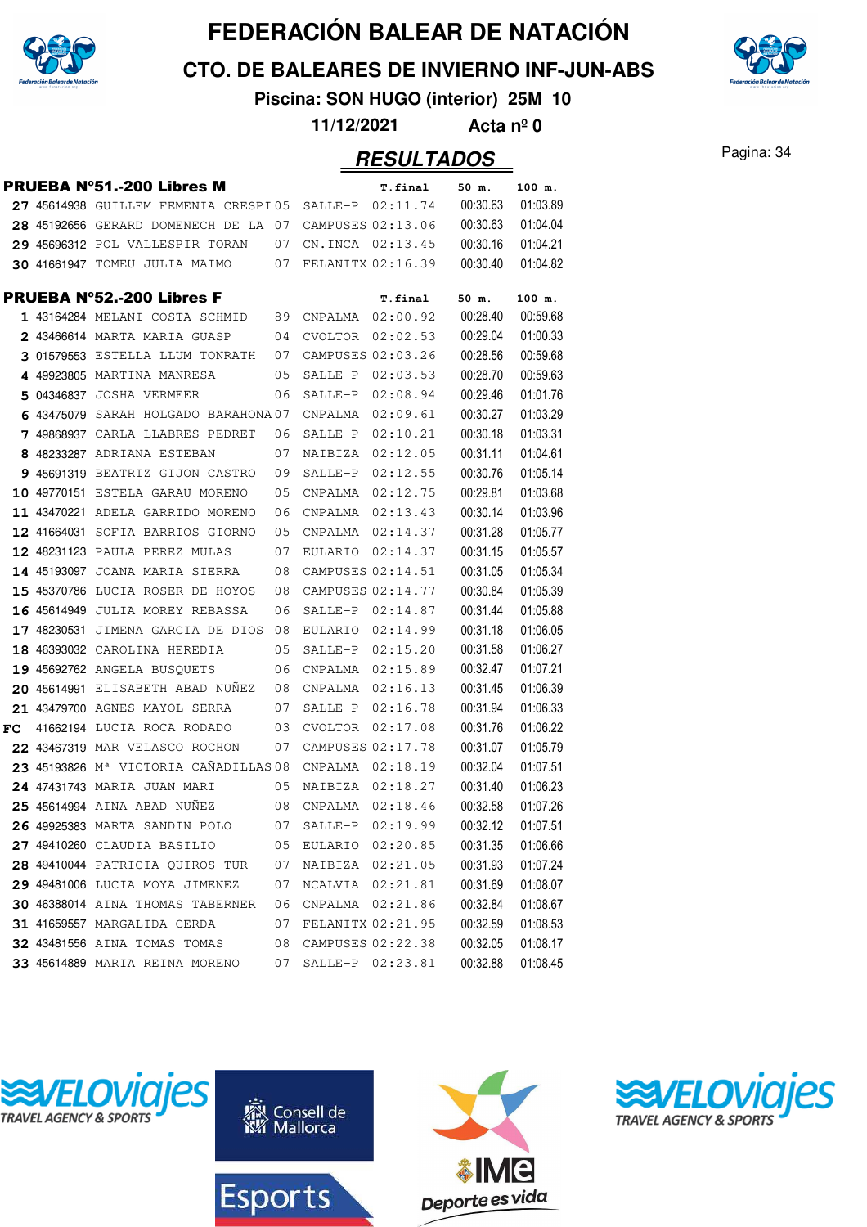

**CTO. DE BALEARES DE INVIERNO INF-JUN-ABS**

**Piscina: SON HUGO (interior) 25M 10**

**11/12/2021 Acta nº 0**

#### Pagina: 34 **RESULTADOS**

|    |             | <b>PRUEBA N°51.-200 Libres M</b>                  |    |                     | T.final           | 50 m.    | 100 m.   |
|----|-------------|---------------------------------------------------|----|---------------------|-------------------|----------|----------|
|    |             | 27 45614938 GUILLEM FEMENIA CRESPI05              |    | SALLE-P             | 02:11.74          | 00:30.63 | 01:03.89 |
|    |             | 28 45192656 GERARD DOMENECH DE LA                 | 07 | CAMPUSES 02:13.06   |                   | 00:30.63 | 01:04.04 |
|    |             | 29 45696312 POL VALLESPIR TORAN                   | 07 |                     | CN. INCA 02:13.45 | 00:30.16 | 01:04.21 |
|    |             | 30 41661947 TOMEU JULIA MAIMO                     | 07 | FELANITX 02:16.39   |                   | 00:30.40 | 01:04.82 |
|    |             | <b>PRUEBA Nº52.-200 Libres F</b>                  |    |                     | T.final           | 50 m.    | 100 m.   |
|    |             | 1 43164284 MELANI COSTA SCHMID                    | 89 | CNPALMA             | 02:00.92          | 00:28.40 | 00:59.68 |
|    |             | 2 43466614 MARTA MARIA GUASP                      | 04 | CVOLTOR             | 02:02.53          | 00:29.04 | 01:00.33 |
|    |             | 3 01579553 ESTELLA LLUM TONRATH                   | 07 |                     | CAMPUSES 02:03.26 | 00:28.56 | 00:59.68 |
|    |             | 4 49923805 MARTINA MANRESA                        | 05 | SALLE-P             | 02:03.53          | 00:28.70 | 00:59.63 |
|    |             | 5 04346837 JOSHA VERMEER                          | 06 | SALLE-P             | 02:08.94          | 00:29.46 | 01:01.76 |
|    |             | 6 43475079 SARAH HOLGADO BARAHONA 07              |    | CNPALMA             | 02:09.61          | 00:30.27 | 01:03.29 |
|    |             | 7 49868937 CARLA LLABRES PEDRET                   | 06 | SALLE-P             | 02:10.21          | 00:30.18 | 01:03.31 |
|    |             | 8 48233287 ADRIANA ESTEBAN                        | 07 | NAIBIZA             | 02:12.05          | 00:31.11 | 01:04.61 |
|    |             | 9 45691319 BEATRIZ GIJON CASTRO                   | 09 | SALLE-P             | 02:12.55          | 00:30.76 | 01:05.14 |
|    | 10 49770151 | ESTELA GARAU MORENO                               | 05 | CNPALMA             | 02:12.75          | 00:29.81 | 01:03.68 |
|    |             | 11 43470221 ADELA GARRIDO MORENO                  | 06 | CNPALMA             | 02:13.43          | 00:30.14 | 01:03.96 |
|    | 12 41664031 | SOFIA BARRIOS GIORNO                              | 05 | CNPALMA             | 02:14.37          | 00:31.28 | 01:05.77 |
|    |             | 12 48231123 PAULA PEREZ MULAS                     | 07 | EULARIO             | 02:14.37          | 00:31.15 | 01:05.57 |
|    | 14 45193097 | JOANA MARIA SIERRA                                | 08 |                     | CAMPUSES 02:14.51 | 00:31.05 | 01:05.34 |
|    |             | 15 45370786 LUCIA ROSER DE HOYOS                  | 08 |                     | CAMPUSES 02:14.77 | 00:30.84 | 01:05.39 |
|    | 16 45614949 | JULIA MOREY REBASSA                               | 06 | SALLE-P             | 02:14.87          | 00:31.44 | 01:05.88 |
|    | 17 48230531 | JIMENA GARCIA DE DIOS                             | 08 | EULARIO             | 02:14.99          | 00:31.18 | 01:06.05 |
|    |             | 18 46393032 CAROLINA HEREDIA                      | 05 | SALLE-P             | 02:15.20          | 00:31.58 | 01:06.27 |
|    |             | 19 45692762 ANGELA BUSQUETS                       | 06 | CNPALMA             | 02:15.89          | 00:32.47 | 01:07.21 |
|    |             | 20 45614991 ELISABETH ABAD NUNEZ                  | 08 | CNPALMA             | 02:16.13          | 00:31.45 | 01:06.39 |
|    |             | 21 43479700 AGNES MAYOL SERRA                     | 07 | SALLE-P             | 02:16.78          | 00:31.94 | 01:06.33 |
| FC |             | 41662194 LUCIA ROCA RODADO                        | 03 | CVOLTOR             | 02:17.08          | 00:31.76 | 01:06.22 |
|    |             | 22 43467319 MAR VELASCO ROCHON                    | 07 |                     | CAMPUSES 02:17.78 | 00:31.07 | 01:05.79 |
|    |             | 23 45193826 M <sup>a</sup> VICTORIA CAÑADILLAS 08 |    | CNPALMA             | 02:18.19          | 00:32.04 | 01:07.51 |
|    |             | 24 47431743 MARIA JUAN MARI                       | 05 | NAIBIZA             | 02:18.27          | 00:31.40 | 01:06.23 |
|    |             | 25 45614994 AINA ABAD NUNEZ                       | 08 | CNPALMA             | 02:18.46          | 00:32.58 | 01:07.26 |
|    |             | 26 49925383 MARTA SANDIN POLO                     |    | 07 SALLE-P 02:19.99 |                   | 00:32.12 | 01:07.51 |
|    |             | 27 49410260 CLAUDIA BASILIO                       |    | 05 EULARIO 02:20.85 |                   | 00:31.35 | 01:06.66 |
|    |             | 28 49410044 PATRICIA QUIROS TUR                   | 07 | NAIBIZA 02:21.05    |                   | 00:31.93 | 01:07.24 |
|    |             | 29 49481006 LUCIA MOYA JIMENEZ                    | 07 |                     | NCALVIA 02:21.81  | 00:31.69 | 01:08.07 |
|    |             | 30 46388014 AINA THOMAS TABERNER                  | 06 |                     | CNPALMA 02:21.86  | 00:32.84 | 01:08.67 |
|    |             | 31 41659557 MARGALIDA CERDA                       | 07 |                     | FELANITX 02:21.95 | 00:32.59 | 01:08.53 |
|    |             | 32 43481556 AINA TOMAS TOMAS                      | 08 | CAMPUSES 02:22.38   |                   | 00:32.05 | 01:08.17 |
|    |             | 33 45614889 MARIA REINA MORENO                    | 07 |                     | SALLE-P 02:23.81  | 00:32.88 | 01:08.45 |









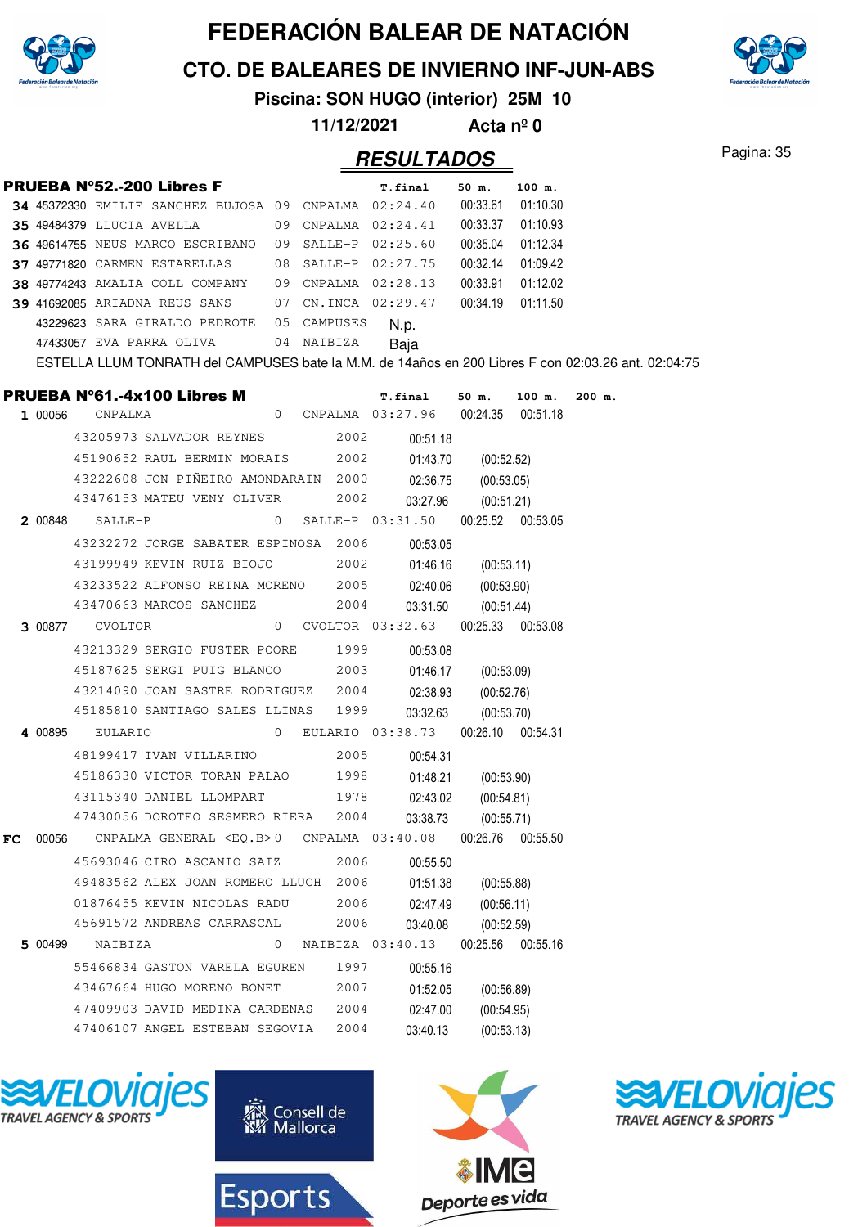

**CTO. DE BALEARES DE INVIERNO INF-JUN-ABS**



**Piscina: SON HUGO (interior) 25M 10**

**11/12/2021 Acta nº 0**

#### Pagina: 35 **RESULTADOS**

|    |         |                 | <b>PRUEBA Nº52.-200 Libres F</b>                                                                                |              |      | <b>T.final</b>                                   | 50 m.                           | 100 m.   |        |  |
|----|---------|-----------------|-----------------------------------------------------------------------------------------------------------------|--------------|------|--------------------------------------------------|---------------------------------|----------|--------|--|
|    |         |                 | 34 45372330 EMILIE SANCHEZ BUJOSA 09 CNPALMA 02:24.40 00:33.61 01:10.30                                         |              |      |                                                  |                                 |          |        |  |
|    |         |                 | 35 49484379 LLUCIA AVELLA 09 CNPALMA 02:24.41 00:33.37                                                          |              |      |                                                  |                                 | 01:10.93 |        |  |
|    |         |                 | 36 49614755 NEUS MARCO ESCRIBANO 09 SALLE-P 02:25.60 00:35.04                                                   |              |      |                                                  |                                 | 01:12.34 |        |  |
|    |         |                 | 37 49771820 CARMEN ESTARELLAS 08 SALLE-P 02:27.75 00:32.14                                                      |              |      |                                                  |                                 | 01:09.42 |        |  |
|    |         |                 | 38 49774243 AMALIA COLL COMPANY 09 CNPALMA 02:28.13 00:33.91                                                    |              |      |                                                  |                                 | 01:12.02 |        |  |
|    |         |                 | 39 41692085 ARIADNA REUS SANS 07 CN.INCA 02:29.47 00:34.19                                                      |              |      |                                                  |                                 | 01:11.50 |        |  |
|    |         |                 | 43229623 SARA GIRALDO PEDROTE 05 CAMPUSES                                                                       |              |      | N.p.                                             |                                 |          |        |  |
|    |         |                 | 47433057 EVA PARRA OLIVA 04 NAIBIZA                                                                             |              |      | Baja                                             |                                 |          |        |  |
|    |         |                 | ESTELLA LLUM TONRATH del CAMPUSES bate la M.M. de 14años en 200 Libres F con 02:03.26 ant. 02:04:75             |              |      |                                                  |                                 |          |        |  |
|    |         |                 |                                                                                                                 |              |      |                                                  |                                 |          | 200 m. |  |
|    |         |                 | <b>PRUEBA N°61.-4x100 Libres M</b> T.final 50 m. 100 m.<br>1 00056 CNPALMA 0 CNPALMA 03:27.96 00:24.35 00:51.18 |              |      |                                                  |                                 |          |        |  |
|    |         |                 | 43205973 SALVADOR REYNES 2002                                                                                   |              |      | 00:51.18                                         |                                 |          |        |  |
|    |         |                 | 45190652 RAUL BERMIN MORAIS 2002                                                                                |              |      |                                                  |                                 |          |        |  |
|    |         |                 | 43222608 JON PIÑEIRO AMONDARAIN 2000                                                                            |              |      | 01:43.70                                         | (00:52.52)                      |          |        |  |
|    |         |                 | 43476153 MATEU VENY OLIVER 2002                                                                                 |              |      | 02:36.75                                         | (00:53.05)                      |          |        |  |
|    |         | 2 00848 SALLE-P |                                                                                                                 |              |      | 03:27.96<br>0 SALLE-P 03:31.50 00:25.52 00:53.05 | (00:51.21)                      |          |        |  |
|    |         |                 |                                                                                                                 |              |      |                                                  |                                 |          |        |  |
|    |         |                 | 43232272 JORGE SABATER ESPINOSA 2006                                                                            |              |      | 00:53.05                                         |                                 |          |        |  |
|    |         |                 | 43199949 KEVIN RUIZ BIOJO                                                                                       |              |      | 2002<br>01:46.16                                 | (00:53.11)                      |          |        |  |
|    |         |                 | 43233522 ALFONSO REINA MORENO 2005                                                                              |              |      | 02:40.06                                         | (00:53.90)                      |          |        |  |
|    |         |                 | 43470663 MARCOS SANCHEZ 2004                                                                                    |              |      | 03:31.50                                         | (00:51.44)                      |          |        |  |
|    |         |                 | 3 00877 CVOLTOR 03:32.63 00:25.33 00:53.08                                                                      |              |      |                                                  |                                 |          |        |  |
|    |         |                 | 43213329 SERGIO FUSTER POORE 1999                                                                               |              |      | 00:53.08                                         |                                 |          |        |  |
|    |         |                 | 45187625 SERGI PUIG BLANCO 2003                                                                                 |              |      | 01:46.17                                         | (00:53.09)                      |          |        |  |
|    |         |                 | 43214090 JOAN SASTRE RODRIGUEZ 2004                                                                             |              |      | 02:38.93                                         | (00:52.76)                      |          |        |  |
|    |         |                 | 45185810 SANTIAGO SALES LLINAS 1999                                                                             |              |      | 03:32.63                                         | (00:53.70)                      |          |        |  |
|    |         |                 |                                                                                                                 |              |      |                                                  |                                 |          |        |  |
|    |         |                 | 48199417 IVAN VILLARINO                                                                                         |              | 2005 | 00:54.31                                         |                                 |          |        |  |
|    |         |                 | 45186330 VICTOR TORAN PALAO 1998                                                                                |              |      | 01:48.21                                         | (00:53.90)                      |          |        |  |
|    |         |                 | 43115340 DANIEL LLOMPART 1978                                                                                   |              |      | 02:43.02                                         | (00:54.81)                      |          |        |  |
|    |         |                 | 47430056 DOROTEO SESMERO RIERA 2004                                                                             |              |      | 03:38.73                                         | (00:55.71)                      |          |        |  |
| FC | 00056   |                 | CNPALMA GENERAL <eq.b>0 CNPALMA 03:40.08</eq.b>                                                                 |              |      |                                                  | 00:26.76                        | 00:55.50 |        |  |
|    |         |                 | 45693046 CIRO ASCANIO SAIZ                                                                                      |              | 2006 | 00:55.50                                         |                                 |          |        |  |
|    |         |                 | 49483562 ALEX JOAN ROMERO LLUCH 2006                                                                            |              |      | 01:51.38                                         | (00:55.88)                      |          |        |  |
|    |         |                 | 01876455 KEVIN NICOLAS RADU                                                                                     |              | 2006 | 02:47.49                                         | (00:56.11)                      |          |        |  |
|    |         |                 | 45691572 ANDREAS CARRASCAL                                                                                      |              | 2006 | 03:40.08                                         |                                 |          |        |  |
|    | 5 00499 | NAIBIZA         |                                                                                                                 | $\mathbf{0}$ |      | NAIBIZA 03:40.13                                 | (00:52.59)<br>00:25.56 00:55.16 |          |        |  |
|    |         |                 |                                                                                                                 |              |      |                                                  |                                 |          |        |  |
|    |         |                 | 55466834 GASTON VARELA EGUREN                                                                                   |              | 1997 | 00:55.16                                         |                                 |          |        |  |
|    |         |                 | 43467664 HUGO MORENO BONET                                                                                      |              | 2007 | 01:52.05                                         | (00:56.89)                      |          |        |  |
|    |         |                 | 47409903 DAVID MEDINA CARDENAS                                                                                  |              | 2004 | 02:47.00                                         | (00:54.95)                      |          |        |  |
|    |         |                 | 47406107 ANGEL ESTEBAN SEGOVIA                                                                                  |              | 2004 | 03:40.13                                         | (00:53.13)                      |          |        |  |







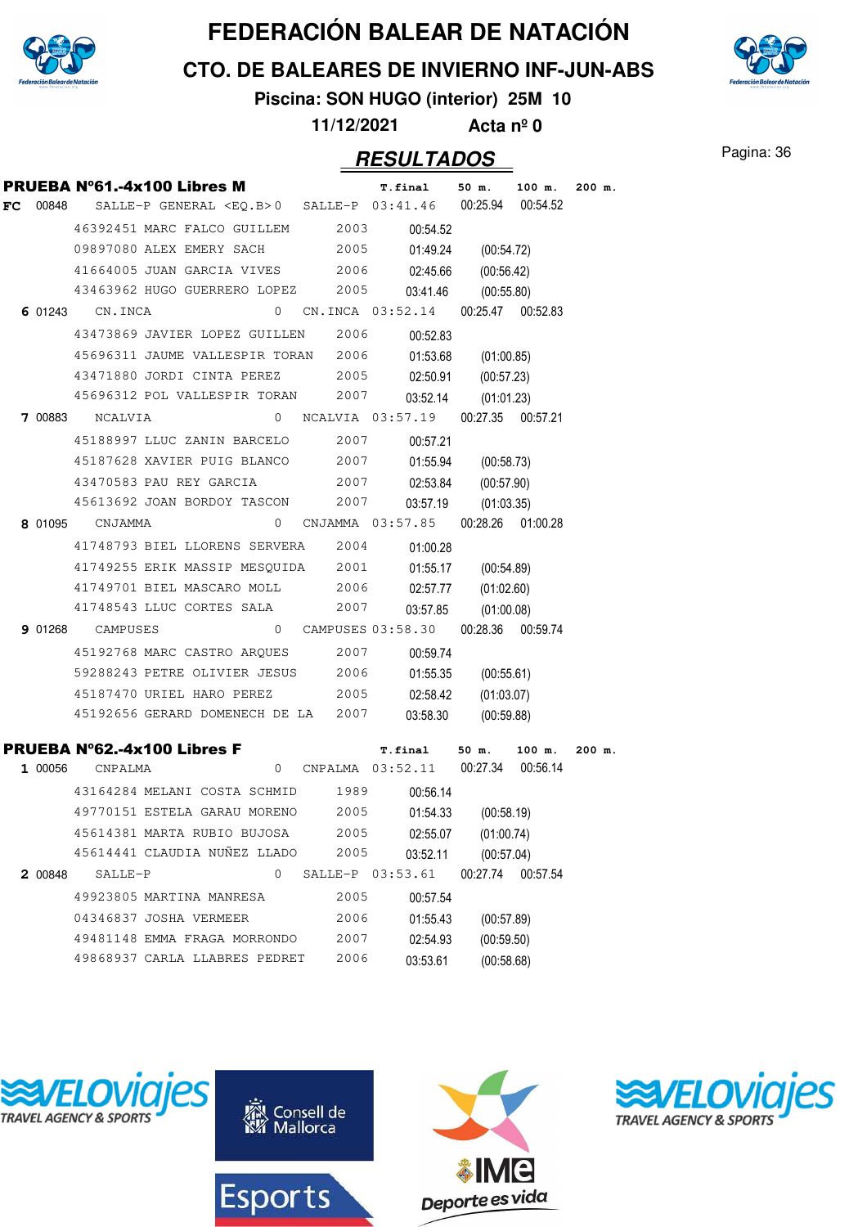

**CTO. DE BALEARES DE INVIERNO INF-JUN-ABS**



# **Piscina: SON HUGO (interior) 25M 10**

**11/12/2021 Acta nº 0**

#### Pagina: 36 **RESULTADOS**

|    |         |                 | PRUEBA Nº61.-4x100 Libres M                                 |   |      | <b>T.final</b>                       | 50 m.               | 100 m.               | $200$ m. |
|----|---------|-----------------|-------------------------------------------------------------|---|------|--------------------------------------|---------------------|----------------------|----------|
| FC | 00848   |                 | SALLE-P GENERAL $\langle EQ.B \rangle 0$ SALLE-P $03:41.46$ |   |      |                                      | 00:25.94            | 00:54.52             |          |
|    |         |                 | 46392451 MARC FALCO GUILLEM                                 |   | 2003 | 00:54.52                             |                     |                      |          |
|    |         |                 | 09897080 ALEX EMERY SACH                                    |   | 2005 | 01:49.24                             | (00:54.72)          |                      |          |
|    |         |                 | 41664005 JUAN GARCIA VIVES 2006                             |   |      | 02:45.66                             | (00:56.42)          |                      |          |
|    |         |                 | 43463962 HUGO GUERRERO LOPEZ                                |   | 2005 | 03:41.46                             | (00:55.80)          |                      |          |
|    |         | 6 01243 CN.INCA |                                                             | 0 |      | CN.INCA 03:52.14                     |                     | 00:25.47 00:52.83    |          |
|    |         |                 | 43473869 JAVIER LOPEZ GUILLEN                               |   | 2006 | 00:52.83                             |                     |                      |          |
|    |         |                 | 45696311 JAUME VALLESPIR TORAN 2006                         |   |      | 01:53.68                             | (01:00.85)          |                      |          |
|    |         |                 | 43471880 JORDI CINTA PEREZ                                  |   | 2005 | 02:50.91                             | (00:57.23)          |                      |          |
|    |         |                 | 45696312 POL VALLESPIR TORAN                                |   | 2007 | 03:52.14                             | (01:01.23)          |                      |          |
|    | 7 00883 | NCALVIA         |                                                             | 0 |      | NCALVIA 03:57.19                     |                     | 00:27.35 00:57.21    |          |
|    |         |                 | 45188997 LLUC ZANIN BARCELO                                 |   | 2007 | 00:57.21                             |                     |                      |          |
|    |         |                 | 45187628 XAVIER PUIG BLANCO                                 |   | 2007 | 01:55.94                             | (00:58.73)          |                      |          |
|    |         |                 | 43470583 PAU REY GARCIA                                     |   | 2007 | 02:53.84                             | (00:57.90)          |                      |          |
|    |         |                 | 45613692 JOAN BORDOY TASCON                                 |   | 2007 | 03:57.19                             | (01:03.35)          |                      |          |
|    | 8 01095 | CNJAMMA         |                                                             | 0 |      | CNJAMMA 03:57.85                     |                     | 00:28.26 01:00.28    |          |
|    |         |                 | 41748793 BIEL LLORENS SERVERA                               |   | 2004 | 01:00.28                             |                     |                      |          |
|    |         |                 | 41749255 ERIK MASSIP MESQUIDA 2001                          |   |      | 01:55.17                             | (00:54.89)          |                      |          |
|    |         |                 | 41749701 BIEL MASCARO MOLL                                  |   | 2006 | 02:57.77                             | (01:02.60)          |                      |          |
|    |         |                 | 41748543 LLUC CORTES SALA                                   |   | 2007 | 03:57.85                             | (01:00.08)          |                      |          |
|    | 9 01268 | CAMPUSES        |                                                             |   |      | 0 CAMPUSES 03:58.30                  |                     | 00:28.36 00:59.74    |          |
|    |         |                 | 45192768 MARC CASTRO ARQUES                                 |   | 2007 | 00:59.74                             |                     |                      |          |
|    |         |                 | 59288243 PETRE OLIVIER JESUS 2006                           |   |      | 01:55.35                             | (00:55.61)          |                      |          |
|    |         |                 | 45187470 URIEL HARO PEREZ                                   |   | 2005 | 02:58.42                             | (01:03.07)          |                      |          |
|    |         |                 | 45192656 GERARD DOMENECH DE LA 2007                         |   |      | 03:58.30                             | (00:59.88)          |                      |          |
|    |         |                 |                                                             |   |      |                                      |                     |                      |          |
|    | 1 00056 | CNPALMA         | <b>PRUEBA N°62.-4x100 Libres F</b>                          |   |      | <b>T.final</b><br>0 CNPALMA 03:52.11 | 50 m.<br>00:27.34   | $100$ m.<br>00:56.14 | 200 m.   |
|    |         |                 |                                                             |   |      |                                      |                     |                      |          |
|    |         |                 | 43164284 MELANI COSTA SCHMID 1989                           |   |      | 00:56.14                             |                     |                      |          |
|    |         |                 | 49770151 ESTELA GARAU MORENO 2005                           |   |      | 01:54.33                             | (00:58.19)          |                      |          |
|    |         |                 | 45614381 MARTA RUBIO BUJOSA<br>45614441 CLAUDIA NUÑEZ LLADO |   | 2005 |                                      | 02:55.07 (01:00.74) |                      |          |
|    |         |                 |                                                             |   | 2005 | 03:52.11                             | (00:57.04)          |                      |          |
|    | 2 00848 | SALLE-P         |                                                             | 0 |      | SALLE-P 03:53.61                     | 00:27.74            | 00:57.54             |          |
|    |         |                 | 49923805 MARTINA MANRESA                                    |   | 2005 | 00:57.54                             |                     |                      |          |
|    |         |                 | 04346837 JOSHA VERMEER                                      |   | 2006 | 01:55.43                             | (00:57.89)          |                      |          |
|    |         |                 | 49481148 EMMA FRAGA MORRONDO                                |   | 2007 | 02:54.93                             | (00:59.50)          |                      |          |
|    |         |                 | 49868937 CARLA LLABRES PEDRET                               |   | 2006 | 03:53.61                             | (00:58.68)          |                      |          |







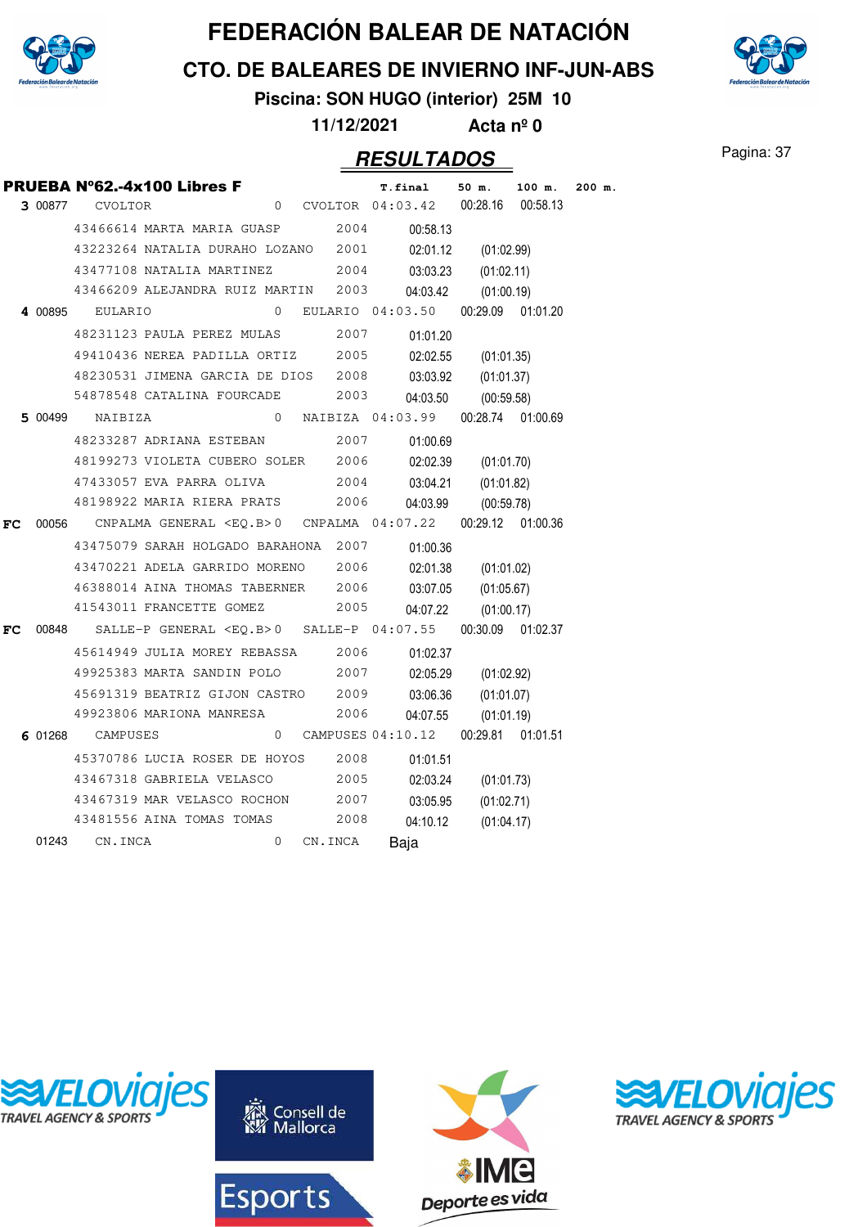

**CTO. DE BALEARES DE INVIERNO INF-JUN-ABS**

**Piscina: SON HUGO (interior) 25M 10**

**11/12/2021 Acta nº 0**

#### Pagina: 37 **RESULTADOS**

|    |                        | PRUEBA Nº62.-4x100 Libres F                                             |          |         | T.final                               | 50 m.             | 100 m. | $200$ m. |
|----|------------------------|-------------------------------------------------------------------------|----------|---------|---------------------------------------|-------------------|--------|----------|
|    | <b>3 00877 CVOLTOR</b> |                                                                         |          |         | 0 CVOLTOR 04:03.42                    | 00:28.16 00:58.13 |        |          |
|    |                        | 43466614 MARTA MARIA GUASP 2004                                         |          |         | 00:58.13                              |                   |        |          |
|    |                        | 43223264 NATALIA DURAHO LOZANO 2001                                     |          |         | 02:01.12                              | (01:02.99)        |        |          |
|    |                        | 43477108 NATALIA MARTINEZ                                               |          | 2004    | 03:03.23                              | (01:02.11)        |        |          |
|    |                        | 43466209 ALEJANDRA RUIZ MARTIN 2003                                     |          |         | 04:03.42                              | (01:00.19)        |        |          |
|    | 4 00895 EULARIO        |                                                                         | $\Omega$ |         | EULARIO 04:03.50 00:29.09 01:01.20    |                   |        |          |
|    |                        | 48231123 PAULA PEREZ MULAS                                              |          | 2007    | 01:01.20                              |                   |        |          |
|    |                        | 49410436 NEREA PADILLA ORTIZ 2005                                       |          |         | 02:02.55                              | (01:01.35)        |        |          |
|    |                        | 48230531 JIMENA GARCIA DE DIOS 2008                                     |          |         | 03:03.92                              | (01:01.37)        |        |          |
|    |                        | 54878548 CATALINA FOURCADE 2003                                         |          |         | 04:03.50                              | (00:59.58)        |        |          |
|    | <b>5</b> 00499 NAIBIZA |                                                                         |          |         | 0 NAIBIZA 04:03.99                    | 00:28.74 01:00.69 |        |          |
|    |                        | 48233287 ADRIANA ESTEBAN 2007                                           |          |         | 01:00.69                              |                   |        |          |
|    |                        | 48199273 VIOLETA CUBERO SOLER 2006                                      |          |         | 02:02.39                              | (01:01.70)        |        |          |
|    |                        | 47433057 EVA PARRA OLIVA                                                |          | 2004    | 03:04.21                              | (01:01.82)        |        |          |
|    |                        | 48198922 MARIA RIERA PRATS 2006                                         |          |         | 04:03.99                              | (00:59.78)        |        |          |
| FC |                        | 00056 CNPALMA GENERAL <eq.b>0 CNPALMA 04:07.22 00:29.12 01:00.36</eq.b> |          |         |                                       |                   |        |          |
|    |                        | 43475079 SARAH HOLGADO BARAHONA 2007                                    |          |         | 01:00.36                              |                   |        |          |
|    |                        | 43470221 ADELA GARRIDO MORENO 2006                                      |          |         | 02:01.38                              | (01:01.02)        |        |          |
|    |                        | 46388014 AINA THOMAS TABERNER 2006                                      |          |         | 03:07.05                              | (01:05.67)        |        |          |
|    |                        | 41543011 FRANCETTE GOMEZ                                                |          | 2005    | 04:07.22                              | (01:00.17)        |        |          |
| FC |                        | 00848 SALLE-P GENERAL <eq.b>0 SALLE-P 04:07.55 00:30.09 01:02.37</eq.b> |          |         |                                       |                   |        |          |
|    |                        | 45614949 JULIA MOREY REBASSA 2006                                       |          |         | 01:02.37                              |                   |        |          |
|    |                        | 49925383 MARTA SANDIN POLO 2007                                         |          |         | 02:05.29                              | (01:02.92)        |        |          |
|    |                        | 45691319 BEATRIZ GIJON CASTRO 2009                                      |          |         | 03:06.36                              | (01:01.07)        |        |          |
|    |                        | 49923806 MARIONA MANRESA 2006                                           |          |         | 04:07.55                              | (01:01.19)        |        |          |
|    | 6 01268 CAMPUSES       |                                                                         |          |         | 0 CAMPUSES 04:10.12 00:29.81 01:01.51 |                   |        |          |
|    |                        | 45370786 LUCIA ROSER DE HOYOS 2008                                      |          |         | 01:01.51                              |                   |        |          |
|    |                        | 43467318 GABRIELA VELASCO 2005                                          |          |         | 02:03.24                              | (01:01.73)        |        |          |
|    |                        | 43467319 MAR VELASCO ROCHON 2007                                        |          |         | 03:05.95                              | (01:02.71)        |        |          |
|    |                        | 43481556 AINA TOMAS TOMAS 2008                                          |          |         | 04:10.12                              | (01:04.17)        |        |          |
|    | 01243 CN.INCA          |                                                                         | 0        | CN.INCA | Baja                                  |                   |        |          |